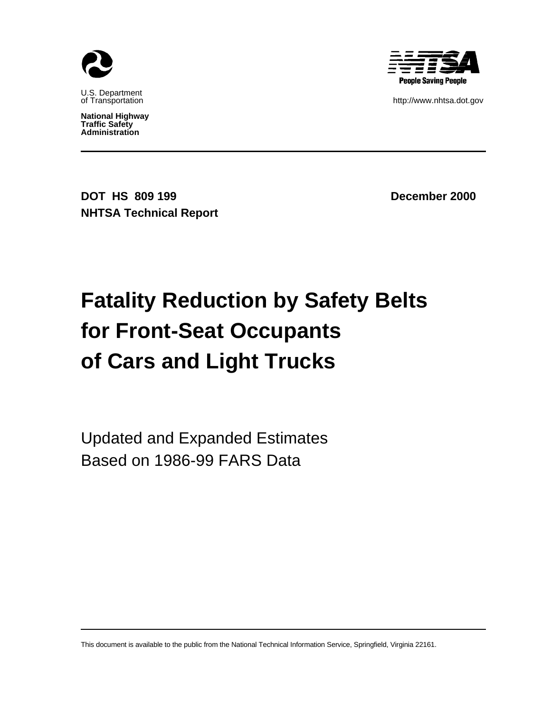

**National Highway Traffic Safety Administration**



http://www.nhtsa.dot.gov

**DOT HS 809 199 December 2000 NHTSA Technical Report**

# **Fatality Reduction by Safety Belts for Front-Seat Occupants of Cars and Light Trucks**

Updated and Expanded Estimates Based on 1986-99 FARS Data

This document is available to the public from the National Technical Information Service, Springfield, Virginia 22161.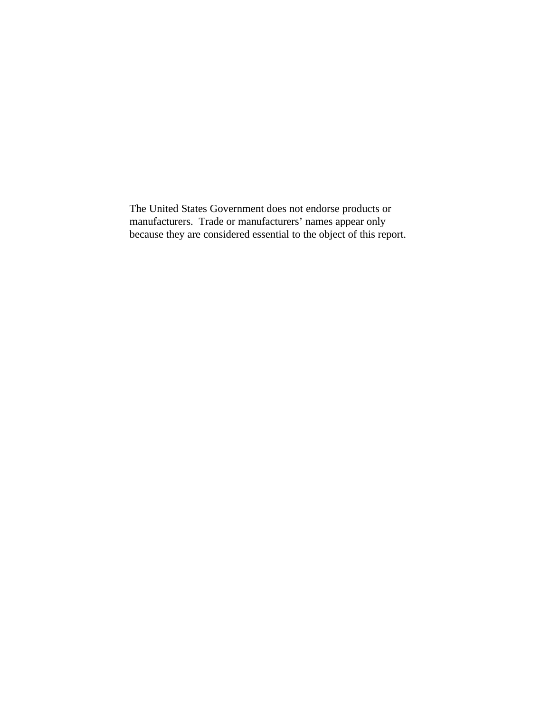The United States Government does not endorse products or manufacturers. Trade or manufacturers' names appear only because they are considered essential to the object of this report.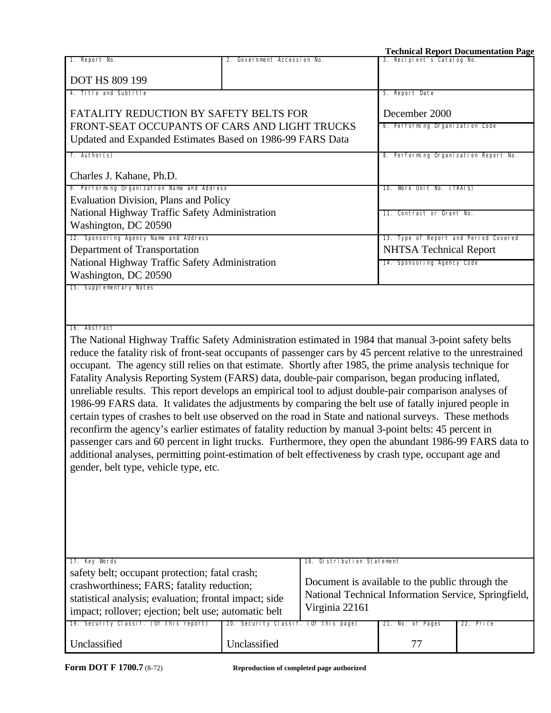**Technical Report Documentation Page**

| 1. Report No.                                                                                                 | 2. Government Accession No.          |                            | 3. Recipient's Catalog No.                           | тесписат кероте в осиненацион т аде |
|---------------------------------------------------------------------------------------------------------------|--------------------------------------|----------------------------|------------------------------------------------------|-------------------------------------|
|                                                                                                               |                                      |                            |                                                      |                                     |
| <b>DOT HS 809 199</b>                                                                                         |                                      |                            |                                                      |                                     |
| 4. Title and Subtitle                                                                                         |                                      |                            | 5. Report Date                                       |                                     |
|                                                                                                               |                                      |                            |                                                      |                                     |
| <b>FATALITY REDUCTION BY SAFETY BELTS FOR</b>                                                                 |                                      |                            | December 2000                                        |                                     |
| FRONT-SEAT OCCUPANTS OF CARS AND LIGHT TRUCKS                                                                 |                                      |                            | 6. Performing Organization Code                      |                                     |
|                                                                                                               |                                      |                            |                                                      |                                     |
| Updated and Expanded Estimates Based on 1986-99 FARS Data                                                     |                                      |                            |                                                      |                                     |
| 7. Author(s)                                                                                                  |                                      |                            | 8. Performing Organization Report No.                |                                     |
|                                                                                                               |                                      |                            |                                                      |                                     |
| Charles J. Kahane, Ph.D.                                                                                      |                                      |                            |                                                      |                                     |
| 9. Performing Organization Name and Address                                                                   |                                      |                            | 10. Work Unit No. (TRAIS)                            |                                     |
| <b>Evaluation Division, Plans and Policy</b>                                                                  |                                      |                            |                                                      |                                     |
|                                                                                                               |                                      |                            |                                                      |                                     |
| National Highway Traffic Safety Administration                                                                |                                      |                            | 11. Contract or Grant No.                            |                                     |
| Washington, DC 20590                                                                                          |                                      |                            |                                                      |                                     |
| 12. Sponsoring Agency Name and Address                                                                        |                                      |                            | 13. Type of Report and Period Covered                |                                     |
| Department of Transportation                                                                                  |                                      |                            | <b>NHTSA Technical Report</b>                        |                                     |
| National Highway Traffic Safety Administration                                                                |                                      |                            | 14. Sponsoring Agency Code                           |                                     |
| Washington, DC 20590                                                                                          |                                      |                            |                                                      |                                     |
| 15. Supplementary Notes                                                                                       |                                      |                            |                                                      |                                     |
|                                                                                                               |                                      |                            |                                                      |                                     |
|                                                                                                               |                                      |                            |                                                      |                                     |
|                                                                                                               |                                      |                            |                                                      |                                     |
| 16. Abstract                                                                                                  |                                      |                            |                                                      |                                     |
| The National Highway Traffic Safety Administration estimated in 1984 that manual 3-point safety belts         |                                      |                            |                                                      |                                     |
|                                                                                                               |                                      |                            |                                                      |                                     |
| reduce the fatality risk of front-seat occupants of passenger cars by 45 percent relative to the unrestrained |                                      |                            |                                                      |                                     |
| occupant. The agency still relies on that estimate. Shortly after 1985, the prime analysis technique for      |                                      |                            |                                                      |                                     |
| Fatality Analysis Reporting System (FARS) data, double-pair comparison, began producing inflated,             |                                      |                            |                                                      |                                     |
| unreliable results. This report develops an empirical tool to adjust double-pair comparison analyses of       |                                      |                            |                                                      |                                     |
| 1986-99 FARS data. It validates the adjustments by comparing the belt use of fatally injured people in        |                                      |                            |                                                      |                                     |
|                                                                                                               |                                      |                            |                                                      |                                     |
| certain types of crashes to belt use observed on the road in State and national surveys. These methods        |                                      |                            |                                                      |                                     |
| reconfirm the agency's earlier estimates of fatality reduction by manual 3-point belts: 45 percent in         |                                      |                            |                                                      |                                     |
| passenger cars and 60 percent in light trucks. Furthermore, they open the abundant 1986-99 FARS data to       |                                      |                            |                                                      |                                     |
| additional analyses, permitting point-estimation of belt effectiveness by crash type, occupant age and        |                                      |                            |                                                      |                                     |
|                                                                                                               |                                      |                            |                                                      |                                     |
| gender, belt type, vehicle type, etc.                                                                         |                                      |                            |                                                      |                                     |
|                                                                                                               |                                      |                            |                                                      |                                     |
|                                                                                                               |                                      |                            |                                                      |                                     |
|                                                                                                               |                                      |                            |                                                      |                                     |
|                                                                                                               |                                      |                            |                                                      |                                     |
|                                                                                                               |                                      |                            |                                                      |                                     |
|                                                                                                               |                                      |                            |                                                      |                                     |
|                                                                                                               |                                      |                            |                                                      |                                     |
|                                                                                                               |                                      |                            |                                                      |                                     |
| 17. Key Words                                                                                                 |                                      | 18. Distribution Statement |                                                      |                                     |
| safety belt; occupant protection; fatal crash;                                                                |                                      |                            |                                                      |                                     |
| crashworthiness; FARS; fatality reduction;                                                                    |                                      |                            | Document is available to the public through the      |                                     |
| statistical analysis; evaluation; frontal impact; side                                                        |                                      |                            | National Technical Information Service, Springfield, |                                     |
| impact; rollover; ejection; belt use; automatic belt                                                          |                                      | Virginia 22161             |                                                      |                                     |
| 19. Security Classif. (Of this report)                                                                        |                                      |                            |                                                      |                                     |
|                                                                                                               | 20. Security Classif. (Of this page) |                            | 21. No. of Pages                                     | 22. Price                           |
|                                                                                                               |                                      |                            |                                                      |                                     |
| Unclassified                                                                                                  | Unclassified                         |                            | 77                                                   |                                     |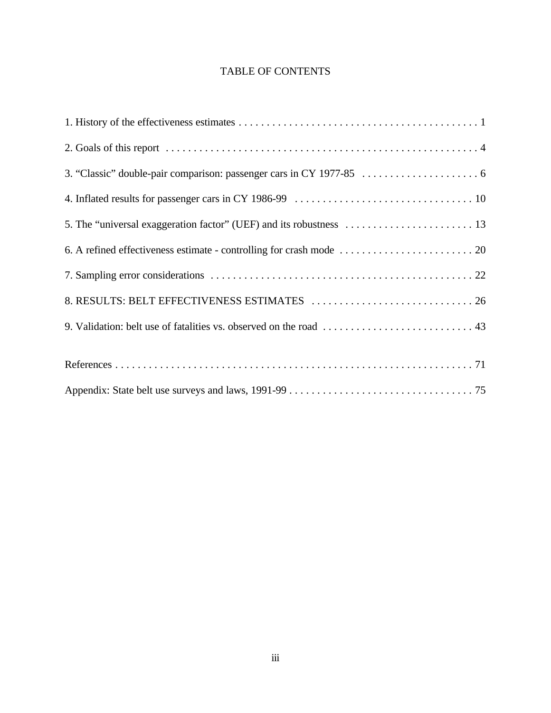# TABLE OF CONTENTS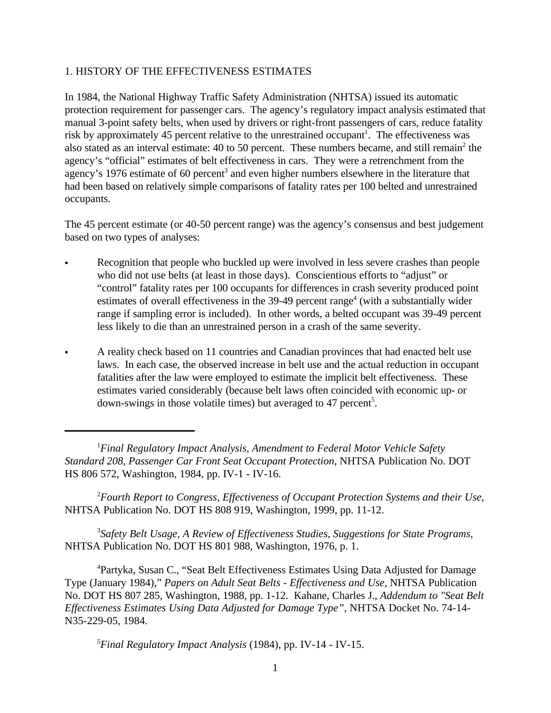## 1. HISTORY OF THE EFFECTIVENESS ESTIMATES

In 1984, the National Highway Traffic Safety Administration (NHTSA) issued its automatic protection requirement for passenger cars. The agency's regulatory impact analysis estimated that manual 3-point safety belts, when used by drivers or right-front passengers of cars, reduce fatality risk by approximately 45 percent relative to the unrestrained occupant<sup>1</sup>. The effectiveness was also stated as an interval estimate: 40 to 50 percent. These numbers became, and still remain<sup>2</sup> the agency's "official" estimates of belt effectiveness in cars. They were a retrenchment from the agency's 1976 estimate of 60 percent<sup>3</sup> and even higher numbers elsewhere in the literature that had been based on relatively simple comparisons of fatality rates per 100 belted and unrestrained occupants.

The 45 percent estimate (or 40-50 percent range) was the agency's consensus and best judgement based on two types of analyses:

- Recognition that people who buckled up were involved in less severe crashes than people who did not use belts (at least in those days). Conscientious efforts to "adjust" or "control" fatality rates per 100 occupants for differences in crash severity produced point estimates of overall effectiveness in the 39-49 percent range<sup>4</sup> (with a substantially wider range if sampling error is included). In other words, a belted occupant was 39-49 percent less likely to die than an unrestrained person in a crash of the same severity.
- A reality check based on 11 countries and Canadian provinces that had enacted belt use laws. In each case, the observed increase in belt use and the actual reduction in occupant fatalities after the law were employed to estimate the implicit belt effectiveness. These estimates varied considerably (because belt laws often coincided with economic up- or down-swings in those volatile times) but averaged to 47 percent<sup>5</sup>.

<sup>2</sup>*Fourth Report to Congress, Effectiveness of Occupant Protection Systems and their Use*, NHTSA Publication No. DOT HS 808 919, Washington, 1999, pp. 11-12.

3 *Safety Belt Usage, A Review of Effectiveness Studies, Suggestions for State Programs*, NHTSA Publication No. DOT HS 801 988, Washington, 1976, p. 1.

<sup>4</sup>Partyka, Susan C., "Seat Belt Effectiveness Estimates Using Data Adjusted for Damage Type (January 1984)," *Papers on Adult Seat Belts - Effectiveness and Use*, NHTSA Publication No. DOT HS 807 285, Washington, 1988, pp. 1-12. Kahane, Charles J., *Addendum to "Seat Belt Effectiveness Estimates Using Data Adjusted for Damage Type"*, NHTSA Docket No. 74-14- N35-229-05, 1984.

<sup>5</sup>*Final Regulatory Impact Analysis* (1984), pp. IV-14 - IV-15.

<sup>1</sup>*Final Regulatory Impact Analysis, Amendment to Federal Motor Vehicle Safety Standard 208, Passenger Car Front Seat Occupant Protection*, NHTSA Publication No. DOT HS 806 572, Washington, 1984, pp. IV-1 - IV-16.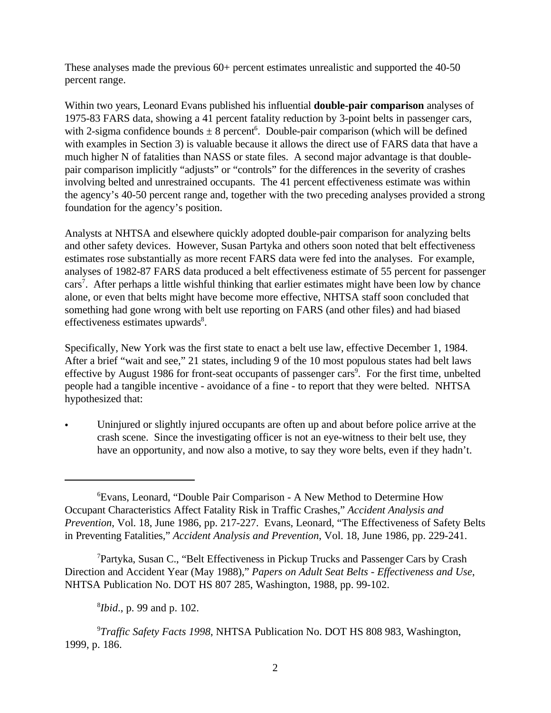These analyses made the previous 60+ percent estimates unrealistic and supported the 40-50 percent range.

Within two years, Leonard Evans published his influential **double-pair comparison** analyses of 1975-83 FARS data, showing a 41 percent fatality reduction by 3-point belts in passenger cars, with 2-sigma confidence bounds  $\pm 8$  percent<sup>6</sup>. Double-pair comparison (which will be defined with examples in Section 3) is valuable because it allows the direct use of FARS data that have a much higher N of fatalities than NASS or state files. A second major advantage is that doublepair comparison implicitly "adjusts" or "controls" for the differences in the severity of crashes involving belted and unrestrained occupants. The 41 percent effectiveness estimate was within the agency's 40-50 percent range and, together with the two preceding analyses provided a strong foundation for the agency's position.

Analysts at NHTSA and elsewhere quickly adopted double-pair comparison for analyzing belts and other safety devices. However, Susan Partyka and others soon noted that belt effectiveness estimates rose substantially as more recent FARS data were fed into the analyses. For example, analyses of 1982-87 FARS data produced a belt effectiveness estimate of 55 percent for passenger cars<sup>7</sup>. After perhaps a little wishful thinking that earlier estimates might have been low by chance alone, or even that belts might have become more effective, NHTSA staff soon concluded that something had gone wrong with belt use reporting on FARS (and other files) and had biased effectiveness estimates upwards<sup>8</sup>.

Specifically, New York was the first state to enact a belt use law, effective December 1, 1984. After a brief "wait and see," 21 states, including 9 of the 10 most populous states had belt laws effective by August 1986 for front-seat occupants of passenger cars<sup>9</sup>. For the first time, unbelted people had a tangible incentive - avoidance of a fine - to report that they were belted. NHTSA hypothesized that:

Uninjured or slightly injured occupants are often up and about before police arrive at the crash scene. Since the investigating officer is not an eye-witness to their belt use, they have an opportunity, and now also a motive, to say they wore belts, even if they hadn't.

<sup>6</sup>Evans, Leonard, "Double Pair Comparison - A New Method to Determine How Occupant Characteristics Affect Fatality Risk in Traffic Crashes," *Accident Analysis and Prevention*, Vol. 18, June 1986, pp. 217-227. Evans, Leonard, "The Effectiveness of Safety Belts in Preventing Fatalities," *Accident Analysis and Prevention*, Vol. 18, June 1986, pp. 229-241.

<sup>7</sup>Partyka, Susan C., "Belt Effectiveness in Pickup Trucks and Passenger Cars by Crash Direction and Accident Year (May 1988)," *Papers on Adult Seat Belts - Effectiveness and Use*, NHTSA Publication No. DOT HS 807 285, Washington, 1988, pp. 99-102.

<sup>8</sup> *Ibid*., p. 99 and p. 102.

<sup>9</sup>*Traffic Safety Facts 1998*, NHTSA Publication No. DOT HS 808 983, Washington, 1999, p. 186.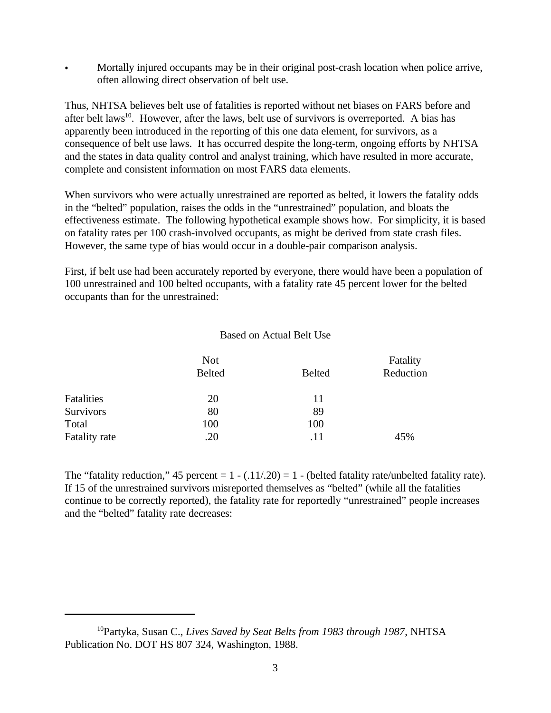Mortally injured occupants may be in their original post-crash location when police arrive, often allowing direct observation of belt use.

Thus, NHTSA believes belt use of fatalities is reported without net biases on FARS before and after belt laws<sup>10</sup>. However, after the laws, belt use of survivors is overreported. A bias has apparently been introduced in the reporting of this one data element, for survivors, as a consequence of belt use laws. It has occurred despite the long-term, ongoing efforts by NHTSA and the states in data quality control and analyst training, which have resulted in more accurate, complete and consistent information on most FARS data elements.

When survivors who were actually unrestrained are reported as belted, it lowers the fatality odds in the "belted" population, raises the odds in the "unrestrained" population, and bloats the effectiveness estimate. The following hypothetical example shows how. For simplicity, it is based on fatality rates per 100 crash-involved occupants, as might be derived from state crash files. However, the same type of bias would occur in a double-pair comparison analysis.

First, if belt use had been accurately reported by everyone, there would have been a population of 100 unrestrained and 100 belted occupants, with a fatality rate 45 percent lower for the belted occupants than for the unrestrained:

|  | Based on Actual Belt Use |  |
|--|--------------------------|--|
|--|--------------------------|--|

|                  | <b>Not</b>    |               | Fatality  |
|------------------|---------------|---------------|-----------|
|                  | <b>Belted</b> | <b>Belted</b> | Reduction |
| Fatalities       | 20            | 11            |           |
| <b>Survivors</b> | 80            | 89            |           |
| Total            | 100           | 100           |           |
| Fatality rate    | .20           | .11           | 45%       |

The "fatality reduction," 45 percent =  $1 - (.11/.20) = 1 - (belted fatality rate/unbelted fatality rate)$ . If 15 of the unrestrained survivors misreported themselves as "belted" (while all the fatalities continue to be correctly reported), the fatality rate for reportedly "unrestrained" people increases and the "belted" fatality rate decreases:

<sup>10</sup>Partyka, Susan C., *Lives Saved by Seat Belts from 1983 through 1987*, NHTSA Publication No. DOT HS 807 324, Washington, 1988.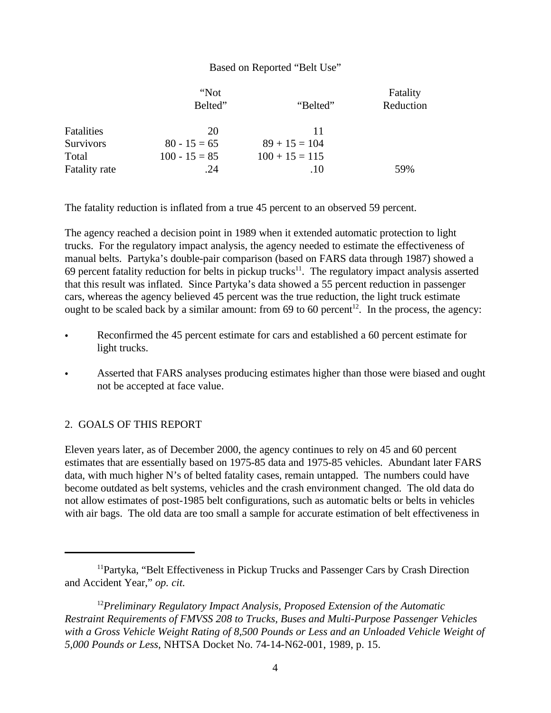## Based on Reported "Belt Use"

|                      | "Not            |                  | Fatality  |
|----------------------|-----------------|------------------|-----------|
|                      | Belted"         | "Belted"         | Reduction |
|                      |                 |                  |           |
| <b>Fatalities</b>    | 20              | 11               |           |
| <b>Survivors</b>     | $80 - 15 = 65$  | $89 + 15 = 104$  |           |
| Total                | $100 - 15 = 85$ | $100 + 15 = 115$ |           |
| <b>Fatality rate</b> | .24             | .10              | 59%       |

The fatality reduction is inflated from a true 45 percent to an observed 59 percent.

The agency reached a decision point in 1989 when it extended automatic protection to light trucks. For the regulatory impact analysis, the agency needed to estimate the effectiveness of manual belts. Partyka's double-pair comparison (based on FARS data through 1987) showed a 69 percent fatality reduction for belts in pickup trucks<sup>11</sup>. The regulatory impact analysis asserted that this result was inflated. Since Partyka's data showed a 55 percent reduction in passenger cars, whereas the agency believed 45 percent was the true reduction, the light truck estimate ought to be scaled back by a similar amount: from 69 to 60 percent<sup>12</sup>. In the process, the agency:

- Reconfirmed the 45 percent estimate for cars and established a 60 percent estimate for light trucks.
- Asserted that FARS analyses producing estimates higher than those were biased and ought not be accepted at face value.

# 2. GOALS OF THIS REPORT

Eleven years later, as of December 2000, the agency continues to rely on 45 and 60 percent estimates that are essentially based on 1975-85 data and 1975-85 vehicles. Abundant later FARS data, with much higher N's of belted fatality cases, remain untapped. The numbers could have become outdated as belt systems, vehicles and the crash environment changed. The old data do not allow estimates of post-1985 belt configurations, such as automatic belts or belts in vehicles with air bags. The old data are too small a sample for accurate estimation of belt effectiveness in

<sup>&</sup>lt;sup>11</sup>Partyka, "Belt Effectiveness in Pickup Trucks and Passenger Cars by Crash Direction and Accident Year," *op. cit.*

<sup>12</sup>*Preliminary Regulatory Impact Analysis, Proposed Extension of the Automatic Restraint Requirements of FMVSS 208 to Trucks, Buses and Multi-Purpose Passenger Vehicles with a Gross Vehicle Weight Rating of 8,500 Pounds or Less and an Unloaded Vehicle Weight of 5,000 Pounds or Less*, NHTSA Docket No. 74-14-N62-001, 1989, p. 15.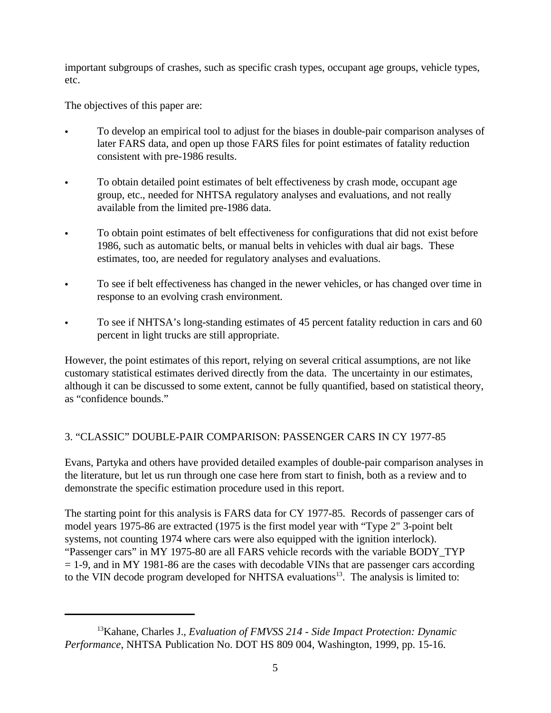important subgroups of crashes, such as specific crash types, occupant age groups, vehicle types, etc.

The objectives of this paper are:

- To develop an empirical tool to adjust for the biases in double-pair comparison analyses of later FARS data, and open up those FARS files for point estimates of fatality reduction consistent with pre-1986 results.
- To obtain detailed point estimates of belt effectiveness by crash mode, occupant age group, etc., needed for NHTSA regulatory analyses and evaluations, and not really available from the limited pre-1986 data.
- To obtain point estimates of belt effectiveness for configurations that did not exist before 1986, such as automatic belts, or manual belts in vehicles with dual air bags. These estimates, too, are needed for regulatory analyses and evaluations.
- To see if belt effectiveness has changed in the newer vehicles, or has changed over time in response to an evolving crash environment.
- To see if NHTSA's long-standing estimates of 45 percent fatality reduction in cars and 60 percent in light trucks are still appropriate.

However, the point estimates of this report, relying on several critical assumptions, are not like customary statistical estimates derived directly from the data. The uncertainty in our estimates, although it can be discussed to some extent, cannot be fully quantified, based on statistical theory, as "confidence bounds."

# 3. "CLASSIC" DOUBLE-PAIR COMPARISON: PASSENGER CARS IN CY 1977-85

Evans, Partyka and others have provided detailed examples of double-pair comparison analyses in the literature, but let us run through one case here from start to finish, both as a review and to demonstrate the specific estimation procedure used in this report.

The starting point for this analysis is FARS data for CY 1977-85. Records of passenger cars of model years 1975-86 are extracted (1975 is the first model year with "Type 2" 3-point belt systems, not counting 1974 where cars were also equipped with the ignition interlock). "Passenger cars" in MY 1975-80 are all FARS vehicle records with the variable BODY\_TYP  $= 1-9$ , and in MY 1981-86 are the cases with decodable VINs that are passenger cars according to the VIN decode program developed for NHTSA evaluations<sup>13</sup>. The analysis is limited to:

<sup>13</sup>Kahane, Charles J., *Evaluation of FMVSS 214 - Side Impact Protection: Dynamic Performance*, NHTSA Publication No. DOT HS 809 004, Washington, 1999, pp. 15-16.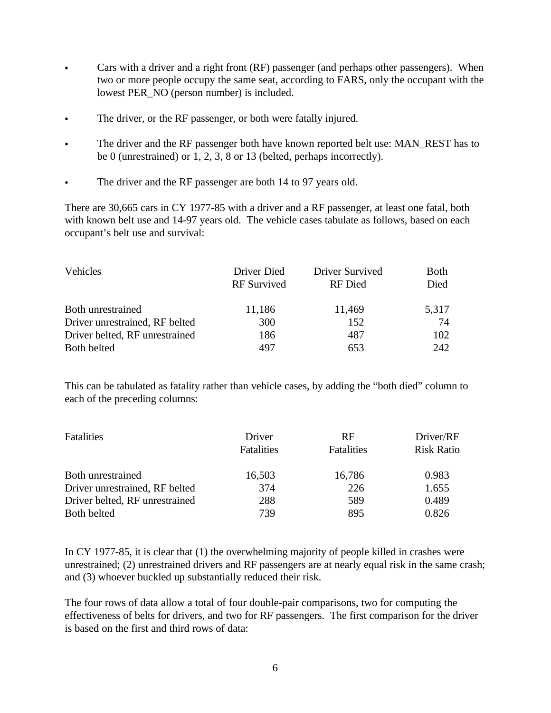- Cars with a driver and a right front (RF) passenger (and perhaps other passengers). When two or more people occupy the same seat, according to FARS, only the occupant with the lowest PER\_NO (person number) is included.
- The driver, or the RF passenger, or both were fatally injured.
- The driver and the RF passenger both have known reported belt use: MAN\_REST has to be 0 (unrestrained) or 1, 2, 3, 8 or 13 (belted, perhaps incorrectly).
- The driver and the RF passenger are both 14 to 97 years old.

There are 30,665 cars in CY 1977-85 with a driver and a RF passenger, at least one fatal, both with known belt use and 14-97 years old. The vehicle cases tabulate as follows, based on each occupant's belt use and survival:

| <b>Vehicles</b>                | Driver Died<br><b>RF</b> Survived | Driver Survived<br>RF Died | <b>B</b> oth<br>Died |
|--------------------------------|-----------------------------------|----------------------------|----------------------|
| Both unrestrained              | 11,186                            | 11,469                     | 5,317                |
| Driver unrestrained, RF belted | 300                               | 152                        | 74                   |
| Driver belted, RF unrestrained | 186                               | 487                        | 102                  |
| Both belted                    | 497                               | 653                        | 242                  |

This can be tabulated as fatality rather than vehicle cases, by adding the "both died" column to each of the preceding columns:

| <b>Fatalities</b>              | Driver            | <b>RF</b>         | Driver/RF         |
|--------------------------------|-------------------|-------------------|-------------------|
|                                | <b>Fatalities</b> | <b>Fatalities</b> | <b>Risk Ratio</b> |
| Both unrestrained              | 16,503            | 16,786            | 0.983             |
| Driver unrestrained, RF belted | 374               | 226               | 1.655             |
| Driver belted, RF unrestrained | 288               | 589               | 0.489             |
| Both belted                    | 739               | 895               | 0.826             |

In CY 1977-85, it is clear that (1) the overwhelming majority of people killed in crashes were unrestrained; (2) unrestrained drivers and RF passengers are at nearly equal risk in the same crash; and (3) whoever buckled up substantially reduced their risk.

The four rows of data allow a total of four double-pair comparisons, two for computing the effectiveness of belts for drivers, and two for RF passengers. The first comparison for the driver is based on the first and third rows of data: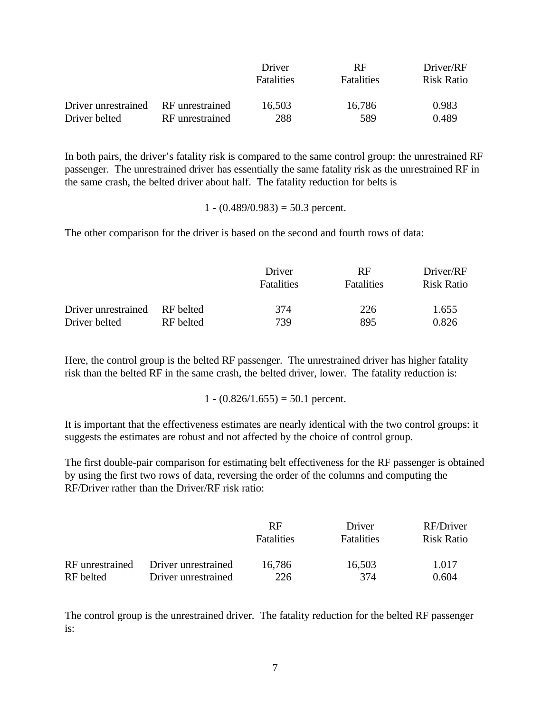|                     |                 | Driver            | <b>RF</b>         | Driver/RF         |
|---------------------|-----------------|-------------------|-------------------|-------------------|
|                     |                 | <b>Fatalities</b> | <b>Fatalities</b> | <b>Risk Ratio</b> |
| Driver unrestrained | RF unrestrained | 16,503            | 16,786            | 0.983             |
| Driver belted       | RF unrestrained | 288               | 589               | 0.489             |

In both pairs, the driver's fatality risk is compared to the same control group: the unrestrained RF passenger. The unrestrained driver has essentially the same fatality risk as the unrestrained RF in the same crash, the belted driver about half. The fatality reduction for belts is

1 -  $(0.489/0.983) = 50.3$  percent.

The other comparison for the driver is based on the second and fourth rows of data:

|                               |           | Driver<br><b>Fatalities</b> | <b>RF</b><br><b>Fatalities</b> | Driver/RF<br><b>Risk Ratio</b> |
|-------------------------------|-----------|-----------------------------|--------------------------------|--------------------------------|
| Driver unrestrained RF belted |           | 374                         | 226                            | 1.655                          |
| Driver belted                 | RF belted | 739                         | 895                            | 0.826                          |

Here, the control group is the belted RF passenger. The unrestrained driver has higher fatality risk than the belted RF in the same crash, the belted driver, lower. The fatality reduction is:

 $1 - (0.826/1.655) = 50.1$  percent.

It is important that the effectiveness estimates are nearly identical with the two control groups: it suggests the estimates are robust and not affected by the choice of control group.

The first double-pair comparison for estimating belt effectiveness for the RF passenger is obtained by using the first two rows of data, reversing the order of the columns and computing the RF/Driver rather than the Driver/RF risk ratio:

|                 |                     | <b>RF</b><br><b>Fatalities</b> | Driver<br><b>Fatalities</b> | RF/Driver<br><b>Risk Ratio</b> |
|-----------------|---------------------|--------------------------------|-----------------------------|--------------------------------|
| RF unrestrained | Driver unrestrained | 16,786                         | 16,503                      | 1.017                          |
| RF belted       | Driver unrestrained | 226                            | 374                         | 0.604                          |

The control group is the unrestrained driver. The fatality reduction for the belted RF passenger is: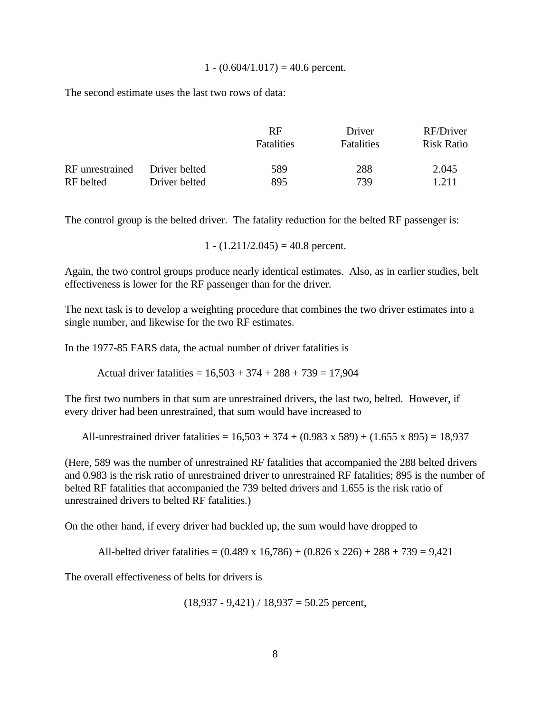#### $1 - (0.604/1.017) = 40.6$  percent.

The second estimate uses the last two rows of data:

|                 |               | <b>RF</b><br><b>Fatalities</b> | Driver<br><b>Fatalities</b> | RF/Driver<br><b>Risk Ratio</b> |
|-----------------|---------------|--------------------------------|-----------------------------|--------------------------------|
| RF unrestrained | Driver belted | 589                            | 288                         | 2.045                          |
| RF belted       | Driver belted | 895                            | 739                         | 1 211                          |

The control group is the belted driver. The fatality reduction for the belted RF passenger is:

 $1 - (1.211/2.045) = 40.8$  percent.

Again, the two control groups produce nearly identical estimates. Also, as in earlier studies, belt effectiveness is lower for the RF passenger than for the driver.

The next task is to develop a weighting procedure that combines the two driver estimates into a single number, and likewise for the two RF estimates.

In the 1977-85 FARS data, the actual number of driver fatalities is

Actual driver fatalities =  $16,503 + 374 + 288 + 739 = 17,904$ 

The first two numbers in that sum are unrestrained drivers, the last two, belted. However, if every driver had been unrestrained, that sum would have increased to

All-unrestrained driver fatalities =  $16,503 + 374 + (0.983 \times 589) + (1.655 \times 895) = 18,937$ 

(Here, 589 was the number of unrestrained RF fatalities that accompanied the 288 belted drivers and 0.983 is the risk ratio of unrestrained driver to unrestrained RF fatalities; 895 is the number of belted RF fatalities that accompanied the 739 belted drivers and 1.655 is the risk ratio of unrestrained drivers to belted RF fatalities.)

On the other hand, if every driver had buckled up, the sum would have dropped to

All-belted driver fatalities =  $(0.489 \times 16,786) + (0.826 \times 226) + 288 + 739 = 9,421$ 

The overall effectiveness of belts for drivers is

 $(18,937 - 9,421) / 18,937 = 50.25$  percent,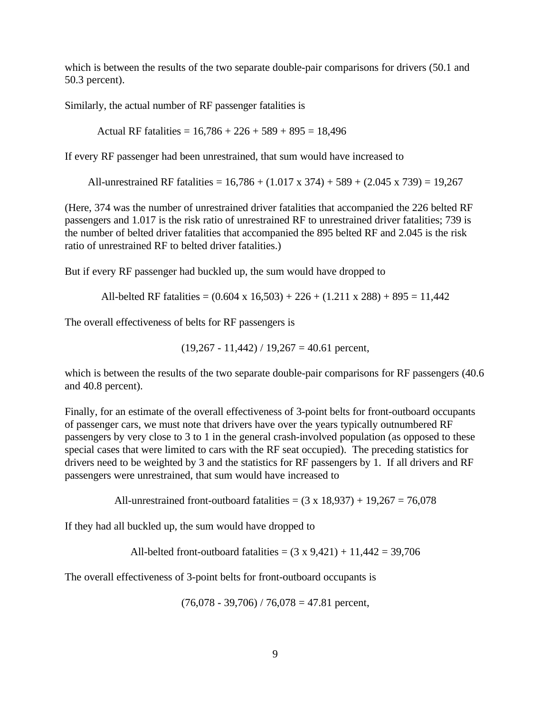which is between the results of the two separate double-pair comparisons for drivers (50.1 and 50.3 percent).

Similarly, the actual number of RF passenger fatalities is

Actual RF fatalities =  $16,786 + 226 + 589 + 895 = 18,496$ 

If every RF passenger had been unrestrained, that sum would have increased to

All-unrestrained RF fatalities =  $16,786 + (1.017 \times 374) + 589 + (2.045 \times 739) = 19,267$ 

(Here, 374 was the number of unrestrained driver fatalities that accompanied the 226 belted RF passengers and 1.017 is the risk ratio of unrestrained RF to unrestrained driver fatalities; 739 is the number of belted driver fatalities that accompanied the 895 belted RF and 2.045 is the risk ratio of unrestrained RF to belted driver fatalities.)

But if every RF passenger had buckled up, the sum would have dropped to

All-belted RF fatalities =  $(0.604 \times 16,503) + 226 + (1.211 \times 288) + 895 = 11,442$ 

The overall effectiveness of belts for RF passengers is

$$
(19,267 - 11,442) / 19,267 = 40.61
$$
 percent,

which is between the results of the two separate double-pair comparisons for RF passengers (40.6) and 40.8 percent).

Finally, for an estimate of the overall effectiveness of 3-point belts for front-outboard occupants of passenger cars, we must note that drivers have over the years typically outnumbered RF passengers by very close to 3 to 1 in the general crash-involved population (as opposed to these special cases that were limited to cars with the RF seat occupied). The preceding statistics for drivers need to be weighted by 3 and the statistics for RF passengers by 1. If all drivers and RF passengers were unrestrained, that sum would have increased to

All-unrestrained front-outboard fatalities =  $(3 \times 18,937) + 19,267 = 76,078$ 

If they had all buckled up, the sum would have dropped to

All-belted front-outboard fatalities =  $(3 \times 9,421) + 11,442 = 39,706$ 

The overall effectiveness of 3-point belts for front-outboard occupants is

 $(76,078 - 39,706) / 76,078 = 47.81$  percent,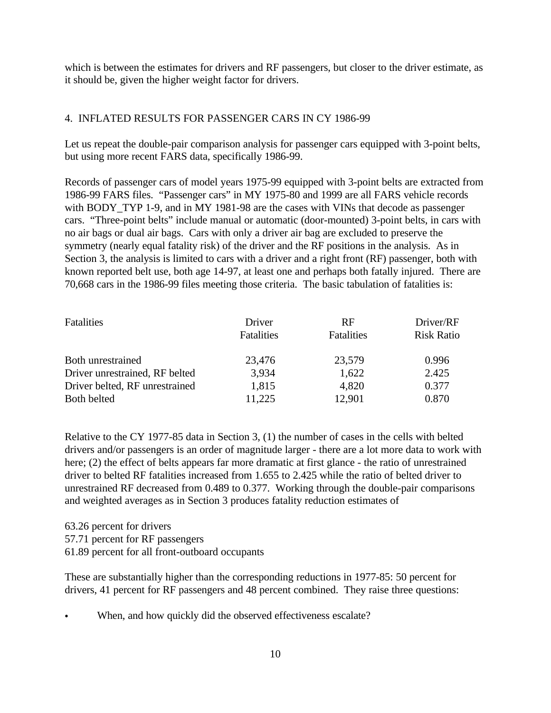which is between the estimates for drivers and RF passengers, but closer to the driver estimate, as it should be, given the higher weight factor for drivers.

## 4. INFLATED RESULTS FOR PASSENGER CARS IN CY 1986-99

Let us repeat the double-pair comparison analysis for passenger cars equipped with 3-point belts, but using more recent FARS data, specifically 1986-99.

Records of passenger cars of model years 1975-99 equipped with 3-point belts are extracted from 1986-99 FARS files. "Passenger cars" in MY 1975-80 and 1999 are all FARS vehicle records with BODY\_TYP 1-9, and in MY 1981-98 are the cases with VINs that decode as passenger cars. "Three-point belts" include manual or automatic (door-mounted) 3-point belts, in cars with no air bags or dual air bags. Cars with only a driver air bag are excluded to preserve the symmetry (nearly equal fatality risk) of the driver and the RF positions in the analysis. As in Section 3, the analysis is limited to cars with a driver and a right front (RF) passenger, both with known reported belt use, both age 14-97, at least one and perhaps both fatally injured. There are 70,668 cars in the 1986-99 files meeting those criteria. The basic tabulation of fatalities is:

| <b>Fatalities</b>              | Driver            | <b>RF</b>  | Driver/RF         |
|--------------------------------|-------------------|------------|-------------------|
|                                | <b>Fatalities</b> | Fatalities | <b>Risk Ratio</b> |
| Both unrestrained              | 23,476            | 23,579     | 0.996             |
| Driver unrestrained, RF belted | 3,934             | 1,622      | 2.425             |
| Driver belted, RF unrestrained | 1,815             | 4,820      | 0.377             |
| Both belted                    | 11,225            | 12,901     | 0.870             |

Relative to the CY 1977-85 data in Section 3, (1) the number of cases in the cells with belted drivers and/or passengers is an order of magnitude larger - there are a lot more data to work with here; (2) the effect of belts appears far more dramatic at first glance - the ratio of unrestrained driver to belted RF fatalities increased from 1.655 to 2.425 while the ratio of belted driver to unrestrained RF decreased from 0.489 to 0.377. Working through the double-pair comparisons and weighted averages as in Section 3 produces fatality reduction estimates of

63.26 percent for drivers 57.71 percent for RF passengers 61.89 percent for all front-outboard occupants

These are substantially higher than the corresponding reductions in 1977-85: 50 percent for drivers, 41 percent for RF passengers and 48 percent combined. They raise three questions:

When, and how quickly did the observed effectiveness escalate?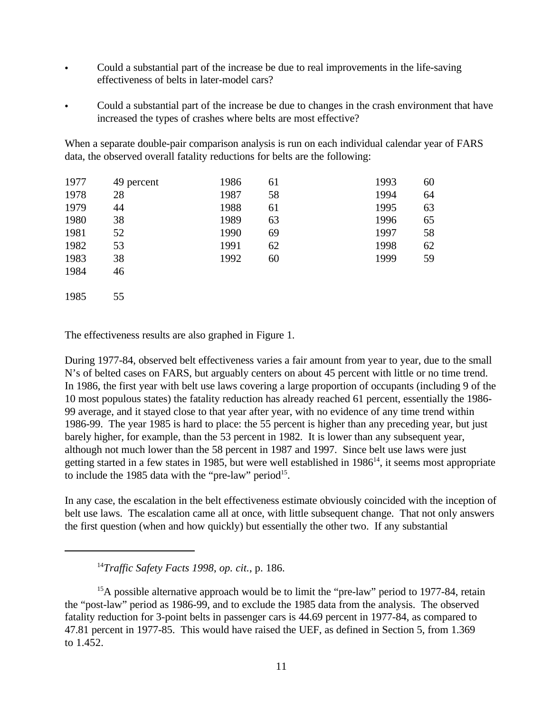- Could a substantial part of the increase be due to real improvements in the life-saving effectiveness of belts in later-model cars?
- Could a substantial part of the increase be due to changes in the crash environment that have increased the types of crashes where belts are most effective?

When a separate double-pair comparison analysis is run on each individual calendar year of FARS data, the observed overall fatality reductions for belts are the following:

| 1977 | 49 percent | 1986 | 61 | 1993 | 60 |
|------|------------|------|----|------|----|
| 1978 | 28         | 1987 | 58 | 1994 | 64 |
| 1979 | 44         | 1988 | 61 | 1995 | 63 |
| 1980 | 38         | 1989 | 63 | 1996 | 65 |
| 1981 | 52         | 1990 | 69 | 1997 | 58 |
| 1982 | 53         | 1991 | 62 | 1998 | 62 |
| 1983 | 38         | 1992 | 60 | 1999 | 59 |
| 1984 | 46         |      |    |      |    |
| 1985 | 55         |      |    |      |    |

The effectiveness results are also graphed in Figure 1.

During 1977-84, observed belt effectiveness varies a fair amount from year to year, due to the small N's of belted cases on FARS, but arguably centers on about 45 percent with little or no time trend. In 1986, the first year with belt use laws covering a large proportion of occupants (including 9 of the 10 most populous states) the fatality reduction has already reached 61 percent, essentially the 1986- 99 average, and it stayed close to that year after year, with no evidence of any time trend within 1986-99. The year 1985 is hard to place: the 55 percent is higher than any preceding year, but just barely higher, for example, than the 53 percent in 1982. It is lower than any subsequent year, although not much lower than the 58 percent in 1987 and 1997. Since belt use laws were just getting started in a few states in 1985, but were well established in  $1986<sup>14</sup>$ , it seems most appropriate to include the 1985 data with the "pre-law" period $15$ .

In any case, the escalation in the belt effectiveness estimate obviously coincided with the inception of belt use laws. The escalation came all at once, with little subsequent change. That not only answers the first question (when and how quickly) but essentially the other two. If any substantial

<sup>14</sup>*Traffic Safety Facts 1998*, *op. cit.*, p. 186.

<sup>15</sup>A possible alternative approach would be to limit the "pre-law" period to 1977-84, retain the "post-law" period as 1986-99, and to exclude the 1985 data from the analysis. The observed fatality reduction for 3-point belts in passenger cars is 44.69 percent in 1977-84, as compared to 47.81 percent in 1977-85. This would have raised the UEF, as defined in Section 5, from 1.369 to 1.452.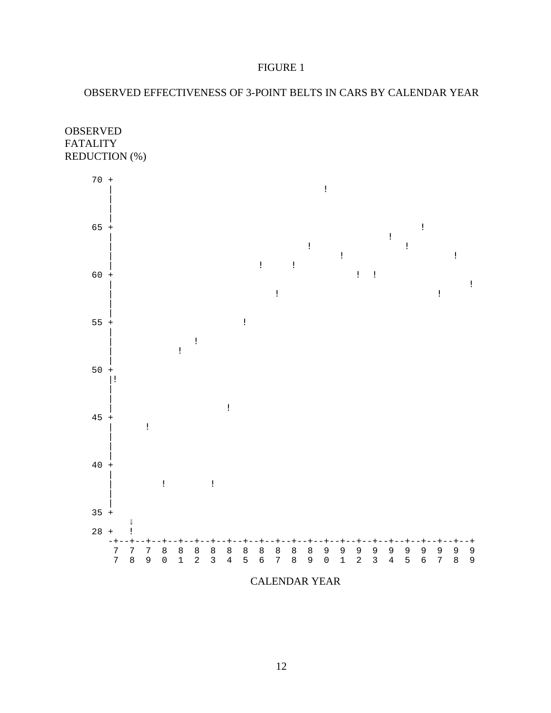#### FIGURE 1

# OBSERVED EFFECTIVENESS OF 3-POINT BELTS IN CARS BY CALENDAR YEAR



CALENDAR YEAR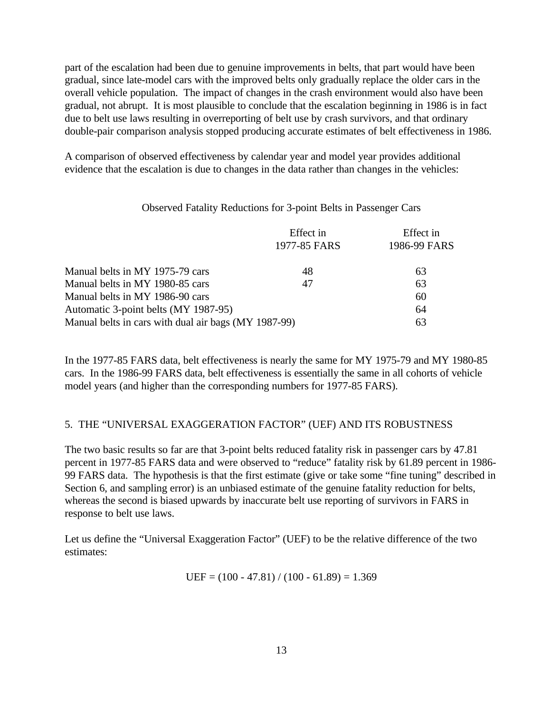part of the escalation had been due to genuine improvements in belts, that part would have been gradual, since late-model cars with the improved belts only gradually replace the older cars in the overall vehicle population. The impact of changes in the crash environment would also have been gradual, not abrupt. It is most plausible to conclude that the escalation beginning in 1986 is in fact due to belt use laws resulting in overreporting of belt use by crash survivors, and that ordinary double-pair comparison analysis stopped producing accurate estimates of belt effectiveness in 1986.

A comparison of observed effectiveness by calendar year and model year provides additional evidence that the escalation is due to changes in the data rather than changes in the vehicles:

#### Observed Fatality Reductions for 3-point Belts in Passenger Cars

|                                                      | Effect in    | Effect in    |
|------------------------------------------------------|--------------|--------------|
|                                                      | 1977-85 FARS | 1986-99 FARS |
| Manual belts in MY 1975-79 cars                      | 48           | 63           |
| Manual belts in MY 1980-85 cars                      | 47           | 63           |
| Manual belts in MY 1986-90 cars                      |              | 60           |
| Automatic 3-point belts (MY 1987-95)                 | 64           |              |
| Manual belts in cars with dual air bags (MY 1987-99) |              | 63           |

In the 1977-85 FARS data, belt effectiveness is nearly the same for MY 1975-79 and MY 1980-85 cars. In the 1986-99 FARS data, belt effectiveness is essentially the same in all cohorts of vehicle model years (and higher than the corresponding numbers for 1977-85 FARS).

#### 5. THE "UNIVERSAL EXAGGERATION FACTOR" (UEF) AND ITS ROBUSTNESS

The two basic results so far are that 3-point belts reduced fatality risk in passenger cars by 47.81 percent in 1977-85 FARS data and were observed to "reduce" fatality risk by 61.89 percent in 1986- 99 FARS data. The hypothesis is that the first estimate (give or take some "fine tuning" described in Section 6, and sampling error) is an unbiased estimate of the genuine fatality reduction for belts, whereas the second is biased upwards by inaccurate belt use reporting of survivors in FARS in response to belt use laws.

Let us define the "Universal Exaggeration Factor" (UEF) to be the relative difference of the two estimates:

$$
UEF = (100 - 47.81) / (100 - 61.89) = 1.369
$$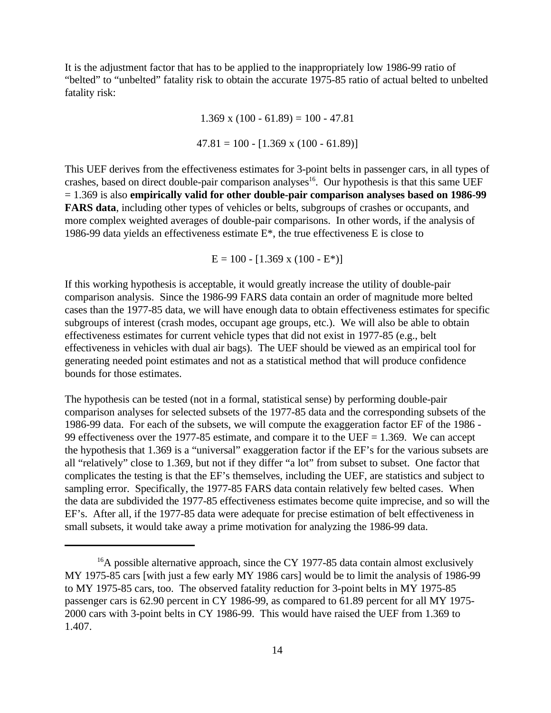It is the adjustment factor that has to be applied to the inappropriately low 1986-99 ratio of "belted" to "unbelted" fatality risk to obtain the accurate 1975-85 ratio of actual belted to unbelted fatality risk:

> 1.369 x (100 - 61.89) = 100 - 47.81  $47.81 = 100 - [1.369 \times (100 - 61.89)]$

This UEF derives from the effectiveness estimates for 3-point belts in passenger cars, in all types of crashes, based on direct double-pair comparison analyses<sup>16</sup>. Our hypothesis is that this same UEF = 1.369 is also **empirically valid for other double-pair comparison analyses based on 1986-99 FARS data**, including other types of vehicles or belts, subgroups of crashes or occupants, and more complex weighted averages of double-pair comparisons. In other words, if the analysis of 1986-99 data yields an effectiveness estimate  $E^*$ , the true effectiveness E is close to

$$
E = 100 - [1.369 \times (100 - E^*)]
$$

If this working hypothesis is acceptable, it would greatly increase the utility of double-pair comparison analysis. Since the 1986-99 FARS data contain an order of magnitude more belted cases than the 1977-85 data, we will have enough data to obtain effectiveness estimates for specific subgroups of interest (crash modes, occupant age groups, etc.). We will also be able to obtain effectiveness estimates for current vehicle types that did not exist in 1977-85 (e.g., belt effectiveness in vehicles with dual air bags). The UEF should be viewed as an empirical tool for generating needed point estimates and not as a statistical method that will produce confidence bounds for those estimates.

The hypothesis can be tested (not in a formal, statistical sense) by performing double-pair comparison analyses for selected subsets of the 1977-85 data and the corresponding subsets of the 1986-99 data. For each of the subsets, we will compute the exaggeration factor EF of the 1986 - 99 effectiveness over the 1977-85 estimate, and compare it to the UEF = 1.369. We can accept the hypothesis that 1.369 is a "universal" exaggeration factor if the EF's for the various subsets are all "relatively" close to 1.369, but not if they differ "a lot" from subset to subset. One factor that complicates the testing is that the EF's themselves, including the UEF, are statistics and subject to sampling error. Specifically, the 1977-85 FARS data contain relatively few belted cases. When the data are subdivided the 1977-85 effectiveness estimates become quite imprecise, and so will the EF's. After all, if the 1977-85 data were adequate for precise estimation of belt effectiveness in small subsets, it would take away a prime motivation for analyzing the 1986-99 data.

 $16A$  possible alternative approach, since the CY 1977-85 data contain almost exclusively MY 1975-85 cars [with just a few early MY 1986 cars] would be to limit the analysis of 1986-99 to MY 1975-85 cars, too. The observed fatality reduction for 3-point belts in MY 1975-85 passenger cars is 62.90 percent in CY 1986-99, as compared to 61.89 percent for all MY 1975- 2000 cars with 3-point belts in CY 1986-99. This would have raised the UEF from 1.369 to 1.407.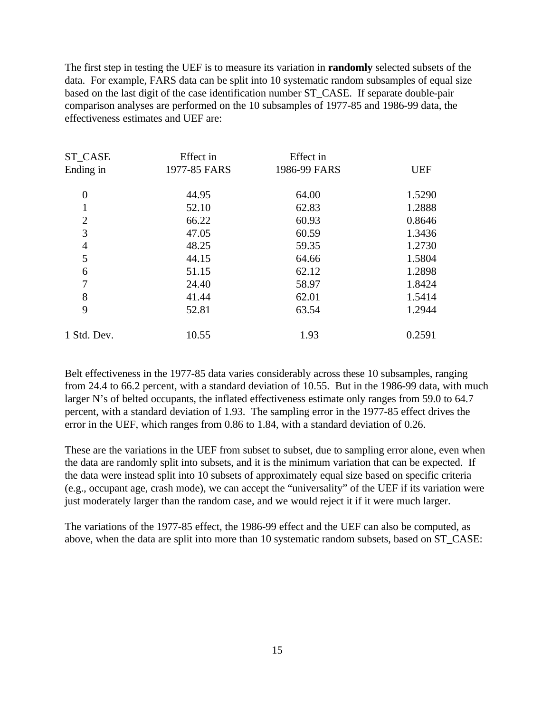The first step in testing the UEF is to measure its variation in **randomly** selected subsets of the data. For example, FARS data can be split into 10 systematic random subsamples of equal size based on the last digit of the case identification number ST\_CASE. If separate double-pair comparison analyses are performed on the 10 subsamples of 1977-85 and 1986-99 data, the effectiveness estimates and UEF are:

| ST_CASE<br>Ending in | Effect in<br>1977-85 FARS | Effect in<br>1986-99 FARS | <b>UEF</b> |
|----------------------|---------------------------|---------------------------|------------|
|                      |                           |                           |            |
| $\overline{0}$       | 44.95                     | 64.00                     | 1.5290     |
| $\mathbf{1}$         | 52.10                     | 62.83                     | 1.2888     |
| $\overline{2}$       | 66.22                     | 60.93                     | 0.8646     |
| 3                    | 47.05                     | 60.59                     | 1.3436     |
| $\overline{4}$       | 48.25                     | 59.35                     | 1.2730     |
| 5                    | 44.15                     | 64.66                     | 1.5804     |
| 6                    | 51.15                     | 62.12                     | 1.2898     |
| 7                    | 24.40                     | 58.97                     | 1.8424     |
| 8                    | 41.44                     | 62.01                     | 1.5414     |
| 9                    | 52.81                     | 63.54                     | 1.2944     |
| 1 Std. Dev.          | 10.55                     | 1.93                      | 0.2591     |
|                      |                           |                           |            |

Belt effectiveness in the 1977-85 data varies considerably across these 10 subsamples, ranging from 24.4 to 66.2 percent, with a standard deviation of 10.55. But in the 1986-99 data, with much larger N's of belted occupants, the inflated effectiveness estimate only ranges from 59.0 to 64.7 percent, with a standard deviation of 1.93. The sampling error in the 1977-85 effect drives the error in the UEF, which ranges from 0.86 to 1.84, with a standard deviation of 0.26.

These are the variations in the UEF from subset to subset, due to sampling error alone, even when the data are randomly split into subsets, and it is the minimum variation that can be expected. If the data were instead split into 10 subsets of approximately equal size based on specific criteria (e.g., occupant age, crash mode), we can accept the "universality" of the UEF if its variation were just moderately larger than the random case, and we would reject it if it were much larger.

The variations of the 1977-85 effect, the 1986-99 effect and the UEF can also be computed, as above, when the data are split into more than 10 systematic random subsets, based on ST\_CASE: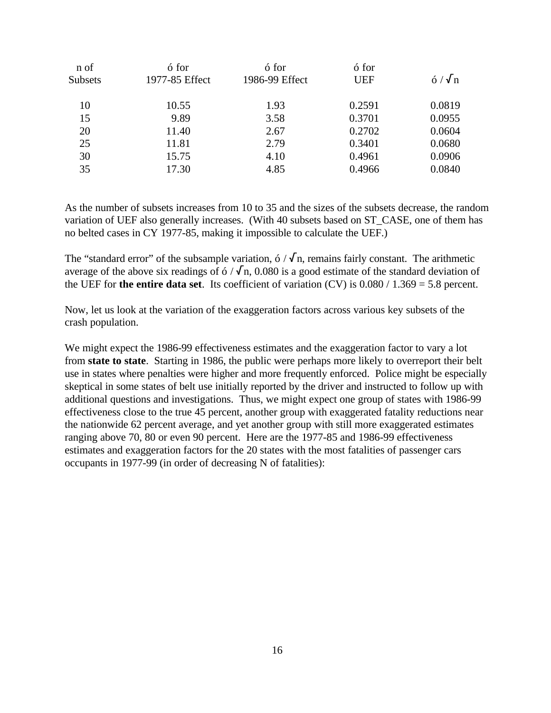| n of    | ó for          | ó for          | ó for      |              |
|---------|----------------|----------------|------------|--------------|
| Subsets | 1977-85 Effect | 1986-99 Effect | <b>UEF</b> | $6/\sqrt{n}$ |
| 10      | 10.55          | 1.93           | 0.2591     | 0.0819       |
| 15      | 9.89           | 3.58           | 0.3701     | 0.0955       |
| 20      | 11.40          | 2.67           | 0.2702     | 0.0604       |
| 25      | 11.81          | 2.79           | 0.3401     | 0.0680       |
| 30      | 15.75          | 4.10           | 0.4961     | 0.0906       |
| 35      | 17.30          | 4.85           | 0.4966     | 0.0840       |
|         |                |                |            |              |

As the number of subsets increases from 10 to 35 and the sizes of the subsets decrease, the random variation of UEF also generally increases. (With 40 subsets based on ST\_CASE, one of them has no belted cases in CY 1977-85, making it impossible to calculate the UEF.)

The "standard error" of the subsample variation,  $6/\sqrt{n}$ , remains fairly constant. The arithmetic average of the above six readings of  $6 / \sqrt{n}$ , 0.080 is a good estimate of the standard deviation of the UEF for **the entire data set**. Its coefficient of variation (CV) is 0.080 / 1.369 = 5.8 percent.

Now, let us look at the variation of the exaggeration factors across various key subsets of the crash population.

We might expect the 1986-99 effectiveness estimates and the exaggeration factor to vary a lot from **state to state**. Starting in 1986, the public were perhaps more likely to overreport their belt use in states where penalties were higher and more frequently enforced. Police might be especially skeptical in some states of belt use initially reported by the driver and instructed to follow up with additional questions and investigations. Thus, we might expect one group of states with 1986-99 effectiveness close to the true 45 percent, another group with exaggerated fatality reductions near the nationwide 62 percent average, and yet another group with still more exaggerated estimates ranging above 70, 80 or even 90 percent. Here are the 1977-85 and 1986-99 effectiveness estimates and exaggeration factors for the 20 states with the most fatalities of passenger cars occupants in 1977-99 (in order of decreasing N of fatalities):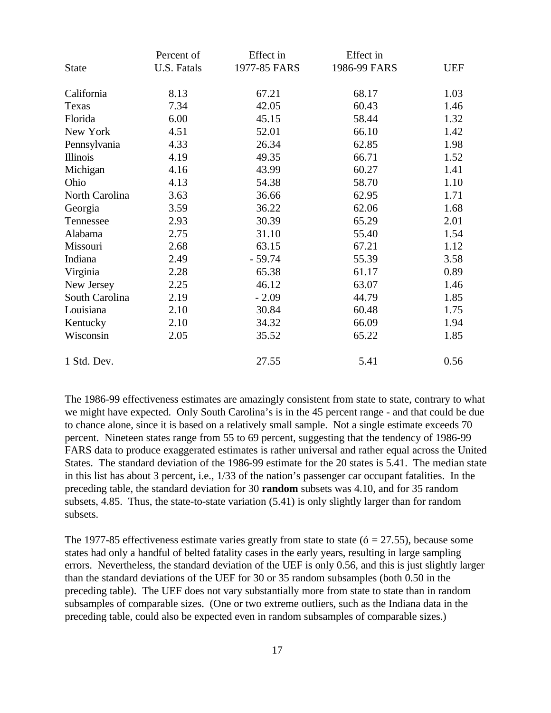|                | Percent of         | Effect in    | Effect in    |            |
|----------------|--------------------|--------------|--------------|------------|
| <b>State</b>   | <b>U.S. Fatals</b> | 1977-85 FARS | 1986-99 FARS | <b>UEF</b> |
| California     | 8.13               | 67.21        | 68.17        | 1.03       |
| Texas          | 7.34               | 42.05        | 60.43        | 1.46       |
| Florida        | 6.00               | 45.15        | 58.44        | 1.32       |
| New York       | 4.51               | 52.01        | 66.10        | 1.42       |
| Pennsylvania   | 4.33               | 26.34        | 62.85        | 1.98       |
| Illinois       | 4.19               | 49.35        | 66.71        | 1.52       |
| Michigan       | 4.16               | 43.99        | 60.27        | 1.41       |
| Ohio           | 4.13               | 54.38        | 58.70        | 1.10       |
| North Carolina | 3.63               | 36.66        | 62.95        | 1.71       |
| Georgia        | 3.59               | 36.22        | 62.06        | 1.68       |
| Tennessee      | 2.93               | 30.39        | 65.29        | 2.01       |
| Alabama        | 2.75               | 31.10        | 55.40        | 1.54       |
| Missouri       | 2.68               | 63.15        | 67.21        | 1.12       |
| Indiana        | 2.49               | $-59.74$     | 55.39        | 3.58       |
| Virginia       | 2.28               | 65.38        | 61.17        | 0.89       |
| New Jersey     | 2.25               | 46.12        | 63.07        | 1.46       |
| South Carolina | 2.19               | $-2.09$      | 44.79        | 1.85       |
| Louisiana      | 2.10               | 30.84        | 60.48        | 1.75       |
| Kentucky       | 2.10               | 34.32        | 66.09        | 1.94       |
| Wisconsin      | 2.05               | 35.52        | 65.22        | 1.85       |
| 1 Std. Dev.    |                    | 27.55        | 5.41         | 0.56       |

The 1986-99 effectiveness estimates are amazingly consistent from state to state, contrary to what we might have expected. Only South Carolina's is in the 45 percent range - and that could be due to chance alone, since it is based on a relatively small sample. Not a single estimate exceeds 70 percent. Nineteen states range from 55 to 69 percent, suggesting that the tendency of 1986-99 FARS data to produce exaggerated estimates is rather universal and rather equal across the United States. The standard deviation of the 1986-99 estimate for the 20 states is 5.41. The median state in this list has about 3 percent, i.e., 1/33 of the nation's passenger car occupant fatalities. In the preceding table, the standard deviation for 30 **random** subsets was 4.10, and for 35 random subsets, 4.85. Thus, the state-to-state variation (5.41) is only slightly larger than for random subsets.

The 1977-85 effectiveness estimate varies greatly from state to state  $(6 = 27.55)$ , because some states had only a handful of belted fatality cases in the early years, resulting in large sampling errors. Nevertheless, the standard deviation of the UEF is only 0.56, and this is just slightly larger than the standard deviations of the UEF for 30 or 35 random subsamples (both 0.50 in the preceding table). The UEF does not vary substantially more from state to state than in random subsamples of comparable sizes. (One or two extreme outliers, such as the Indiana data in the preceding table, could also be expected even in random subsamples of comparable sizes.)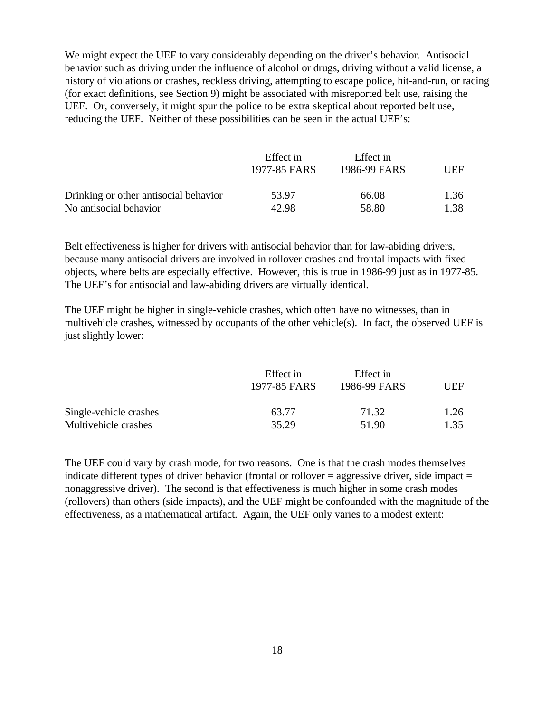We might expect the UEF to vary considerably depending on the driver's behavior. Antisocial behavior such as driving under the influence of alcohol or drugs, driving without a valid license, a history of violations or crashes, reckless driving, attempting to escape police, hit-and-run, or racing (for exact definitions, see Section 9) might be associated with misreported belt use, raising the UEF. Or, conversely, it might spur the police to be extra skeptical about reported belt use, reducing the UEF. Neither of these possibilities can be seen in the actual UEF's:

|                                       | Effect in    | Effect in    |      |
|---------------------------------------|--------------|--------------|------|
|                                       | 1977-85 FARS | 1986-99 FARS | UEF  |
| Drinking or other antisocial behavior | 53.97        | 66.08        | 1.36 |
| No antisocial behavior                | 42.98        | 58.80        | 1.38 |

Belt effectiveness is higher for drivers with antisocial behavior than for law-abiding drivers, because many antisocial drivers are involved in rollover crashes and frontal impacts with fixed objects, where belts are especially effective. However, this is true in 1986-99 just as in 1977-85. The UEF's for antisocial and law-abiding drivers are virtually identical.

The UEF might be higher in single-vehicle crashes, which often have no witnesses, than in multivehicle crashes, witnessed by occupants of the other vehicle(s). In fact, the observed UEF is just slightly lower:

|                        | Effect in<br>1977-85 FARS | Effect in<br>1986-99 FARS | UEF  |
|------------------------|---------------------------|---------------------------|------|
| Single-vehicle crashes | 63.77                     | 71.32                     | 1.26 |
|                        |                           |                           |      |
| Multivehicle crashes   | 35.29                     | 51.90                     | 1.35 |

The UEF could vary by crash mode, for two reasons. One is that the crash modes themselves indicate different types of driver behavior (frontal or rollover  $=$  aggressive driver, side impact  $=$ nonaggressive driver). The second is that effectiveness is much higher in some crash modes (rollovers) than others (side impacts), and the UEF might be confounded with the magnitude of the effectiveness, as a mathematical artifact. Again, the UEF only varies to a modest extent: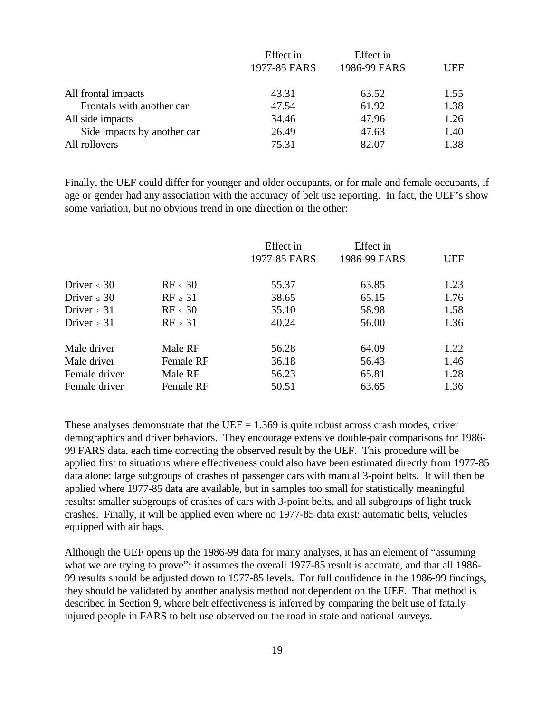|                             | Effect in    | Effect in    |      |
|-----------------------------|--------------|--------------|------|
|                             | 1977-85 FARS | 1986-99 FARS | UEF  |
| All frontal impacts         | 43.31        | 63.52        | 1.55 |
| Frontals with another car   | 47.54        | 61.92        | 1.38 |
| All side impacts            | 34.46        | 47.96        | 1.26 |
| Side impacts by another car | 26.49        | 47.63        | 1.40 |
| All rollovers               | 75.31        | 82.07        | 1.38 |

Finally, the UEF could differ for younger and older occupants, or for male and female occupants, if age or gender had any association with the accuracy of belt use reporting. In fact, the UEF's show some variation, but no obvious trend in one direction or the other:

|              | Effect in<br>1977-85 FARS | Effect in<br>1986-99 FARS | <b>UEF</b> |
|--------------|---------------------------|---------------------------|------------|
| $RF \leq 30$ | 55.37                     | 63.85                     | 1.23       |
| $RF \geq 31$ | 38.65                     | 65.15                     | 1.76       |
| $RF \leq 30$ | 35.10                     | 58.98                     | 1.58       |
| $RF \geq 31$ | 40.24                     | 56.00                     | 1.36       |
| Male RF      | 56.28                     | 64.09                     | 1.22       |
| Female RF    | 36.18                     | 56.43                     | 1.46       |
| Male RF      | 56.23                     | 65.81                     | 1.28       |
| Female RF    | 50.51                     | 63.65                     | 1.36       |
|              |                           |                           |            |

These analyses demonstrate that the UEF  $= 1.369$  is quite robust across crash modes, driver demographics and driver behaviors. They encourage extensive double-pair comparisons for 1986- 99 FARS data, each time correcting the observed result by the UEF. This procedure will be applied first to situations where effectiveness could also have been estimated directly from 1977-85 data alone: large subgroups of crashes of passenger cars with manual 3-point belts. It will then be applied where 1977-85 data are available, but in samples too small for statistically meaningful results: smaller subgroups of crashes of cars with 3-point belts, and all subgroups of light truck crashes. Finally, it will be applied even where no 1977-85 data exist: automatic belts, vehicles equipped with air bags.

Although the UEF opens up the 1986-99 data for many analyses, it has an element of "assuming what we are trying to prove": it assumes the overall 1977-85 result is accurate, and that all 1986-99 results should be adjusted down to 1977-85 levels. For full confidence in the 1986-99 findings, they should be validated by another analysis method not dependent on the UEF. That method is described in Section 9, where belt effectiveness is inferred by comparing the belt use of fatally injured people in FARS to belt use observed on the road in state and national surveys.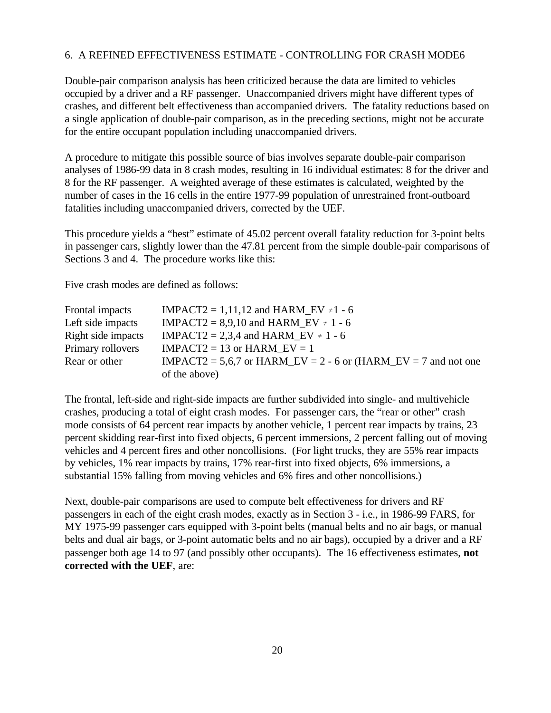# 6. A REFINED EFFECTIVENESS ESTIMATE - CONTROLLING FOR CRASH MODE6

Double-pair comparison analysis has been criticized because the data are limited to vehicles occupied by a driver and a RF passenger. Unaccompanied drivers might have different types of crashes, and different belt effectiveness than accompanied drivers. The fatality reductions based on a single application of double-pair comparison, as in the preceding sections, might not be accurate for the entire occupant population including unaccompanied drivers.

A procedure to mitigate this possible source of bias involves separate double-pair comparison analyses of 1986-99 data in 8 crash modes, resulting in 16 individual estimates: 8 for the driver and 8 for the RF passenger. A weighted average of these estimates is calculated, weighted by the number of cases in the 16 cells in the entire 1977-99 population of unrestrained front-outboard fatalities including unaccompanied drivers, corrected by the UEF.

This procedure yields a "best" estimate of 45.02 percent overall fatality reduction for 3-point belts in passenger cars, slightly lower than the 47.81 percent from the simple double-pair comparisons of Sections 3 and 4. The procedure works like this:

Five crash modes are defined as follows:

| Frontal impacts    | IMPACT2 = 1,11,12 and HARM EV $\neq$ 1 - 6                     |
|--------------------|----------------------------------------------------------------|
| Left side impacts  | IMPACT2 = 8,9,10 and HARM EV $\neq$ 1 - 6                      |
| Right side impacts | IMPACT2 = 2,3,4 and HARM EV $\neq$ 1 - 6                       |
| Primary rollovers  | IMPACT2 = 13 or HARM $EV = 1$                                  |
| Rear or other      | IMPACT2 = 5,6,7 or HARM_EV = 2 - 6 or (HARM_EV = 7 and not one |
|                    | of the above)                                                  |

The frontal, left-side and right-side impacts are further subdivided into single- and multivehicle crashes, producing a total of eight crash modes. For passenger cars, the "rear or other" crash mode consists of 64 percent rear impacts by another vehicle, 1 percent rear impacts by trains, 23 percent skidding rear-first into fixed objects, 6 percent immersions, 2 percent falling out of moving vehicles and 4 percent fires and other noncollisions. (For light trucks, they are 55% rear impacts by vehicles, 1% rear impacts by trains, 17% rear-first into fixed objects, 6% immersions, a substantial 15% falling from moving vehicles and 6% fires and other noncollisions.)

Next, double-pair comparisons are used to compute belt effectiveness for drivers and RF passengers in each of the eight crash modes, exactly as in Section 3 - i.e., in 1986-99 FARS, for MY 1975-99 passenger cars equipped with 3-point belts (manual belts and no air bags, or manual belts and dual air bags, or 3-point automatic belts and no air bags), occupied by a driver and a RF passenger both age 14 to 97 (and possibly other occupants). The 16 effectiveness estimates, **not corrected with the UEF**, are: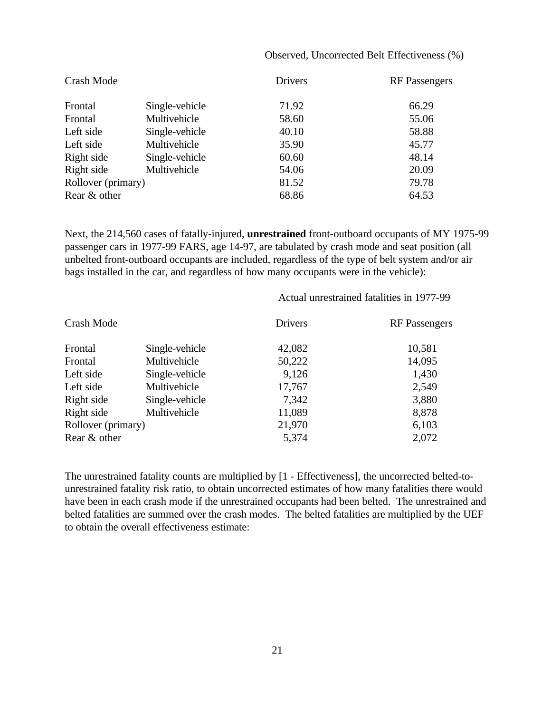#### Observed, Uncorrected Belt Effectiveness (%)

| Crash Mode         |                | <b>Drivers</b> | <b>RF</b> Passengers |
|--------------------|----------------|----------------|----------------------|
| Frontal            | Single-vehicle | 71.92          | 66.29                |
| Frontal            | Multivehicle   | 58.60          | 55.06                |
| Left side          | Single-vehicle | 40.10          | 58.88                |
| Left side          | Multivehicle   | 35.90          | 45.77                |
| Right side         | Single-vehicle | 60.60          | 48.14                |
| Right side         | Multivehicle   | 54.06          | 20.09                |
| Rollover (primary) |                | 81.52          | 79.78                |
| Rear & other       |                | 68.86          | 64.53                |

Next, the 214,560 cases of fatally-injured, **unrestrained** front-outboard occupants of MY 1975-99 passenger cars in 1977-99 FARS, age 14-97, are tabulated by crash mode and seat position (all unbelted front-outboard occupants are included, regardless of the type of belt system and/or air bags installed in the car, and regardless of how many occupants were in the vehicle):

|                    |                | Actual unrestrained fatalities in 1977-99 |
|--------------------|----------------|-------------------------------------------|
|                    | <b>Drivers</b> | <b>RF</b> Passengers                      |
| Single-vehicle     | 42,082         | 10,581                                    |
| Multivehicle       | 50,222         | 14,095                                    |
| Single-vehicle     | 9,126          | 1,430                                     |
| Multivehicle       | 17,767         | 2,549                                     |
| Single-vehicle     | 7,342          | 3,880                                     |
| Multivehicle       | 11,089         | 8,878                                     |
| Rollover (primary) | 21,970         | 6,103                                     |
|                    | 5,374          | 2,072                                     |
|                    |                |                                           |

The unrestrained fatality counts are multiplied by [1 - Effectiveness], the uncorrected belted-tounrestrained fatality risk ratio, to obtain uncorrected estimates of how many fatalities there would have been in each crash mode if the unrestrained occupants had been belted. The unrestrained and belted fatalities are summed over the crash modes. The belted fatalities are multiplied by the UEF to obtain the overall effectiveness estimate: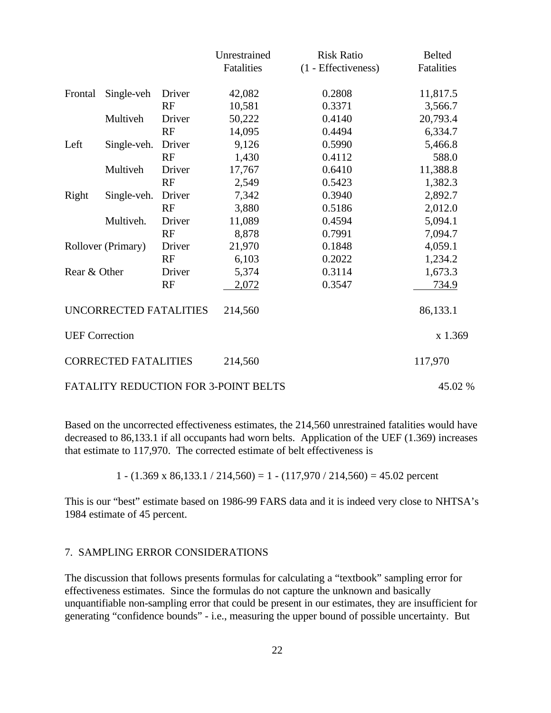|              |                               |           | Unrestrained                                | <b>Risk Ratio</b>   | <b>Belted</b> |
|--------------|-------------------------------|-----------|---------------------------------------------|---------------------|---------------|
|              |                               |           | Fatalities                                  | (1 - Effectiveness) | Fatalities    |
| Frontal      | Single-veh                    | Driver    | 42,082                                      | 0.2808              | 11,817.5      |
|              |                               | RF        | 10,581                                      | 0.3371              | 3,566.7       |
|              | Multiveh                      | Driver    | 50,222                                      | 0.4140              | 20,793.4      |
|              |                               | RF        | 14,095                                      | 0.4494              | 6,334.7       |
| Left         | Single-veh.                   | Driver    | 9,126                                       | 0.5990              | 5,466.8       |
|              |                               | RF        | 1,430                                       | 0.4112              | 588.0         |
|              | Multiveh                      | Driver    | 17,767                                      | 0.6410              | 11,388.8      |
|              |                               | RF        | 2,549                                       | 0.5423              | 1,382.3       |
| Right        | Single-veh.                   | Driver    | 7,342                                       | 0.3940              | 2,892.7       |
|              |                               | <b>RF</b> | 3,880                                       | 0.5186              | 2,012.0       |
|              | Multiveh.                     | Driver    | 11,089                                      | 0.4594              | 5,094.1       |
|              |                               | RF        | 8,878                                       | 0.7991              | 7,094.7       |
|              | Rollover (Primary)            | Driver    | 21,970                                      | 0.1848              | 4,059.1       |
|              |                               | RF        | 6,103                                       | 0.2022              | 1,234.2       |
| Rear & Other |                               | Driver    | 5,374                                       | 0.3114              | 1,673.3       |
|              |                               | RF        | 2,072                                       | 0.3547              | 734.9         |
|              | <b>UNCORRECTED FATALITIES</b> |           | 214,560                                     |                     | 86,133.1      |
|              | <b>UEF</b> Correction         |           |                                             |                     | x 1.369       |
|              | <b>CORRECTED FATALITIES</b>   |           | 214,560                                     |                     | 117,970       |
|              |                               |           | <b>FATALITY REDUCTION FOR 3-POINT BELTS</b> |                     | 45.02 %       |

Based on the uncorrected effectiveness estimates, the 214,560 unrestrained fatalities would have decreased to 86,133.1 if all occupants had worn belts. Application of the UEF (1.369) increases that estimate to 117,970. The corrected estimate of belt effectiveness is

1 -  $(1.369 \times 86,133.1 / 214,560) = 1 - (117,970 / 214,560) = 45.02$  percent

This is our "best" estimate based on 1986-99 FARS data and it is indeed very close to NHTSA's 1984 estimate of 45 percent.

#### 7. SAMPLING ERROR CONSIDERATIONS

The discussion that follows presents formulas for calculating a "textbook" sampling error for effectiveness estimates. Since the formulas do not capture the unknown and basically unquantifiable non-sampling error that could be present in our estimates, they are insufficient for generating "confidence bounds" - i.e., measuring the upper bound of possible uncertainty. But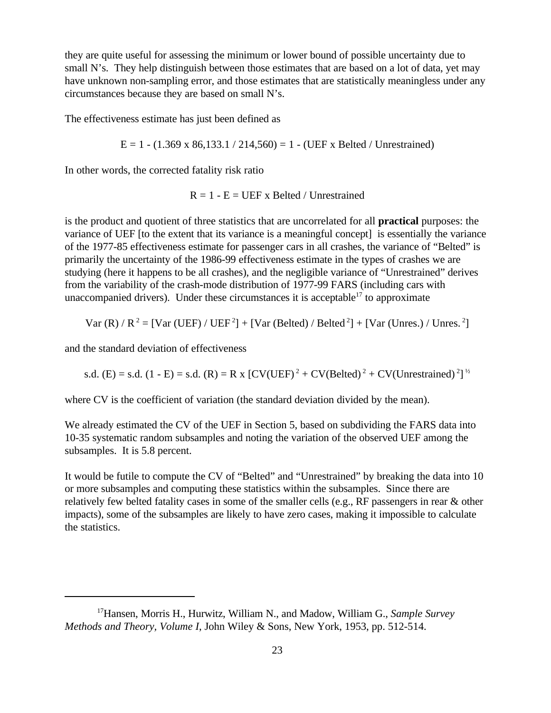they are quite useful for assessing the minimum or lower bound of possible uncertainty due to small N's. They help distinguish between those estimates that are based on a lot of data, yet may have unknown non-sampling error, and those estimates that are statistically meaningless under any circumstances because they are based on small N's.

The effectiveness estimate has just been defined as

$$
E = 1 - (1.369 \times 86, 133.1 / 214, 560) = 1 - (UEF \times Belted / Unrestrained)
$$

In other words, the corrected fatality risk ratio

 $R = 1 - E = UEF \times Belted / Unrestrained$ 

is the product and quotient of three statistics that are uncorrelated for all **practical** purposes: the variance of UEF [to the extent that its variance is a meaningful concept] is essentially the variance of the 1977-85 effectiveness estimate for passenger cars in all crashes, the variance of "Belted" is primarily the uncertainty of the 1986-99 effectiveness estimate in the types of crashes we are studying (here it happens to be all crashes), and the negligible variance of "Unrestrained" derives from the variability of the crash-mode distribution of 1977-99 FARS (including cars with unaccompanied drivers). Under these circumstances it is acceptable<sup>17</sup> to approximate

Var (R) / R<sup>2</sup> = [Var (UEF) / UEF<sup>2</sup>] + [Var (Belted) / Belted<sup>2</sup>] + [Var (Unres.) / Unres.<sup>2</sup>]

and the standard deviation of effectiveness

s.d. (E) = s.d. (1 - E) = s.d. (R) = R x [CV(UEF)<sup>2</sup> + CV(Belted)<sup>2</sup> + CV(Unrestrained)<sup>2</sup>] ½

where CV is the coefficient of variation (the standard deviation divided by the mean).

We already estimated the CV of the UEF in Section 5, based on subdividing the FARS data into 10-35 systematic random subsamples and noting the variation of the observed UEF among the subsamples. It is 5.8 percent.

It would be futile to compute the CV of "Belted" and "Unrestrained" by breaking the data into 10 or more subsamples and computing these statistics within the subsamples. Since there are relatively few belted fatality cases in some of the smaller cells (e.g., RF passengers in rear & other impacts), some of the subsamples are likely to have zero cases, making it impossible to calculate the statistics.

<sup>17</sup>Hansen, Morris H., Hurwitz, William N., and Madow, William G., *Sample Survey Methods and Theory, Volume I*, John Wiley & Sons, New York, 1953, pp. 512-514.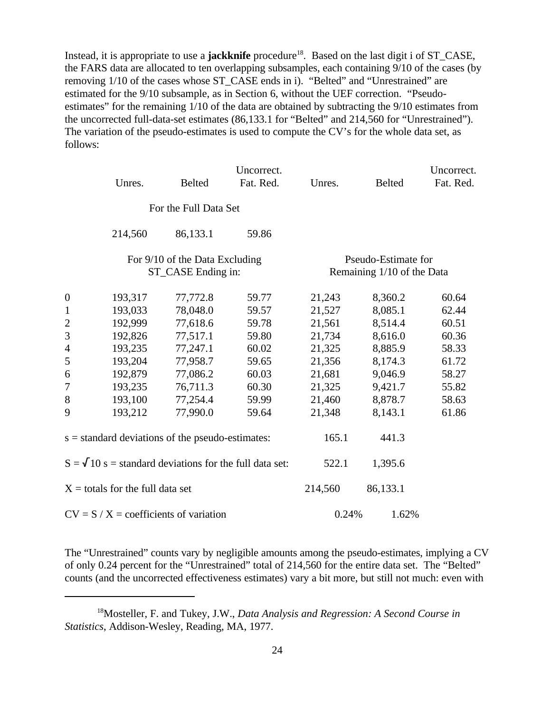Instead, it is appropriate to use a **jackknife** procedure<sup>18</sup>. Based on the last digit i of ST\_CASE, the FARS data are allocated to ten overlapping subsamples, each containing 9/10 of the cases (by removing 1/10 of the cases whose ST\_CASE ends in i). "Belted" and "Unrestrained" are estimated for the 9/10 subsample, as in Section 6, without the UEF correction. "Pseudoestimates" for the remaining 1/10 of the data are obtained by subtracting the 9/10 estimates from the uncorrected full-data-set estimates (86,133.1 for "Belted" and 214,560 for "Unrestrained"). The variation of the pseudo-estimates is used to compute the CV's for the whole data set, as follows:

|                  |                                                                |                                | Uncorrect. |         |                            | Uncorrect. |
|------------------|----------------------------------------------------------------|--------------------------------|------------|---------|----------------------------|------------|
|                  | Unres.                                                         | <b>Belted</b>                  | Fat. Red.  | Unres.  | <b>Belted</b>              | Fat. Red.  |
|                  |                                                                | For the Full Data Set          |            |         |                            |            |
|                  | 214,560                                                        | 86,133.1                       | 59.86      |         |                            |            |
|                  |                                                                | For 9/10 of the Data Excluding |            |         | Pseudo-Estimate for        |            |
|                  |                                                                | ST_CASE Ending in:             |            |         | Remaining 1/10 of the Data |            |
| $\boldsymbol{0}$ | 193,317                                                        | 77,772.8                       | 59.77      | 21,243  | 8,360.2                    | 60.64      |
| $\mathbf{1}$     | 193,033                                                        | 78,048.0                       | 59.57      | 21,527  | 8,085.1                    | 62.44      |
| $\overline{c}$   | 192,999                                                        | 77,618.6                       | 59.78      | 21,561  | 8,514.4                    | 60.51      |
| 3                | 192,826                                                        | 77,517.1                       | 59.80      | 21,734  | 8,616.0                    | 60.36      |
| $\overline{4}$   | 193,235                                                        | 77,247.1                       | 60.02      | 21,325  | 8,885.9                    | 58.33      |
| 5                | 193,204                                                        | 77,958.7                       | 59.65      | 21,356  | 8,174.3                    | 61.72      |
| 6                | 192,879                                                        | 77,086.2                       | 60.03      | 21,681  | 9,046.9                    | 58.27      |
| $\overline{7}$   | 193,235                                                        | 76,711.3                       | 60.30      | 21,325  | 9,421.7                    | 55.82      |
| 8                | 193,100                                                        | 77,254.4                       | 59.99      | 21,460  | 8,878.7                    | 58.63      |
| 9                | 193,212                                                        | 77,990.0                       | 59.64      | 21,348  | 8,143.1                    | 61.86      |
|                  | $s =$ standard deviations of the pseudo-estimates:             |                                |            | 165.1   | 441.3                      |            |
|                  | $S = \sqrt{10}$ s = standard deviations for the full data set: |                                |            | 522.1   | 1,395.6                    |            |
|                  | $X =$ totals for the full data set                             |                                |            | 214,560 | 86,133.1                   |            |
|                  | $CV = S / X = coefficients$ of variation                       |                                |            | 0.24%   | 1.62%                      |            |

The "Unrestrained" counts vary by negligible amounts among the pseudo-estimates, implying a CV of only 0.24 percent for the "Unrestrained" total of 214,560 for the entire data set. The "Belted" counts (and the uncorrected effectiveness estimates) vary a bit more, but still not much: even with

<sup>18</sup>Mosteller, F. and Tukey, J.W., *Data Analysis and Regression: A Second Course in Statistics*, Addison-Wesley, Reading, MA, 1977.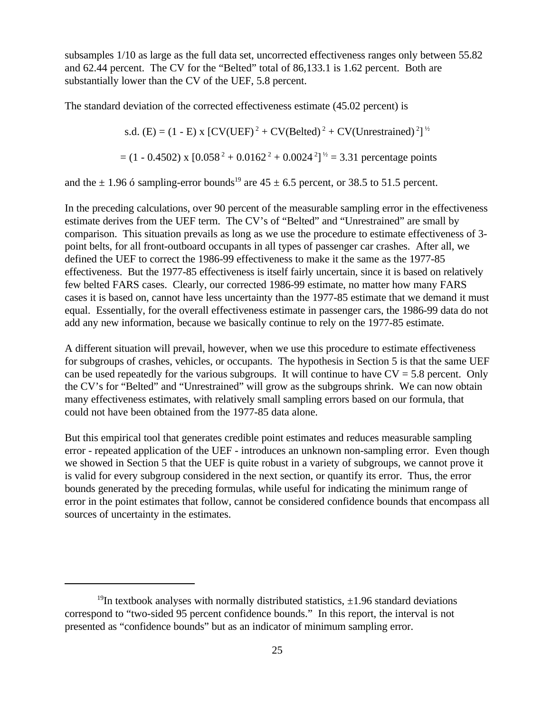subsamples 1/10 as large as the full data set, uncorrected effectiveness ranges only between 55.82 and 62.44 percent. The CV for the "Belted" total of 86,133.1 is 1.62 percent. Both are substantially lower than the CV of the UEF, 5.8 percent.

The standard deviation of the corrected effectiveness estimate (45.02 percent) is

s.d. (E) = (1 - E) x [CV(UEF)<sup>2</sup> + CV(Belted)<sup>2</sup> + CV(Unrestrained)<sup>2</sup>]<sup>1/2</sup>

 $= (1 - 0.4502) \times [0.058^2 + 0.0162^2 + 0.0024^2]^{\frac{1}{2}} = 3.31$  percentage points

and the  $\pm$  1.96 ó sampling-error bounds<sup>19</sup> are 45  $\pm$  6.5 percent, or 38.5 to 51.5 percent.

In the preceding calculations, over 90 percent of the measurable sampling error in the effectiveness estimate derives from the UEF term. The CV's of "Belted" and "Unrestrained" are small by comparison. This situation prevails as long as we use the procedure to estimate effectiveness of 3 point belts, for all front-outboard occupants in all types of passenger car crashes. After all, we defined the UEF to correct the 1986-99 effectiveness to make it the same as the 1977-85 effectiveness. But the 1977-85 effectiveness is itself fairly uncertain, since it is based on relatively few belted FARS cases. Clearly, our corrected 1986-99 estimate, no matter how many FARS cases it is based on, cannot have less uncertainty than the 1977-85 estimate that we demand it must equal. Essentially, for the overall effectiveness estimate in passenger cars, the 1986-99 data do not add any new information, because we basically continue to rely on the 1977-85 estimate.

A different situation will prevail, however, when we use this procedure to estimate effectiveness for subgroups of crashes, vehicles, or occupants. The hypothesis in Section 5 is that the same UEF can be used repeatedly for the various subgroups. It will continue to have  $CV = 5.8$  percent. Only the CV's for "Belted" and "Unrestrained" will grow as the subgroups shrink. We can now obtain many effectiveness estimates, with relatively small sampling errors based on our formula, that could not have been obtained from the 1977-85 data alone.

But this empirical tool that generates credible point estimates and reduces measurable sampling error - repeated application of the UEF - introduces an unknown non-sampling error. Even though we showed in Section 5 that the UEF is quite robust in a variety of subgroups, we cannot prove it is valid for every subgroup considered in the next section, or quantify its error. Thus, the error bounds generated by the preceding formulas, while useful for indicating the minimum range of error in the point estimates that follow, cannot be considered confidence bounds that encompass all sources of uncertainty in the estimates.

<sup>&</sup>lt;sup>19</sup>In textbook analyses with normally distributed statistics,  $\pm$ 1.96 standard deviations correspond to "two-sided 95 percent confidence bounds." In this report, the interval is not presented as "confidence bounds" but as an indicator of minimum sampling error.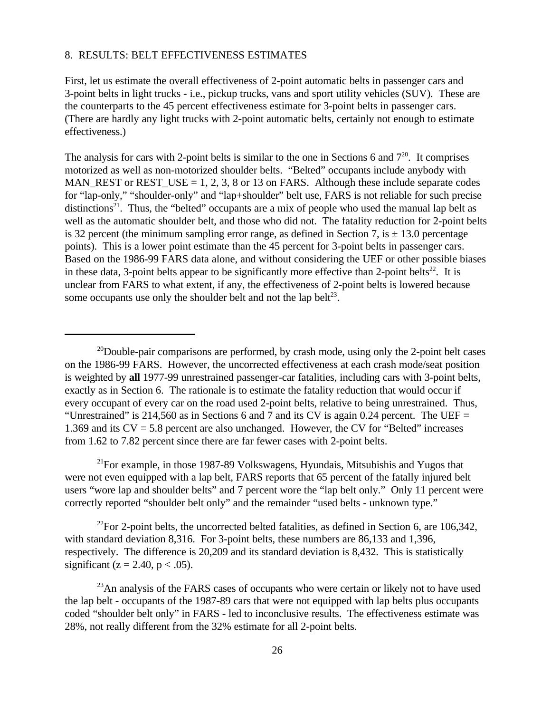#### 8. RESULTS: BELT EFFECTIVENESS ESTIMATES

First, let us estimate the overall effectiveness of 2-point automatic belts in passenger cars and 3-point belts in light trucks - i.e., pickup trucks, vans and sport utility vehicles (SUV). These are the counterparts to the 45 percent effectiveness estimate for 3-point belts in passenger cars. (There are hardly any light trucks with 2-point automatic belts, certainly not enough to estimate effectiveness.)

The analysis for cars with 2-point belts is similar to the one in Sections 6 and  $7^{20}$ . It comprises motorized as well as non-motorized shoulder belts. "Belted" occupants include anybody with MAN\_REST or REST\_USE = 1, 2, 3, 8 or 13 on FARS. Although these include separate codes for "lap-only," "shoulder-only" and "lap+shoulder" belt use, FARS is not reliable for such precise distinctions<sup>21</sup>. Thus, the "belted" occupants are a mix of people who used the manual lap belt as well as the automatic shoulder belt, and those who did not. The fatality reduction for 2-point belts is 32 percent (the minimum sampling error range, as defined in Section 7, is  $\pm$  13.0 percentage points). This is a lower point estimate than the 45 percent for 3-point belts in passenger cars. Based on the 1986-99 FARS data alone, and without considering the UEF or other possible biases in these data, 3-point belts appear to be significantly more effective than 2-point belts<sup>22</sup>. It is unclear from FARS to what extent, if any, the effectiveness of 2-point belts is lowered because some occupants use only the shoulder belt and not the lap belt $^{23}$ .

 $^{21}$ For example, in those 1987-89 Volkswagens, Hyundais, Mitsubishis and Yugos that were not even equipped with a lap belt, FARS reports that 65 percent of the fatally injured belt users "wore lap and shoulder belts" and 7 percent wore the "lap belt only." Only 11 percent were correctly reported "shoulder belt only" and the remainder "used belts - unknown type."

<sup>22</sup>For 2-point belts, the uncorrected belted fatalities, as defined in Section 6, are 106,342, with standard deviation 8,316. For 3-point belts, these numbers are 86,133 and 1,396, respectively. The difference is 20,209 and its standard deviation is 8,432. This is statistically significant ( $z = 2.40$ ,  $p < .05$ ).

 $20$ Double-pair comparisons are performed, by crash mode, using only the 2-point belt cases on the 1986-99 FARS. However, the uncorrected effectiveness at each crash mode/seat position is weighted by **all** 1977-99 unrestrained passenger-car fatalities, including cars with 3-point belts, exactly as in Section 6. The rationale is to estimate the fatality reduction that would occur if every occupant of every car on the road used 2-point belts, relative to being unrestrained. Thus, "Unrestrained" is 214,560 as in Sections 6 and 7 and its CV is again 0.24 percent. The UEF = 1.369 and its  $CV = 5.8$  percent are also unchanged. However, the CV for "Belted" increases from 1.62 to 7.82 percent since there are far fewer cases with 2-point belts.

 $^{23}$ An analysis of the FARS cases of occupants who were certain or likely not to have used the lap belt - occupants of the 1987-89 cars that were not equipped with lap belts plus occupants coded "shoulder belt only" in FARS - led to inconclusive results. The effectiveness estimate was 28%, not really different from the 32% estimate for all 2-point belts.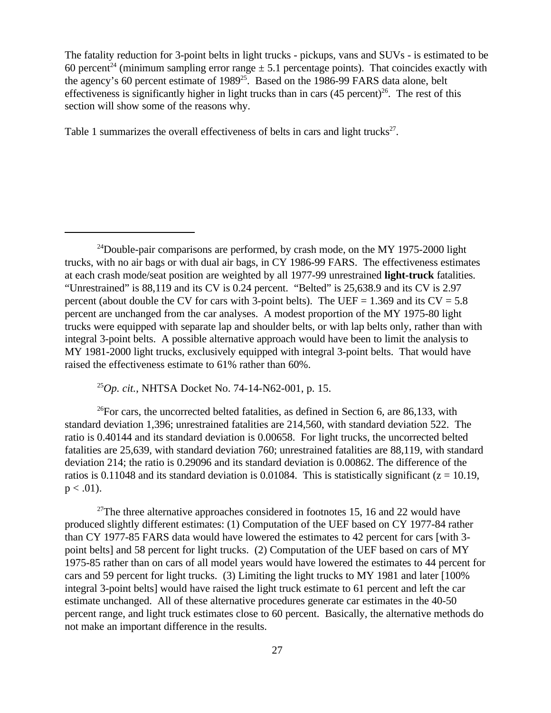The fatality reduction for 3-point belts in light trucks - pickups, vans and SUVs - is estimated to be 60 percent<sup>24</sup> (minimum sampling error range  $\pm$  5.1 percentage points). That coincides exactly with the agency's 60 percent estimate of 1989<sup>25</sup>. Based on the 1986-99 FARS data alone, belt effectiveness is significantly higher in light trucks than in cars  $(45 \text{ percent})^{26}$ . The rest of this section will show some of the reasons why.

Table 1 summarizes the overall effectiveness of belts in cars and light trucks $27$ .

 $^{24}$ Double-pair comparisons are performed, by crash mode, on the MY 1975-2000 light trucks, with no air bags or with dual air bags, in CY 1986-99 FARS. The effectiveness estimates at each crash mode/seat position are weighted by all 1977-99 unrestrained **light-truck** fatalities. "Unrestrained" is 88,119 and its CV is 0.24 percent. "Belted" is 25,638.9 and its CV is 2.97 percent (about double the CV for cars with 3-point belts). The UEF = 1.369 and its  $CV = 5.8$ percent are unchanged from the car analyses. A modest proportion of the MY 1975-80 light trucks were equipped with separate lap and shoulder belts, or with lap belts only, rather than with integral 3-point belts. A possible alternative approach would have been to limit the analysis to MY 1981-2000 light trucks, exclusively equipped with integral 3-point belts. That would have raised the effectiveness estimate to 61% rather than 60%.

<sup>25</sup>*Op. cit.*, NHTSA Docket No. 74-14-N62-001, p. 15.

 $^{26}$ For cars, the uncorrected belted fatalities, as defined in Section 6, are 86,133, with standard deviation 1,396; unrestrained fatalities are 214,560, with standard deviation 522. The ratio is 0.40144 and its standard deviation is 0.00658. For light trucks, the uncorrected belted fatalities are 25,639, with standard deviation 760; unrestrained fatalities are 88,119, with standard deviation 214; the ratio is 0.29096 and its standard deviation is 0.00862. The difference of the ratios is 0.11048 and its standard deviation is 0.01084. This is statistically significant ( $z = 10.19$ ,  $p < .01$ ).

<sup>27</sup>The three alternative approaches considered in footnotes 15, 16 and 22 would have produced slightly different estimates: (1) Computation of the UEF based on CY 1977-84 rather than CY 1977-85 FARS data would have lowered the estimates to 42 percent for cars [with 3 point belts] and 58 percent for light trucks. (2) Computation of the UEF based on cars of MY 1975-85 rather than on cars of all model years would have lowered the estimates to 44 percent for cars and 59 percent for light trucks. (3) Limiting the light trucks to MY 1981 and later [100% integral 3-point belts] would have raised the light truck estimate to 61 percent and left the car estimate unchanged. All of these alternative procedures generate car estimates in the 40-50 percent range, and light truck estimates close to 60 percent. Basically, the alternative methods do not make an important difference in the results.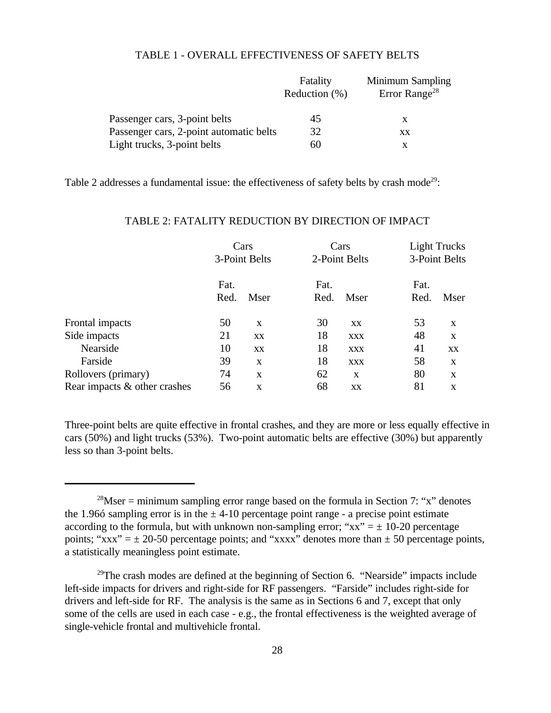#### TABLE 1 - OVERALL EFFECTIVENESS OF SAFETY BELTS

|                                         | Fatality         | Minimum Sampling          |  |  |
|-----------------------------------------|------------------|---------------------------|--|--|
|                                         | Reduction $(\%)$ | Error Range <sup>28</sup> |  |  |
| Passenger cars, 3-point belts           | 45               |                           |  |  |
| Passenger cars, 2-point automatic belts | 32               | <b>XX</b>                 |  |  |
| Light trucks, 3-point belts             | 60               |                           |  |  |

Table 2 addresses a fundamental issue: the effectiveness of safety belts by crash mode<sup>29</sup>:

|                              | Cars<br>3-Point Belts |              | Cars<br>2-Point Belts |            | Light Trucks<br>3-Point Belts |      |
|------------------------------|-----------------------|--------------|-----------------------|------------|-------------------------------|------|
|                              | Fat.<br>Red.          | Mser         | Fat.<br>Red.          | Mser       | Fat.<br>Red.                  | Mser |
|                              |                       |              |                       |            |                               |      |
| Frontal impacts              | 50                    | X            | 30                    | XX         | 53                            | X    |
| Side impacts                 | 21                    | XX           | 18                    | <b>XXX</b> | 48                            | X    |
| Nearside                     | 10                    | XX           | 18                    | <b>XXX</b> | 41                            | XX   |
| Farside                      | 39                    | X            | 18                    | <b>XXX</b> | 58                            | X    |
| Rollovers (primary)          | 74                    | $\mathbf{x}$ | 62                    | X          | 80                            | X    |
| Rear impacts & other crashes | 56                    | $\mathbf x$  | 68                    | XX         | 81                            | X    |

## TABLE 2: FATALITY REDUCTION BY DIRECTION OF IMPACT

Three-point belts are quite effective in frontal crashes, and they are more or less equally effective in cars (50%) and light trucks (53%). Two-point automatic belts are effective (30%) but apparently less so than 3-point belts.

<sup>&</sup>lt;sup>28</sup>Mser = minimum sampling error range based on the formula in Section 7: "x" denotes the 1.966 sampling error is in the  $\pm$  4-10 percentage point range - a precise point estimate according to the formula, but with unknown non-sampling error; " $xx$ " =  $\pm$  10-20 percentage points; "xxx" =  $\pm$  20-50 percentage points; and "xxxx" denotes more than  $\pm$  50 percentage points, a statistically meaningless point estimate.

 $29$ The crash modes are defined at the beginning of Section 6. "Nearside" impacts include left-side impacts for drivers and right-side for RF passengers. "Farside" includes right-side for drivers and left-side for RF. The analysis is the same as in Sections 6 and 7, except that only some of the cells are used in each case - e.g., the frontal effectiveness is the weighted average of single-vehicle frontal and multivehicle frontal.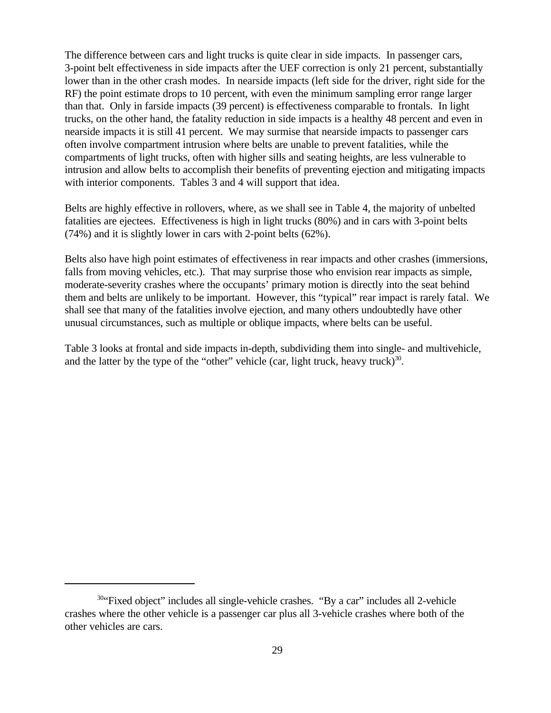The difference between cars and light trucks is quite clear in side impacts. In passenger cars, 3-point belt effectiveness in side impacts after the UEF correction is only 21 percent, substantially lower than in the other crash modes. In nearside impacts (left side for the driver, right side for the RF) the point estimate drops to 10 percent, with even the minimum sampling error range larger than that. Only in farside impacts (39 percent) is effectiveness comparable to frontals. In light trucks, on the other hand, the fatality reduction in side impacts is a healthy 48 percent and even in nearside impacts it is still 41 percent. We may surmise that nearside impacts to passenger cars often involve compartment intrusion where belts are unable to prevent fatalities, while the compartments of light trucks, often with higher sills and seating heights, are less vulnerable to intrusion and allow belts to accomplish their benefits of preventing ejection and mitigating impacts with interior components. Tables 3 and 4 will support that idea.

Belts are highly effective in rollovers, where, as we shall see in Table 4, the majority of unbelted fatalities are ejectees. Effectiveness is high in light trucks (80%) and in cars with 3-point belts (74%) and it is slightly lower in cars with 2-point belts (62%).

Belts also have high point estimates of effectiveness in rear impacts and other crashes (immersions, falls from moving vehicles, etc.). That may surprise those who envision rear impacts as simple, moderate-severity crashes where the occupants' primary motion is directly into the seat behind them and belts are unlikely to be important. However, this "typical" rear impact is rarely fatal. We shall see that many of the fatalities involve ejection, and many others undoubtedly have other unusual circumstances, such as multiple or oblique impacts, where belts can be useful.

Table 3 looks at frontal and side impacts in-depth, subdividing them into single- and multivehicle, and the latter by the type of the "other" vehicle (car, light truck, heavy truck) $30$ .

<sup>&</sup>lt;sup>30</sup>"Fixed object" includes all single-vehicle crashes. "By a car" includes all 2-vehicle crashes where the other vehicle is a passenger car plus all 3-vehicle crashes where both of the other vehicles are cars.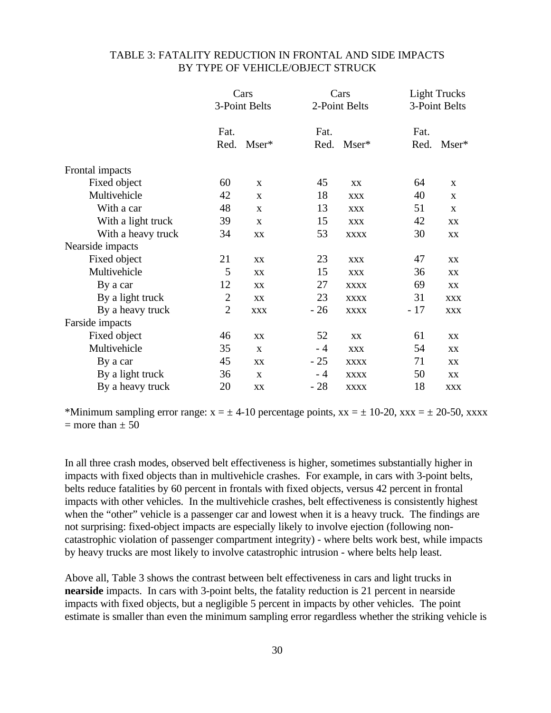## TABLE 3: FATALITY REDUCTION IN FRONTAL AND SIDE IMPACTS BY TYPE OF VEHICLE/OBJECT STRUCK

|                    | Cars<br>3-Point Belts |             | Cars<br>2-Point Belts |             | <b>Light Trucks</b><br>3-Point Belts |             |
|--------------------|-----------------------|-------------|-----------------------|-------------|--------------------------------------|-------------|
|                    | Fat.                  |             | Fat.                  |             | Fat.                                 |             |
|                    | Red.                  | Mser*       | Red.                  | Mser*       | Red.                                 | Mser*       |
| Frontal impacts    |                       |             |                       |             |                                      |             |
| Fixed object       | 60                    | X           | 45                    | XX          | 64                                   | X           |
| Multivehicle       | 42                    | $\mathbf X$ | 18                    | <b>XXX</b>  | 40                                   | $\mathbf X$ |
| With a car         | 48                    | X           | 13                    | <b>XXX</b>  | 51                                   | $\mathbf X$ |
| With a light truck | 39                    | X           | 15                    | <b>XXX</b>  | 42                                   | XX          |
| With a heavy truck | 34                    | XX          | 53                    | <b>XXXX</b> | 30                                   | XX          |
| Nearside impacts   |                       |             |                       |             |                                      |             |
| Fixed object       | 21                    | XX          | 23                    | <b>XXX</b>  | 47                                   | XX          |
| Multivehicle       | 5                     | XX          | 15                    | <b>XXX</b>  | 36                                   | XX          |
| By a car           | 12                    | XX          | 27                    | <b>XXXX</b> | 69                                   | XX          |
| By a light truck   | $\overline{2}$        | XX          | 23                    | <b>XXXX</b> | 31                                   | <b>XXX</b>  |
| By a heavy truck   | $\overline{2}$        | <b>XXX</b>  | $-26$                 | <b>XXXX</b> | - 17                                 | <b>XXX</b>  |
| Farside impacts    |                       |             |                       |             |                                      |             |
| Fixed object       | 46                    | XX          | 52                    | XX          | 61                                   | XX          |
| Multivehicle       | 35                    | X           | $-4$                  | <b>XXX</b>  | 54                                   | XX          |
| By a car           | 45                    | <b>XX</b>   | $-25$                 | <b>XXXX</b> | 71                                   | XX          |
| By a light truck   | 36                    | X           | - 4                   | <b>XXXX</b> | 50                                   | XX          |
| By a heavy truck   | 20                    | XX          | $-28$                 | <b>XXXX</b> | 18                                   | <b>XXX</b>  |

\*Minimum sampling error range:  $x = \pm 4$ -10 percentage points,  $xx = \pm 10$ -20,  $xxxx = \pm 20$ -50,  $xxxx =$  $=$  more than  $\pm$  50

In all three crash modes, observed belt effectiveness is higher, sometimes substantially higher in impacts with fixed objects than in multivehicle crashes. For example, in cars with 3-point belts, belts reduce fatalities by 60 percent in frontals with fixed objects, versus 42 percent in frontal impacts with other vehicles. In the multivehicle crashes, belt effectiveness is consistently highest when the "other" vehicle is a passenger car and lowest when it is a heavy truck. The findings are not surprising: fixed-object impacts are especially likely to involve ejection (following noncatastrophic violation of passenger compartment integrity) - where belts work best, while impacts by heavy trucks are most likely to involve catastrophic intrusion - where belts help least.

Above all, Table 3 shows the contrast between belt effectiveness in cars and light trucks in **nearside** impacts. In cars with 3-point belts, the fatality reduction is 21 percent in nearside impacts with fixed objects, but a negligible 5 percent in impacts by other vehicles. The point estimate is smaller than even the minimum sampling error regardless whether the striking vehicle is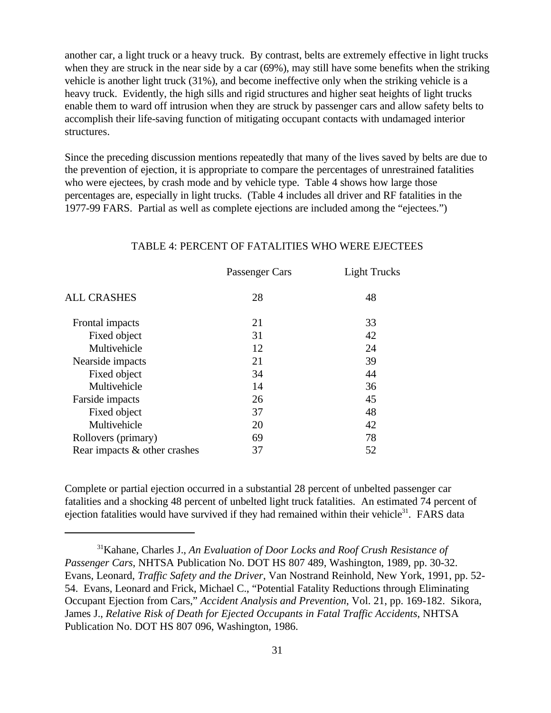another car, a light truck or a heavy truck. By contrast, belts are extremely effective in light trucks when they are struck in the near side by a car (69%), may still have some benefits when the striking vehicle is another light truck (31%), and become ineffective only when the striking vehicle is a heavy truck. Evidently, the high sills and rigid structures and higher seat heights of light trucks enable them to ward off intrusion when they are struck by passenger cars and allow safety belts to accomplish their life-saving function of mitigating occupant contacts with undamaged interior structures.

Since the preceding discussion mentions repeatedly that many of the lives saved by belts are due to the prevention of ejection, it is appropriate to compare the percentages of unrestrained fatalities who were ejectees, by crash mode and by vehicle type. Table 4 shows how large those percentages are, especially in light trucks. (Table 4 includes all driver and RF fatalities in the 1977-99 FARS. Partial as well as complete ejections are included among the "ejectees.")

|                              | Passenger Cars | <b>Light Trucks</b> |
|------------------------------|----------------|---------------------|
| <b>ALL CRASHES</b>           | 28             | 48                  |
| Frontal impacts              | 21             | 33                  |
| Fixed object                 | 31             | 42                  |
| Multivehicle                 | 12             | 24                  |
| Nearside impacts             | 21             | 39                  |
| Fixed object                 | 34             | 44                  |
| Multivehicle                 | 14             | 36                  |
| Farside impacts              | 26             | 45                  |
| Fixed object                 | 37             | 48                  |
| Multivehicle                 | 20             | 42                  |
| Rollovers (primary)          | 69             | 78                  |
| Rear impacts & other crashes | 37             | 52                  |

#### TABLE 4: PERCENT OF FATALITIES WHO WERE EJECTEES

Complete or partial ejection occurred in a substantial 28 percent of unbelted passenger car fatalities and a shocking 48 percent of unbelted light truck fatalities. An estimated 74 percent of ejection fatalities would have survived if they had remained within their vehicle<sup>31</sup>. FARS data

<sup>31</sup>Kahane, Charles J., *An Evaluation of Door Locks and Roof Crush Resistance of Passenger Cars*, NHTSA Publication No. DOT HS 807 489, Washington, 1989, pp. 30-32. Evans, Leonard, *Traffic Safety and the Driver*, Van Nostrand Reinhold, New York, 1991, pp. 52- 54. Evans, Leonard and Frick, Michael C., "Potential Fatality Reductions through Eliminating Occupant Ejection from Cars," *Accident Analysis and Prevention*, Vol. 21, pp. 169-182. Sikora, James J., *Relative Risk of Death for Ejected Occupants in Fatal Traffic Accidents*, NHTSA Publication No. DOT HS 807 096, Washington, 1986.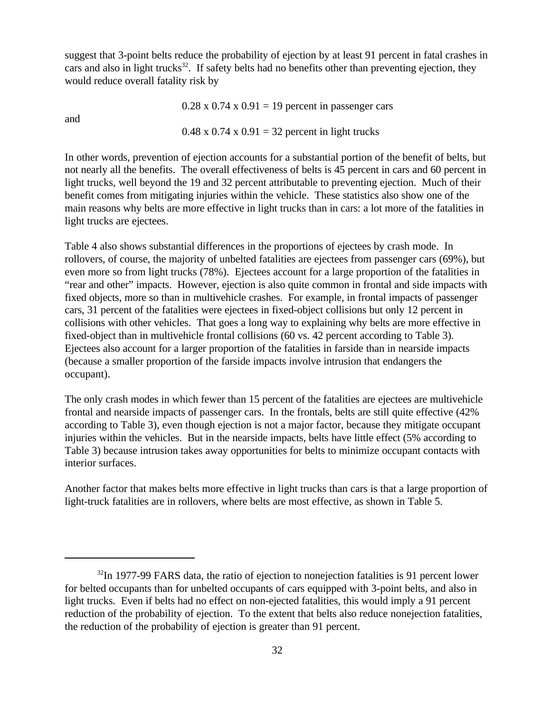suggest that 3-point belts reduce the probability of ejection by at least 91 percent in fatal crashes in cars and also in light trucks<sup>32</sup>. If safety belts had no benefits other than preventing ejection, they would reduce overall fatality risk by

 $0.28 \times 0.74 \times 0.91 = 19$  percent in passenger cars and  $0.48 \times 0.74 \times 0.91 = 32$  percent in light trucks

In other words, prevention of ejection accounts for a substantial portion of the benefit of belts, but not nearly all the benefits. The overall effectiveness of belts is 45 percent in cars and 60 percent in light trucks, well beyond the 19 and 32 percent attributable to preventing ejection. Much of their benefit comes from mitigating injuries within the vehicle. These statistics also show one of the main reasons why belts are more effective in light trucks than in cars: a lot more of the fatalities in light trucks are ejectees.

Table 4 also shows substantial differences in the proportions of ejectees by crash mode. In rollovers, of course, the majority of unbelted fatalities are ejectees from passenger cars (69%), but even more so from light trucks (78%). Ejectees account for a large proportion of the fatalities in "rear and other" impacts. However, ejection is also quite common in frontal and side impacts with fixed objects, more so than in multivehicle crashes. For example, in frontal impacts of passenger cars, 31 percent of the fatalities were ejectees in fixed-object collisions but only 12 percent in collisions with other vehicles. That goes a long way to explaining why belts are more effective in fixed-object than in multivehicle frontal collisions (60 vs. 42 percent according to Table 3). Ejectees also account for a larger proportion of the fatalities in farside than in nearside impacts (because a smaller proportion of the farside impacts involve intrusion that endangers the occupant).

The only crash modes in which fewer than 15 percent of the fatalities are ejectees are multivehicle frontal and nearside impacts of passenger cars. In the frontals, belts are still quite effective (42% according to Table 3), even though ejection is not a major factor, because they mitigate occupant injuries within the vehicles. But in the nearside impacts, belts have little effect (5% according to Table 3) because intrusion takes away opportunities for belts to minimize occupant contacts with interior surfaces.

Another factor that makes belts more effective in light trucks than cars is that a large proportion of light-truck fatalities are in rollovers, where belts are most effective, as shown in Table 5.

<sup>&</sup>lt;sup>32</sup>In 1977-99 FARS data, the ratio of ejection to nonejection fatalities is 91 percent lower for belted occupants than for unbelted occupants of cars equipped with 3-point belts, and also in light trucks. Even if belts had no effect on non-ejected fatalities, this would imply a 91 percent reduction of the probability of ejection. To the extent that belts also reduce nonejection fatalities, the reduction of the probability of ejection is greater than 91 percent.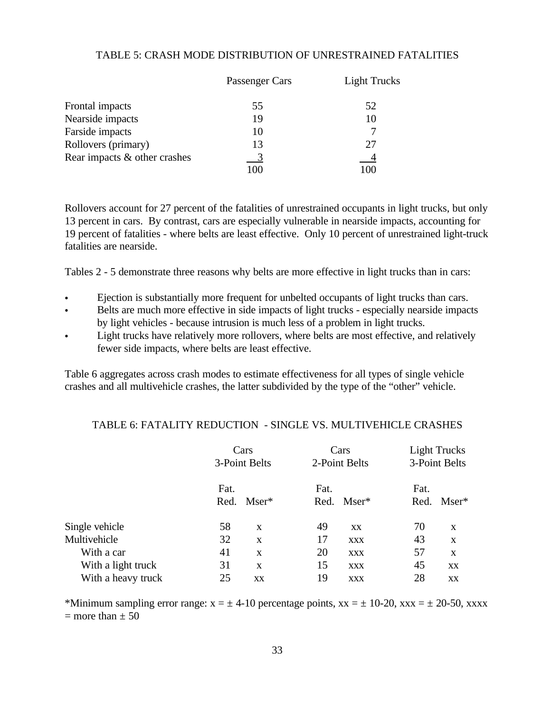#### TABLE 5: CRASH MODE DISTRIBUTION OF UNRESTRAINED FATALITIES

|                              | Passenger Cars | <b>Light Trucks</b> |
|------------------------------|----------------|---------------------|
| Frontal impacts              | 55             | 52                  |
| Nearside impacts             | 19             | 10                  |
| Farside impacts              | 10             |                     |
| Rollovers (primary)          | 13             | 27                  |
| Rear impacts & other crashes |                |                     |
|                              | 100            |                     |

Rollovers account for 27 percent of the fatalities of unrestrained occupants in light trucks, but only 13 percent in cars. By contrast, cars are especially vulnerable in nearside impacts, accounting for 19 percent of fatalities - where belts are least effective. Only 10 percent of unrestrained light-truck fatalities are nearside.

Tables 2 - 5 demonstrate three reasons why belts are more effective in light trucks than in cars:

- Ejection is substantially more frequent for unbelted occupants of light trucks than cars.
- Belts are much more effective in side impacts of light trucks especially nearside impacts by light vehicles - because intrusion is much less of a problem in light trucks.
- Light trucks have relatively more rollovers, where belts are most effective, and relatively fewer side impacts, where belts are least effective.

Table 6 aggregates across crash modes to estimate effectiveness for all types of single vehicle crashes and all multivehicle crashes, the latter subdivided by the type of the "other" vehicle.

### TABLE 6: FATALITY REDUCTION - SINGLE VS. MULTIVEHICLE CRASHES

|                    | Cars<br>3-Point Belts |      | Cars<br>2-Point Belts |      | <b>Light Trucks</b><br>3-Point Belts |  |
|--------------------|-----------------------|------|-----------------------|------|--------------------------------------|--|
|                    | Fat.<br>Mser*<br>Red. | Fat. | Red. Mser*            | Fat. | Red. Mser*                           |  |
| Single vehicle     | 58<br>X               | 49   | XX                    | 70   | X                                    |  |
| Multivehicle       | 32<br>X               | 17   | <b>XXX</b>            | 43   | X                                    |  |
| With a car         | 41<br>X               | 20   | <b>XXX</b>            | 57   | X                                    |  |
| With a light truck | 31<br>$\mathbf x$     | 15   | <b>XXX</b>            | 45   | XX                                   |  |
| With a heavy truck | 25<br>XX              | 19   | <b>XXX</b>            | 28   | XX                                   |  |

\*Minimum sampling error range:  $x = \pm 4$ -10 percentage points,  $xx = \pm 10$ -20,  $xxxx = \pm 20$ -50,  $xxxx$  $=$  more than  $+50$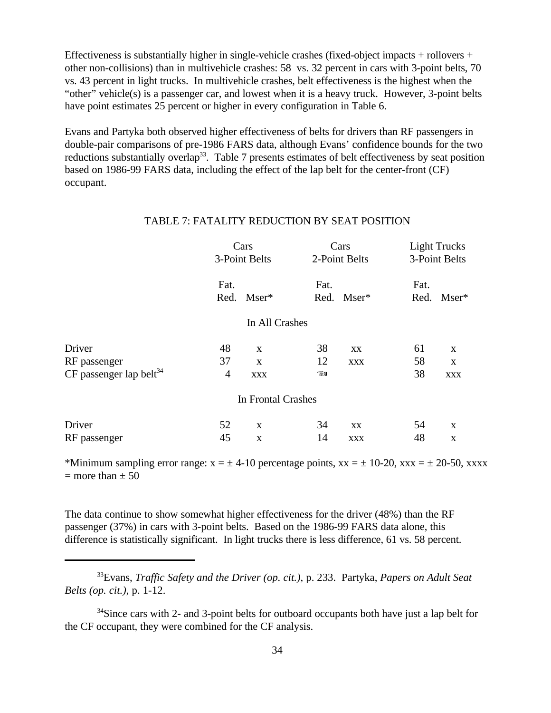Effectiveness is substantially higher in single-vehicle crashes (fixed-object impacts + rollovers + other non-collisions) than in multivehicle crashes: 58 vs. 32 percent in cars with 3-point belts, 70 vs. 43 percent in light trucks. In multivehicle crashes, belt effectiveness is the highest when the "other" vehicle(s) is a passenger car, and lowest when it is a heavy truck. However, 3-point belts have point estimates 25 percent or higher in every configuration in Table 6.

Evans and Partyka both observed higher effectiveness of belts for drivers than RF passengers in double-pair comparisons of pre-1986 FARS data, although Evans' confidence bounds for the two reductions substantially overlap<sup>33</sup>. Table 7 presents estimates of belt effectiveness by seat position based on 1986-99 FARS data, including the effect of the lap belt for the center-front (CF) occupant.

## TABLE 7: FATALITY REDUCTION BY SEAT POSITION

|                                       | Cars<br>3-Point Belts |                    | Cars<br>2-Point Belts |            | <b>Light Trucks</b><br>3-Point Belts |            |
|---------------------------------------|-----------------------|--------------------|-----------------------|------------|--------------------------------------|------------|
|                                       | Fat.<br>Red.          | $Mser*$            | Fat.<br>Red.          | $Mser*$    | Fat.<br>Red.                         | $Mser*$    |
|                                       |                       | In All Crashes     |                       |            |                                      |            |
| Driver                                | 48                    | $\mathbf X$        | 38                    | XX         | 61                                   | X          |
| RF passenger                          | 37                    | $\mathbf{X}$       | 12                    | <b>XXX</b> | 58                                   | X          |
| $CF$ passenger lap belt <sup>34</sup> | 4                     | <b>XXX</b>         | TI                    |            | 38                                   | <b>XXX</b> |
|                                       |                       | In Frontal Crashes |                       |            |                                      |            |
| Driver                                | 52                    | X                  | 34                    | XX         | 54                                   | X          |
| RF passenger                          | 45                    | X                  | 14                    | <b>XXX</b> | 48                                   | X          |

\*Minimum sampling error range:  $x = \pm 4$ -10 percentage points,  $xx = \pm 10$ -20,  $xxxx = \pm 20$ -50,  $xxxx$  $=$  more than  $\pm$  50

The data continue to show somewhat higher effectiveness for the driver (48%) than the RF passenger (37%) in cars with 3-point belts. Based on the 1986-99 FARS data alone, this difference is statistically significant. In light trucks there is less difference, 61 vs. 58 percent.

<sup>33</sup>Evans, *Traffic Safety and the Driver (op. cit.)*, p. 233. Partyka, *Papers on Adult Seat Belts (op. cit.)*, p. 1-12.

<sup>34</sup>Since cars with 2- and 3-point belts for outboard occupants both have just a lap belt for the CF occupant, they were combined for the CF analysis.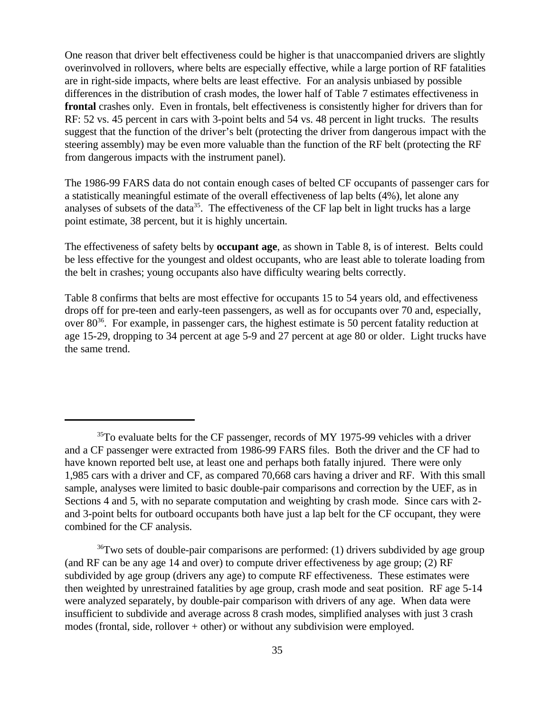One reason that driver belt effectiveness could be higher is that unaccompanied drivers are slightly overinvolved in rollovers, where belts are especially effective, while a large portion of RF fatalities are in right-side impacts, where belts are least effective. For an analysis unbiased by possible differences in the distribution of crash modes, the lower half of Table 7 estimates effectiveness in **frontal** crashes only. Even in frontals, belt effectiveness is consistently higher for drivers than for RF: 52 vs. 45 percent in cars with 3-point belts and 54 vs. 48 percent in light trucks. The results suggest that the function of the driver's belt (protecting the driver from dangerous impact with the steering assembly) may be even more valuable than the function of the RF belt (protecting the RF from dangerous impacts with the instrument panel).

The 1986-99 FARS data do not contain enough cases of belted CF occupants of passenger cars for a statistically meaningful estimate of the overall effectiveness of lap belts (4%), let alone any analyses of subsets of the data<sup>35</sup>. The effectiveness of the CF lap belt in light trucks has a large point estimate, 38 percent, but it is highly uncertain.

The effectiveness of safety belts by **occupant age**, as shown in Table 8, is of interest. Belts could be less effective for the youngest and oldest occupants, who are least able to tolerate loading from the belt in crashes; young occupants also have difficulty wearing belts correctly.

Table 8 confirms that belts are most effective for occupants 15 to 54 years old, and effectiveness drops off for pre-teen and early-teen passengers, as well as for occupants over 70 and, especially, over 80<sup>36</sup>. For example, in passenger cars, the highest estimate is 50 percent fatality reduction at age 15-29, dropping to 34 percent at age 5-9 and 27 percent at age 80 or older. Light trucks have the same trend.

<sup>&</sup>lt;sup>35</sup>To evaluate belts for the CF passenger, records of MY 1975-99 vehicles with a driver and a CF passenger were extracted from 1986-99 FARS files. Both the driver and the CF had to have known reported belt use, at least one and perhaps both fatally injured. There were only 1,985 cars with a driver and CF, as compared 70,668 cars having a driver and RF. With this small sample, analyses were limited to basic double-pair comparisons and correction by the UEF, as in Sections 4 and 5, with no separate computation and weighting by crash mode. Since cars with 2 and 3-point belts for outboard occupants both have just a lap belt for the CF occupant, they were combined for the CF analysis.

 $36$ Two sets of double-pair comparisons are performed: (1) drivers subdivided by age group (and RF can be any age 14 and over) to compute driver effectiveness by age group; (2) RF subdivided by age group (drivers any age) to compute RF effectiveness. These estimates were then weighted by unrestrained fatalities by age group, crash mode and seat position. RF age 5-14 were analyzed separately, by double-pair comparison with drivers of any age. When data were insufficient to subdivide and average across 8 crash modes, simplified analyses with just 3 crash modes (frontal, side, rollover  $+$  other) or without any subdivision were employed.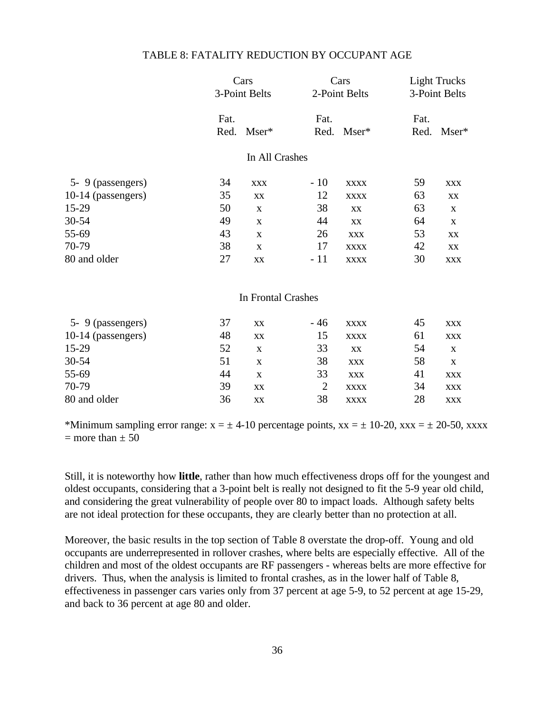#### TABLE 8: FATALITY REDUCTION BY OCCUPANT AGE

|                    |              | Cars<br>3-Point Belts |                | Cars<br>2-Point Belts |              | <b>Light Trucks</b><br>3-Point Belts |
|--------------------|--------------|-----------------------|----------------|-----------------------|--------------|--------------------------------------|
|                    | Fat.<br>Red. | Mser*                 | Fat.<br>Red.   | Mser*                 | Fat.<br>Red. | Mser*                                |
|                    |              | In All Crashes        |                |                       |              |                                      |
| 5- 9 (passengers)  | 34           | <b>XXX</b>            | $-10$          | <b>XXXX</b>           | 59           | <b>XXX</b>                           |
| 10-14 (passengers) | 35           | XX                    | 12             | <b>XXXX</b>           | 63           | XX                                   |
| 15-29              | 50           | $\mathbf X$           | 38             | XX                    | 63           | X                                    |
| $30 - 54$          | 49           | $\mathbf X$           | 44             | XX                    | 64           | X                                    |
| 55-69              | 43           | $\mathbf X$           | 26             | <b>XXX</b>            | 53           | XX                                   |
| 70-79              | 38           | $\mathbf X$           | 17             | <b>XXXX</b>           | 42           | XX                                   |
| 80 and older       | 27           | XX                    | $-11$          | <b>XXXX</b>           | 30           | <b>XXX</b>                           |
|                    |              | In Frontal Crashes    |                |                       |              |                                      |
| 5- 9 (passengers)  | 37           | XX                    | $-46$          | <b>XXXX</b>           | 45           | <b>XXX</b>                           |
| 10-14 (passengers) | 48           | XX                    | 15             | <b>XXXX</b>           | 61           | <b>XXX</b>                           |
| 15-29              | 52           | X                     | 33             | XX                    | 54           | X                                    |
| 30-54              | 51           | $\mathbf X$           | 38             | <b>XXX</b>            | 58           | X                                    |
| 55-69              | 44           | $\mathbf X$           | 33             | <b>XXX</b>            | 41           | <b>XXX</b>                           |
| 70-79              | 39           | XX                    | $\overline{2}$ | <b>XXXX</b>           | 34           | <b>XXX</b>                           |
| 80 and older       | 36           | XX                    | 38             | <b>XXXX</b>           | 28           | <b>XXX</b>                           |

\*Minimum sampling error range:  $x = \pm 4$ -10 percentage points,  $xx = \pm 10$ -20,  $xxxx = \pm 20$ -50,  $xxxx =$  $=$  more than  $+50$ 

Still, it is noteworthy how **little**, rather than how much effectiveness drops off for the youngest and oldest occupants, considering that a 3-point belt is really not designed to fit the 5-9 year old child, and considering the great vulnerability of people over 80 to impact loads. Although safety belts are not ideal protection for these occupants, they are clearly better than no protection at all.

Moreover, the basic results in the top section of Table 8 overstate the drop-off. Young and old occupants are underrepresented in rollover crashes, where belts are especially effective. All of the children and most of the oldest occupants are RF passengers - whereas belts are more effective for drivers. Thus, when the analysis is limited to frontal crashes, as in the lower half of Table 8, effectiveness in passenger cars varies only from 37 percent at age 5-9, to 52 percent at age 15-29, and back to 36 percent at age 80 and older.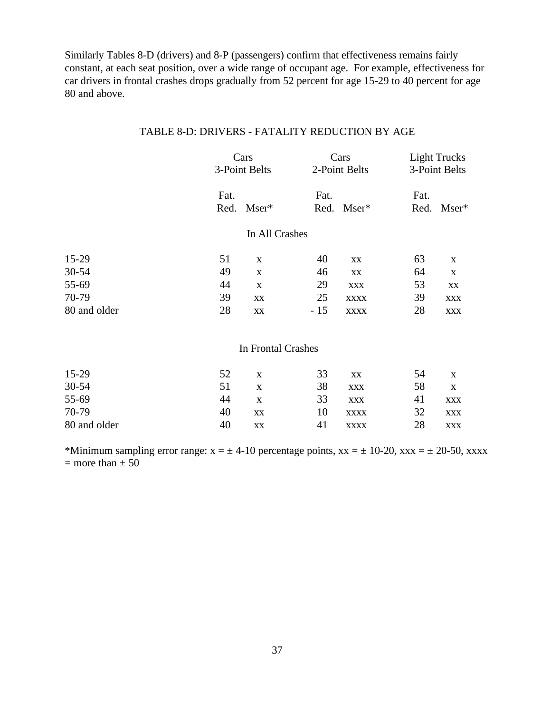Similarly Tables 8-D (drivers) and 8-P (passengers) confirm that effectiveness remains fairly constant, at each seat position, over a wide range of occupant age. For example, effectiveness for car drivers in frontal crashes drops gradually from 52 percent for age 15-29 to 40 percent for age 80 and above.

## TABLE 8-D: DRIVERS - FATALITY REDUCTION BY AGE

|              |      | Cars<br>3-Point Belts  |       | Cars<br>2-Point Belts  |      | <b>Light Trucks</b><br>3-Point Belts |  |
|--------------|------|------------------------|-------|------------------------|------|--------------------------------------|--|
|              | Fat. |                        | Fat.  |                        | Fat. |                                      |  |
|              | Red. | $Mser*$                | Red.  | $Mser*$                | Red. | Mser*                                |  |
|              |      | In All Crashes         |       |                        |      |                                      |  |
| 15-29        | 51   | $\mathbf X$            | 40    | XX                     | 63   | X                                    |  |
| 30-54        | 49   | $\mathbf X$            | 46    | $\mathbf{X}\mathbf{X}$ | 64   | X                                    |  |
| 55-69        | 44   | $\mathbf X$            | 29    | <b>XXX</b>             | 53   | XX                                   |  |
| 70-79        | 39   | $\mathbf{X}\mathbf{X}$ | 25    | <b>XXXX</b>            | 39   | <b>XXX</b>                           |  |
| 80 and older | 28   | XX                     | $-15$ | <b>XXXX</b>            | 28   | <b>XXX</b>                           |  |
|              |      | In Frontal Crashes     |       |                        |      |                                      |  |
| 15-29        | 52   | $\mathbf X$            | 33    | XX                     | 54   | $\mathbf X$                          |  |
| 30-54        | 51   | $\mathbf X$            | 38    | <b>XXX</b>             | 58   | X                                    |  |
| 55-69        | 44   | X                      | 33    | <b>XXX</b>             | 41   | <b>XXX</b>                           |  |
| 70-79        | 40   | XX                     | 10    | XXXX                   | 32   | <b>XXX</b>                           |  |
| 80 and older | 40   | XX                     | 41    | <b>XXXX</b>            | 28   | <b>XXX</b>                           |  |

\*Minimum sampling error range:  $x = \pm 4$ -10 percentage points,  $xx = \pm 10$ -20,  $xxxx = \pm 20$ -50,  $xxxx =$  $=$  more than  $\pm$  50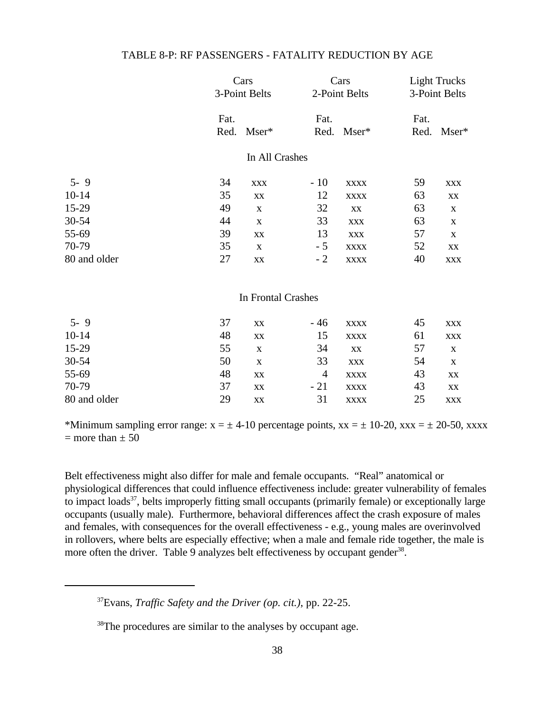#### TABLE 8-P: RF PASSENGERS - FATALITY REDUCTION BY AGE

|              |              | Cars<br>3-Point Belts  |              | Cars<br>2-Point Belts |              | <b>Light Trucks</b><br>3-Point Belts |
|--------------|--------------|------------------------|--------------|-----------------------|--------------|--------------------------------------|
|              | Fat.<br>Red. | $Mser*$                | Fat.<br>Red. | $Mser*$               | Fat.<br>Red. | $Mser*$                              |
|              |              | In All Crashes         |              |                       |              |                                      |
| $5 - 9$      | 34           | <b>XXX</b>             | $-10$        | <b>XXXX</b>           | 59           | <b>XXX</b>                           |
| $10 - 14$    | 35           | $\mathbf{X}\mathbf{X}$ | 12           | <b>XXXX</b>           | 63           | XX                                   |
| 15-29        | 49           | $\mathbf X$            | 32           | XX                    | 63           | $\mathbf X$                          |
| 30-54        | 44           | $\mathbf X$            | 33           | <b>XXX</b>            | 63           | $\mathbf X$                          |
| 55-69        | 39           | XX                     | 13           | <b>XXX</b>            | 57           | $\mathbf X$                          |
| 70-79        | 35           | $\mathbf X$            | $-5$         | <b>XXXX</b>           | 52           | XX                                   |
| 80 and older | 27           | XX                     | $-2$         | <b>XXXX</b>           | 40           | <b>XXX</b>                           |
|              |              | In Frontal Crashes     |              |                       |              |                                      |
| $5 - 9$      | 37           | $\mathbf{X}\mathbf{X}$ | $-46$        | <b>XXXX</b>           | 45           | <b>XXX</b>                           |
| $10-14$      | 48           | XX                     | 15           | <b>XXXX</b>           | 61           | <b>XXX</b>                           |
| 15-29        | 55           | $\mathbf X$            | 34           | XX                    | 57           | X                                    |
| 30-54        | 50           | $\mathbf X$            | 33           | <b>XXX</b>            | 54           | $\mathbf X$                          |
| 55-69        | 48           | XX                     | 4            | <b>XXXX</b>           | 43           | XX                                   |
| 70-79        | 37           | XX                     | $-21$        | <b>XXXX</b>           | 43           | XX                                   |
| 80 and older | 29           | XX                     | 31           | <b>XXXX</b>           | 25           | <b>XXX</b>                           |

\*Minimum sampling error range:  $x = \pm 4$ -10 percentage points,  $xx = \pm 10$ -20,  $xxxx = \pm 20$ -50,  $xxxx$  $=$  more than  $+50$ 

Belt effectiveness might also differ for male and female occupants. "Real" anatomical or physiological differences that could influence effectiveness include: greater vulnerability of females to impact loads<sup>37</sup>, belts improperly fitting small occupants (primarily female) or exceptionally large occupants (usually male). Furthermore, behavioral differences affect the crash exposure of males and females, with consequences for the overall effectiveness - e.g., young males are overinvolved in rollovers, where belts are especially effective; when a male and female ride together, the male is more often the driver. Table 9 analyzes belt effectiveness by occupant gender<sup>38</sup>.

<sup>37</sup>Evans, *Traffic Safety and the Driver (op. cit.)*, pp. 22-25.

<sup>&</sup>lt;sup>38</sup>The procedures are similar to the analyses by occupant age.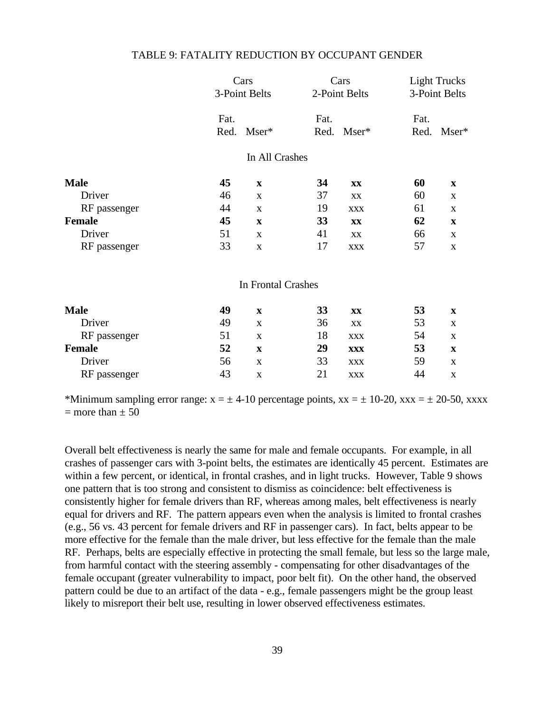#### TABLE 9: FATALITY REDUCTION BY OCCUPANT GENDER

|               |              | Cars<br>3-Point Belts |              | Cars<br>2-Point Belts |              | <b>Light Trucks</b><br>3-Point Belts |
|---------------|--------------|-----------------------|--------------|-----------------------|--------------|--------------------------------------|
|               | Fat.<br>Red. | Mser*                 | Fat.<br>Red. | Mser*                 | Fat.<br>Red. | Mser*                                |
|               |              | In All Crashes        |              |                       |              |                                      |
| <b>Male</b>   | 45           | $\mathbf X$           | 34           | XX                    | 60           | $\mathbf X$                          |
| Driver        | 46           | $\mathbf X$           | 37           | XX                    | 60           | X                                    |
| RF passenger  | 44           | X                     | 19           | <b>XXX</b>            | 61           | X                                    |
| <b>Female</b> | 45           | $\mathbf X$           | 33           | XX                    | 62           | $\mathbf X$                          |
| Driver        | 51           | X                     | 41           | XX                    | 66           | $\mathbf X$                          |
| RF passenger  | 33           | X                     | 17           | <b>XXX</b>            | 57           | X                                    |
|               |              | In Frontal Crashes    |              |                       |              |                                      |
| <b>Male</b>   | 49           | $\mathbf X$           | 33           | XX                    | 53           | $\mathbf X$                          |
| Driver        | 49           | $\mathbf X$           | 36           | XX                    | 53           | $\mathbf X$                          |
| RF passenger  | 51           | $\mathbf X$           | 18           | <b>XXX</b>            | 54           | $\mathbf X$                          |
| Female        | 52           | $\mathbf X$           | 29           | <b>XXX</b>            | 53           | $\mathbf X$                          |
| Driver        | 56           | $\mathbf X$           | 33           | <b>XXX</b>            | 59           | $\mathbf X$                          |
| RF passenger  | 43           | $\mathbf X$           | 21           | <b>XXX</b>            | 44           | $\mathbf X$                          |
|               |              |                       |              |                       |              |                                      |

\*Minimum sampling error range:  $x = \pm 4$ -10 percentage points,  $xx = \pm 10$ -20,  $xxxx = \pm 20$ -50,  $xxxx$  $=$  more than  $\pm$  50

Overall belt effectiveness is nearly the same for male and female occupants. For example, in all crashes of passenger cars with 3-point belts, the estimates are identically 45 percent. Estimates are within a few percent, or identical, in frontal crashes, and in light trucks. However, Table 9 shows one pattern that is too strong and consistent to dismiss as coincidence: belt effectiveness is consistently higher for female drivers than RF, whereas among males, belt effectiveness is nearly equal for drivers and RF. The pattern appears even when the analysis is limited to frontal crashes (e.g., 56 vs. 43 percent for female drivers and RF in passenger cars). In fact, belts appear to be more effective for the female than the male driver, but less effective for the female than the male RF. Perhaps, belts are especially effective in protecting the small female, but less so the large male, from harmful contact with the steering assembly - compensating for other disadvantages of the female occupant (greater vulnerability to impact, poor belt fit). On the other hand, the observed pattern could be due to an artifact of the data - e.g., female passengers might be the group least likely to misreport their belt use, resulting in lower observed effectiveness estimates.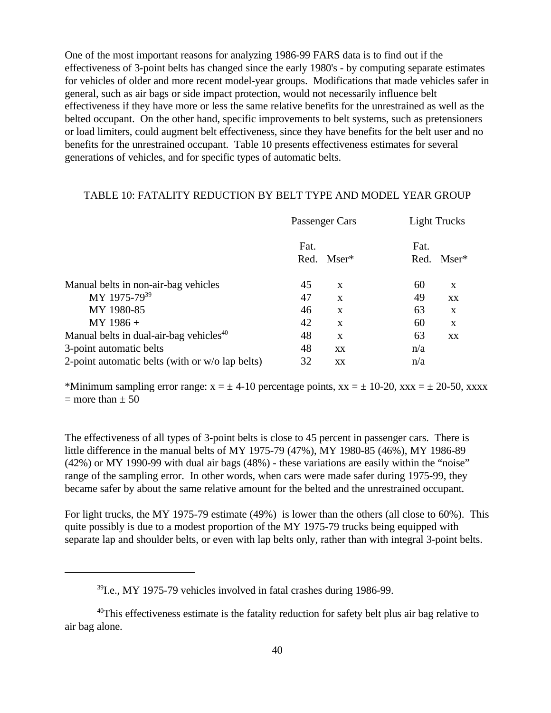One of the most important reasons for analyzing 1986-99 FARS data is to find out if the effectiveness of 3-point belts has changed since the early 1980's - by computing separate estimates for vehicles of older and more recent model-year groups. Modifications that made vehicles safer in general, such as air bags or side impact protection, would not necessarily influence belt effectiveness if they have more or less the same relative benefits for the unrestrained as well as the belted occupant. On the other hand, specific improvements to belt systems, such as pretensioners or load limiters, could augment belt effectiveness, since they have benefits for the belt user and no benefits for the unrestrained occupant. Table 10 presents effectiveness estimates for several generations of vehicles, and for specific types of automatic belts.

#### TABLE 10: FATALITY REDUCTION BY BELT TYPE AND MODEL YEAR GROUP

|                                                     | Passenger Cars |                        | <b>Light Trucks</b> |            |
|-----------------------------------------------------|----------------|------------------------|---------------------|------------|
|                                                     | Fat.           | Red. Mser <sup>*</sup> | Fat.                | Red. Mser* |
| Manual belts in non-air-bag vehicles                | 45             | $\mathbf{x}$           | 60                  | X          |
| MY 1975-79 <sup>39</sup>                            | 47             | $\mathbf{x}$           | 49                  | XX         |
| MY 1980-85                                          | 46             | $\mathbf{x}$           | 63                  | X          |
| MY 1986 +                                           | 42             | $\mathbf x$            | 60                  | X          |
| Manual belts in dual-air-bag vehicles <sup>40</sup> | 48             | $\mathbf x$            | 63                  | XX         |
| 3-point automatic belts                             | 48             | XX                     | n/a                 |            |
| 2-point automatic belts (with or w/o lap belts)     | 32             | XX                     | n/a                 |            |

\*Minimum sampling error range:  $x = \pm 4$ -10 percentage points,  $xx = \pm 10$ -20,  $xxxx = \pm 20$ -50,  $xxxx =$  $=$  more than  $+50$ 

The effectiveness of all types of 3-point belts is close to 45 percent in passenger cars. There is little difference in the manual belts of MY 1975-79 (47%), MY 1980-85 (46%), MY 1986-89 (42%) or MY 1990-99 with dual air bags (48%) - these variations are easily within the "noise" range of the sampling error. In other words, when cars were made safer during 1975-99, they became safer by about the same relative amount for the belted and the unrestrained occupant.

For light trucks, the MY 1975-79 estimate (49%) is lower than the others (all close to 60%). This quite possibly is due to a modest proportion of the MY 1975-79 trucks being equipped with separate lap and shoulder belts, or even with lap belts only, rather than with integral 3-point belts.

 $39$ I.e., MY 1975-79 vehicles involved in fatal crashes during 1986-99.

<sup>&</sup>lt;sup>40</sup>This effectiveness estimate is the fatality reduction for safety belt plus air bag relative to air bag alone.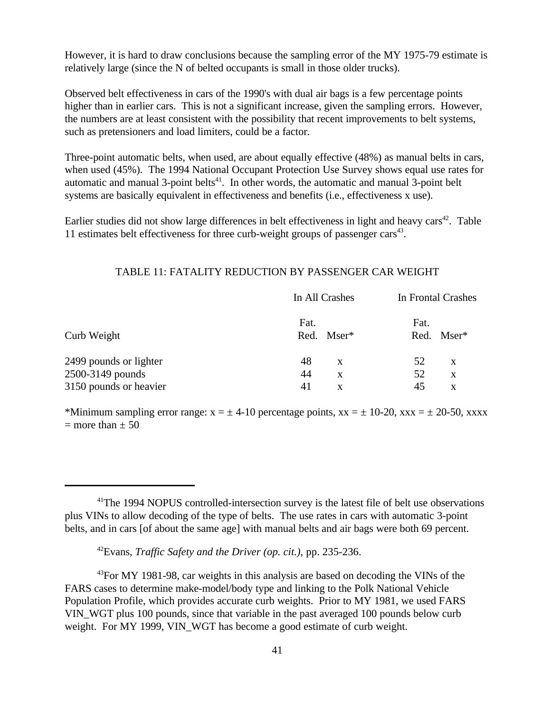However, it is hard to draw conclusions because the sampling error of the MY 1975-79 estimate is relatively large (since the N of belted occupants is small in those older trucks).

Observed belt effectiveness in cars of the 1990's with dual air bags is a few percentage points higher than in earlier cars. This is not a significant increase, given the sampling errors. However, the numbers are at least consistent with the possibility that recent improvements to belt systems, such as pretensioners and load limiters, could be a factor.

Three-point automatic belts, when used, are about equally effective (48%) as manual belts in cars, when used (45%). The 1994 National Occupant Protection Use Survey shows equal use rates for automatic and manual  $3$ -point belts<sup>41</sup>. In other words, the automatic and manual  $3$ -point belt systems are basically equivalent in effectiveness and benefits (i.e., effectiveness x use).

Earlier studies did not show large differences in belt effectiveness in light and heavy cars<sup>42</sup>. Table 11 estimates belt effectiveness for three curb-weight groups of passenger cars<sup>43</sup>.

#### TABLE 11: FATALITY REDUCTION BY PASSENGER CAR WEIGHT

|                        | In All Crashes | In Frontal Crashes |  |
|------------------------|----------------|--------------------|--|
|                        | Fat.           | Fat.               |  |
| Curb Weight            | Red. Mser*     | Red. Mser*         |  |
| 2499 pounds or lighter | 48<br>X        | 52<br>$\mathbf{X}$ |  |
| 2500-3149 pounds       | 44<br>X        | 52<br>$\mathbf{x}$ |  |
| 3150 pounds or heavier | 41<br>X        | 45<br>X            |  |

\*Minimum sampling error range:  $x = \pm 4$ -10 percentage points,  $xx = \pm 10$ -20,  $xxxx = \pm 20$ -50,  $xxxx =$  $=$  more than  $\pm$  50

<sup>42</sup>Evans, *Traffic Safety and the Driver (op. cit.)*, pp. 235-236.

<sup>43</sup>For MY 1981-98, car weights in this analysis are based on decoding the VINs of the FARS cases to determine make-model/body type and linking to the Polk National Vehicle Population Profile, which provides accurate curb weights. Prior to MY 1981, we used FARS VIN\_WGT plus 100 pounds, since that variable in the past averaged 100 pounds below curb weight. For MY 1999, VIN WGT has become a good estimate of curb weight.

<sup>&</sup>lt;sup>41</sup>The 1994 NOPUS controlled-intersection survey is the latest file of belt use observations plus VINs to allow decoding of the type of belts. The use rates in cars with automatic 3-point belts, and in cars [of about the same age] with manual belts and air bags were both 69 percent.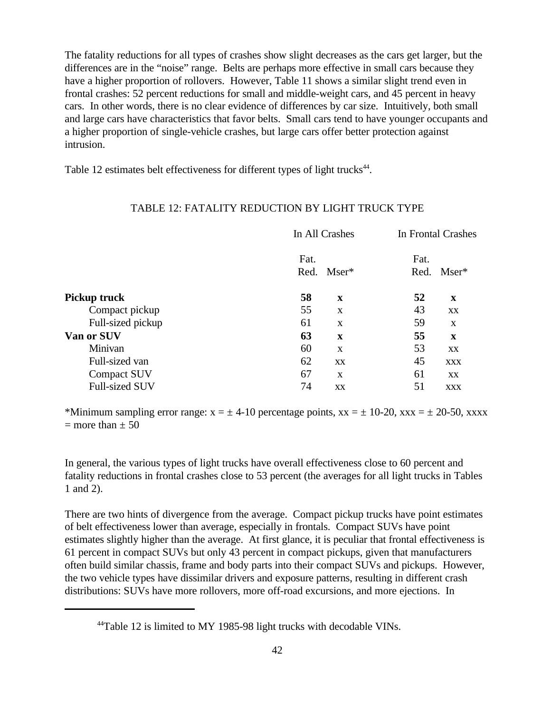The fatality reductions for all types of crashes show slight decreases as the cars get larger, but the differences are in the "noise" range. Belts are perhaps more effective in small cars because they have a higher proportion of rollovers. However, Table 11 shows a similar slight trend even in frontal crashes: 52 percent reductions for small and middle-weight cars, and 45 percent in heavy cars. In other words, there is no clear evidence of differences by car size. Intuitively, both small and large cars have characteristics that favor belts. Small cars tend to have younger occupants and a higher proportion of single-vehicle crashes, but large cars offer better protection against intrusion.

Table 12 estimates belt effectiveness for different types of light trucks<sup>44</sup>.

# TABLE 12: FATALITY REDUCTION BY LIGHT TRUCK TYPE

|                       | In All Crashes     | In Frontal Crashes |
|-----------------------|--------------------|--------------------|
|                       | Fat.               | Fat.               |
|                       | Red. Mser*         | $Mser*$<br>Red.    |
| <b>Pickup truck</b>   | 58<br>$\mathbf X$  | 52<br>$\mathbf X$  |
| Compact pickup        | 55<br>X            | 43<br>XX           |
| Full-sized pickup     | 61<br>$\mathbf{x}$ | 59<br>X            |
| Van or SUV            | 63<br>$\mathbf x$  | 55<br>$\mathbf X$  |
| Minivan               | 60<br>X            | 53<br>XX           |
| Full-sized van        | 62<br>XX           | 45<br><b>XXX</b>   |
| <b>Compact SUV</b>    | 67<br>X            | 61<br>XX           |
| <b>Full-sized SUV</b> | 74<br>XX           | 51<br><b>XXX</b>   |

\*Minimum sampling error range:  $x = \pm 4$ -10 percentage points,  $xx = \pm 10$ -20,  $xxxx = \pm 20$ -50,  $xxxx =$  $=$  more than  $\pm$  50

In general, the various types of light trucks have overall effectiveness close to 60 percent and fatality reductions in frontal crashes close to 53 percent (the averages for all light trucks in Tables 1 and 2).

There are two hints of divergence from the average. Compact pickup trucks have point estimates of belt effectiveness lower than average, especially in frontals. Compact SUVs have point estimates slightly higher than the average. At first glance, it is peculiar that frontal effectiveness is 61 percent in compact SUVs but only 43 percent in compact pickups, given that manufacturers often build similar chassis, frame and body parts into their compact SUVs and pickups. However, the two vehicle types have dissimilar drivers and exposure patterns, resulting in different crash distributions: SUVs have more rollovers, more off-road excursions, and more ejections. In

<sup>&</sup>lt;sup>44</sup>Table 12 is limited to MY 1985-98 light trucks with decodable VINs.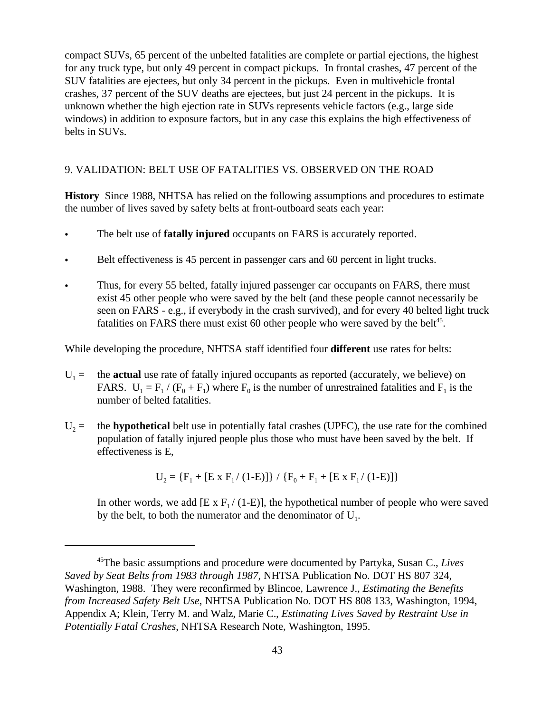compact SUVs, 65 percent of the unbelted fatalities are complete or partial ejections, the highest for any truck type, but only 49 percent in compact pickups. In frontal crashes, 47 percent of the SUV fatalities are ejectees, but only 34 percent in the pickups. Even in multivehicle frontal crashes, 37 percent of the SUV deaths are ejectees, but just 24 percent in the pickups. It is unknown whether the high ejection rate in SUVs represents vehicle factors (e.g., large side windows) in addition to exposure factors, but in any case this explains the high effectiveness of belts in SUVs.

## 9. VALIDATION: BELT USE OF FATALITIES VS. OBSERVED ON THE ROAD

**History** Since 1988, NHTSA has relied on the following assumptions and procedures to estimate the number of lives saved by safety belts at front-outboard seats each year:

- C The belt use of **fatally injured** occupants on FARS is accurately reported.
- Belt effectiveness is 45 percent in passenger cars and 60 percent in light trucks.
- Thus, for every 55 belted, fatally injured passenger car occupants on FARS, there must exist 45 other people who were saved by the belt (and these people cannot necessarily be seen on FARS - e.g., if everybody in the crash survived), and for every 40 belted light truck fatalities on FARS there must exist 60 other people who were saved by the belt<sup>45</sup>.

While developing the procedure, NHTSA staff identified four **different** use rates for belts:

- $U_1 =$ the **actual** use rate of fatally injured occupants as reported (accurately, we believe) on FARS.  $U_1 = F_1 / (F_0 + F_1)$  where  $F_0$  is the number of unrestrained fatalities and  $F_1$  is the number of belted fatalities.
- $U_2 =$ the **hypothetical** belt use in potentially fatal crashes (UPFC), the use rate for the combined population of fatally injured people plus those who must have been saved by the belt. If effectiveness is E,

 $U_2 = \{F_1 + [E \times F_1 / (1-E)]\} / \{F_0 + F_1 + [E \times F_1 / (1-E)]\}$ 

In other words, we add  $[E \times F_1 / (1-E)]$ , the hypothetical number of people who were saved by the belt, to both the numerator and the denominator of  $U_1$ .

<sup>45</sup>The basic assumptions and procedure were documented by Partyka, Susan C., *Lives Saved by Seat Belts from 1983 through 1987*, NHTSA Publication No. DOT HS 807 324, Washington, 1988. They were reconfirmed by Blincoe, Lawrence J., *Estimating the Benefits from Increased Safety Belt Use*, NHTSA Publication No. DOT HS 808 133, Washington, 1994, Appendix A; Klein, Terry M. and Walz, Marie C., *Estimating Lives Saved by Restraint Use in Potentially Fatal Crashes*, NHTSA Research Note, Washington, 1995.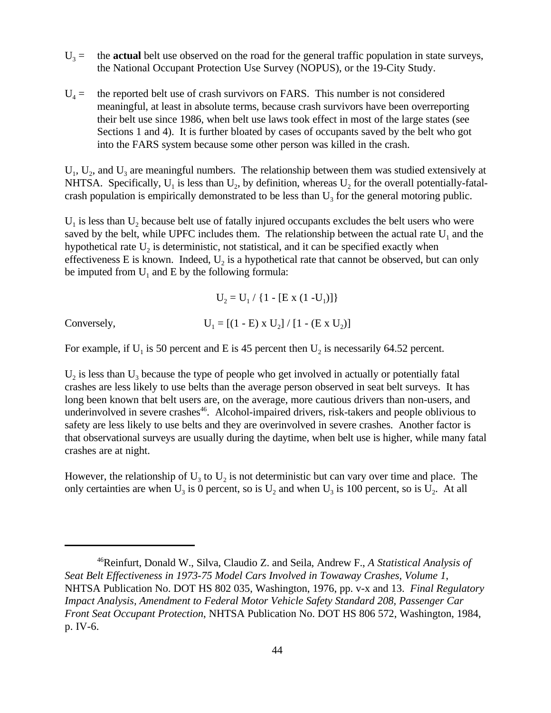- $U_3 =$ the **actual** belt use observed on the road for the general traffic population in state surveys, the National Occupant Protection Use Survey (NOPUS), or the 19-City Study.
- $U_4 =$ the reported belt use of crash survivors on FARS. This number is not considered meaningful, at least in absolute terms, because crash survivors have been overreporting their belt use since 1986, when belt use laws took effect in most of the large states (see Sections 1 and 4). It is further bloated by cases of occupants saved by the belt who got into the FARS system because some other person was killed in the crash.

 $U_1$ ,  $U_2$ , and  $U_3$  are meaningful numbers. The relationship between them was studied extensively at NHTSA. Specifically,  $U_1$  is less than  $U_2$ , by definition, whereas  $U_2$  for the overall potentially-fatalcrash population is empirically demonstrated to be less than  $U_3$  for the general motoring public.

 $U_1$  is less than  $U_2$  because belt use of fatally injured occupants excludes the belt users who were saved by the belt, while UPFC includes them. The relationship between the actual rate  $U_1$  and the hypothetical rate  $U_2$  is deterministic, not statistical, and it can be specified exactly when effectiveness E is known. Indeed,  $U_2$  is a hypothetical rate that cannot be observed, but can only be imputed from  $U_1$  and E by the following formula:

> $U_2 = U_1 / \{1 - [E \times (1 - U_1)]\}$  $=[(1 - E) \times U_2] / [1 - (E \times U_2)]$

Conversely,

For example, if  $U_1$  is 50 percent and E is 45 percent then  $U_2$  is necessarily 64.52 percent.

 $U_2$  is less than  $U_3$  because the type of people who get involved in actually or potentially fatal crashes are less likely to use belts than the average person observed in seat belt surveys. It has long been known that belt users are, on the average, more cautious drivers than non-users, and underinvolved in severe crashes<sup>46</sup>. Alcohol-impaired drivers, risk-takers and people oblivious to safety are less likely to use belts and they are overinvolved in severe crashes. Another factor is that observational surveys are usually during the daytime, when belt use is higher, while many fatal crashes are at night.

However, the relationship of  $U_3$  to  $U_2$  is not deterministic but can vary over time and place. The only certainties are when  $U_3$  is 0 percent, so is  $U_2$  and when  $U_3$  is 100 percent, so is  $U_2$ . At all

<sup>46</sup>Reinfurt, Donald W., Silva, Claudio Z. and Seila, Andrew F., *A Statistical Analysis of Seat Belt Effectiveness in 1973-75 Model Cars Involved in Towaway Crashes, Volume 1*, NHTSA Publication No. DOT HS 802 035, Washington, 1976, pp. v-x and 13. *Final Regulatory Impact Analysis, Amendment to Federal Motor Vehicle Safety Standard 208, Passenger Car Front Seat Occupant Protection*, NHTSA Publication No. DOT HS 806 572, Washington, 1984, p. IV-6.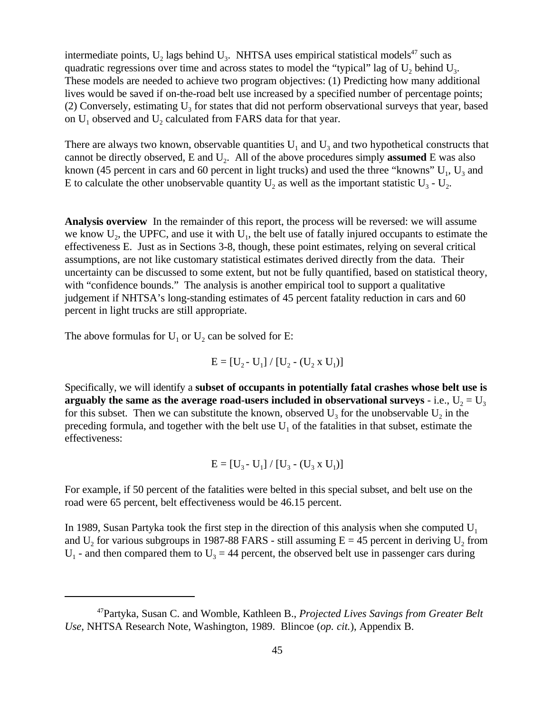intermediate points,  $U_2$  lags behind  $U_3$ . NHTSA uses empirical statistical models<sup>47</sup> such as quadratic regressions over time and across states to model the "typical" lag of  $U_2$  behind  $U_3$ . These models are needed to achieve two program objectives: (1) Predicting how many additional lives would be saved if on-the-road belt use increased by a specified number of percentage points; (2) Conversely, estimating  $U_3$  for states that did not perform observational surveys that year, based on  $U_1$  observed and  $U_2$  calculated from FARS data for that year.

There are always two known, observable quantities  $U_1$  and  $U_3$  and two hypothetical constructs that cannot be directly observed, E and U<sub>2</sub>. All of the above procedures simply **assumed** E was also known (45 percent in cars and 60 percent in light trucks) and used the three "knowns"  $U_1$ ,  $U_3$  and E to calculate the other unobservable quantity  $U_2$  as well as the important statistic  $U_3$  -  $U_2$ .

**Analysis overview** In the remainder of this report, the process will be reversed: we will assume we know  $U_2$ , the UPFC, and use it with  $U_1$ , the belt use of fatally injured occupants to estimate the effectiveness E. Just as in Sections 3-8, though, these point estimates, relying on several critical assumptions, are not like customary statistical estimates derived directly from the data. Their uncertainty can be discussed to some extent, but not be fully quantified, based on statistical theory, with "confidence bounds." The analysis is another empirical tool to support a qualitative judgement if NHTSA's long-standing estimates of 45 percent fatality reduction in cars and 60 percent in light trucks are still appropriate.

The above formulas for  $U_1$  or  $U_2$  can be solved for E:

$$
E = [U_2 - U_1] / [U_2 - (U_2 \times U_1)]
$$

Specifically, we will identify a **subset of occupants in potentially fatal crashes whose belt use is** arguably the same as the average road-users included in observational surveys - i.e.,  $\rm U_2$  =  $\rm U_3$ for this subset. Then we can substitute the known, observed  $U_3$  for the unobservable  $U_2$  in the preceding formula, and together with the belt use  $U_1$  of the fatalities in that subset, estimate the effectiveness:

$$
E = [U_3 - U_1] / [U_3 - (U_3 \times U_1)]
$$

For example, if 50 percent of the fatalities were belted in this special subset, and belt use on the road were 65 percent, belt effectiveness would be 46.15 percent.

In 1989, Susan Partyka took the first step in the direction of this analysis when she computed  $U_1$ and  $U_2$  for various subgroups in 1987-88 FARS - still assuming  $E = 45$  percent in deriving  $U_2$  from  $U_1$  - and then compared them to  $U_3 = 44$  percent, the observed belt use in passenger cars during

<sup>47</sup>Partyka, Susan C. and Womble, Kathleen B., *Projected Lives Savings from Greater Belt Use*, NHTSA Research Note, Washington, 1989. Blincoe (*op. cit.*), Appendix B.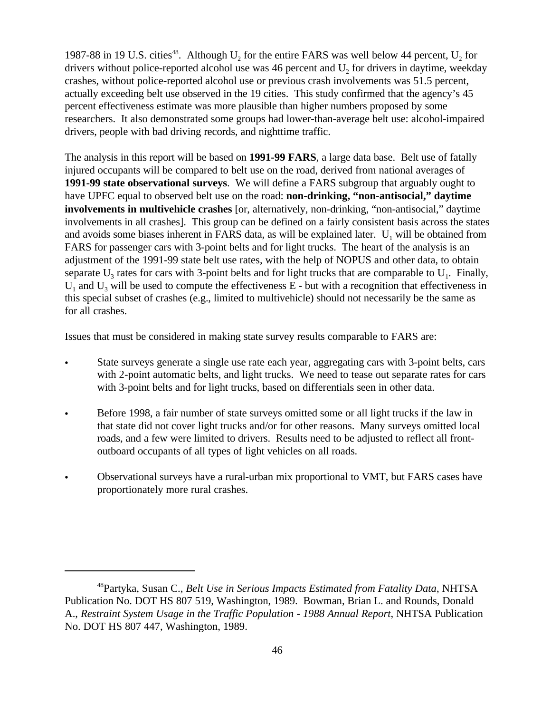1987-88 in 19 U.S. cities<sup>48</sup>. Although  $U_2$  for the entire FARS was well below 44 percent,  $U_2$  for drivers without police-reported alcohol use was 46 percent and  $U_2$  for drivers in daytime, weekday crashes, without police-reported alcohol use or previous crash involvements was 51.5 percent, actually exceeding belt use observed in the 19 cities. This study confirmed that the agency's 45 percent effectiveness estimate was more plausible than higher numbers proposed by some researchers. It also demonstrated some groups had lower-than-average belt use: alcohol-impaired drivers, people with bad driving records, and nighttime traffic.

The analysis in this report will be based on **1991-99 FARS**, a large data base. Belt use of fatally injured occupants will be compared to belt use on the road, derived from national averages of **1991-99 state observational surveys**. We will define a FARS subgroup that arguably ought to have UPFC equal to observed belt use on the road: **non-drinking, "non-antisocial," daytime involvements in multivehicle crashes** [or, alternatively, non-drinking, "non-antisocial," daytime involvements in all crashes]. This group can be defined on a fairly consistent basis across the states and avoids some biases inherent in FARS data, as will be explained later.  $U_1$  will be obtained from FARS for passenger cars with 3-point belts and for light trucks. The heart of the analysis is an adjustment of the 1991-99 state belt use rates, with the help of NOPUS and other data, to obtain separate  $U_3$  rates for cars with 3-point belts and for light trucks that are comparable to  $U_1$ . Finally,  $U_1$  and  $U_3$  will be used to compute the effectiveness E - but with a recognition that effectiveness in this special subset of crashes (e.g., limited to multivehicle) should not necessarily be the same as for all crashes.

Issues that must be considered in making state survey results comparable to FARS are:

- C State surveys generate a single use rate each year, aggregating cars with 3-point belts, cars with 2-point automatic belts, and light trucks. We need to tease out separate rates for cars with 3-point belts and for light trucks, based on differentials seen in other data.
- Before 1998, a fair number of state surveys omitted some or all light trucks if the law in that state did not cover light trucks and/or for other reasons. Many surveys omitted local roads, and a few were limited to drivers. Results need to be adjusted to reflect all frontoutboard occupants of all types of light vehicles on all roads.
- Observational surveys have a rural-urban mix proportional to VMT, but FARS cases have proportionately more rural crashes.

<sup>48</sup>Partyka, Susan C., *Belt Use in Serious Impacts Estimated from Fatality Data*, NHTSA Publication No. DOT HS 807 519, Washington, 1989. Bowman, Brian L. and Rounds, Donald A., *Restraint System Usage in the Traffic Population - 1988 Annual Report*, NHTSA Publication No. DOT HS 807 447, Washington, 1989.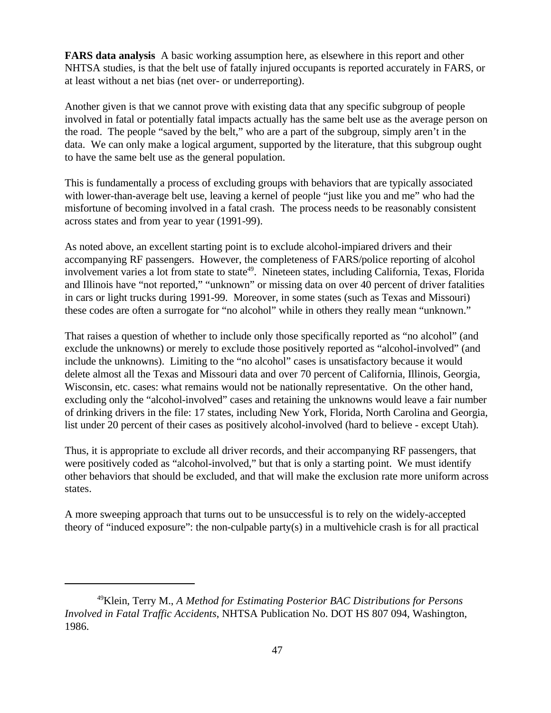**FARS data analysis** A basic working assumption here, as elsewhere in this report and other NHTSA studies, is that the belt use of fatally injured occupants is reported accurately in FARS, or at least without a net bias (net over- or underreporting).

Another given is that we cannot prove with existing data that any specific subgroup of people involved in fatal or potentially fatal impacts actually has the same belt use as the average person on the road. The people "saved by the belt," who are a part of the subgroup, simply aren't in the data. We can only make a logical argument, supported by the literature, that this subgroup ought to have the same belt use as the general population.

This is fundamentally a process of excluding groups with behaviors that are typically associated with lower-than-average belt use, leaving a kernel of people "just like you and me" who had the misfortune of becoming involved in a fatal crash. The process needs to be reasonably consistent across states and from year to year (1991-99).

As noted above, an excellent starting point is to exclude alcohol-impiared drivers and their accompanying RF passengers. However, the completeness of FARS/police reporting of alcohol involvement varies a lot from state to state<sup>49</sup>. Nineteen states, including California, Texas, Florida and Illinois have "not reported," "unknown" or missing data on over 40 percent of driver fatalities in cars or light trucks during 1991-99. Moreover, in some states (such as Texas and Missouri) these codes are often a surrogate for "no alcohol" while in others they really mean "unknown."

That raises a question of whether to include only those specifically reported as "no alcohol" (and exclude the unknowns) or merely to exclude those positively reported as "alcohol-involved" (and include the unknowns). Limiting to the "no alcohol" cases is unsatisfactory because it would delete almost all the Texas and Missouri data and over 70 percent of California, Illinois, Georgia, Wisconsin, etc. cases: what remains would not be nationally representative. On the other hand, excluding only the "alcohol-involved" cases and retaining the unknowns would leave a fair number of drinking drivers in the file: 17 states, including New York, Florida, North Carolina and Georgia, list under 20 percent of their cases as positively alcohol-involved (hard to believe - except Utah).

Thus, it is appropriate to exclude all driver records, and their accompanying RF passengers, that were positively coded as "alcohol-involved," but that is only a starting point. We must identify other behaviors that should be excluded, and that will make the exclusion rate more uniform across states.

A more sweeping approach that turns out to be unsuccessful is to rely on the widely-accepted theory of "induced exposure": the non-culpable party(s) in a multivehicle crash is for all practical

<sup>49</sup>Klein, Terry M., *A Method for Estimating Posterior BAC Distributions for Persons Involved in Fatal Traffic Accidents*, NHTSA Publication No. DOT HS 807 094, Washington, 1986.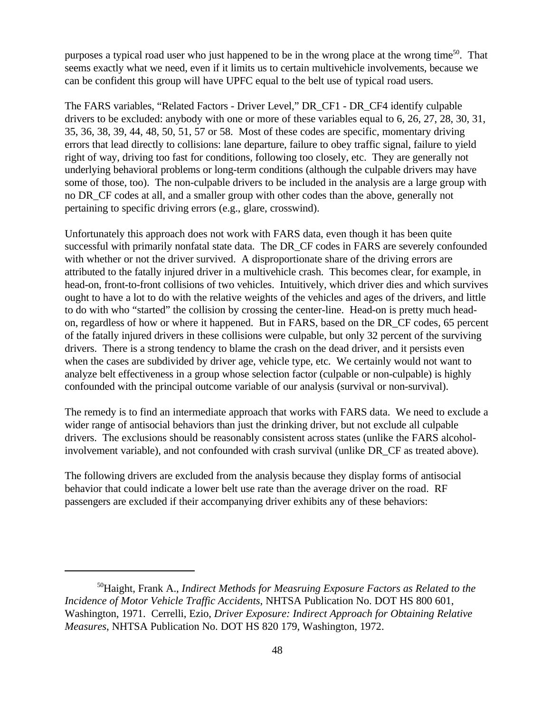purposes a typical road user who just happened to be in the wrong place at the wrong time<sup>50</sup>. That seems exactly what we need, even if it limits us to certain multivehicle involvements, because we can be confident this group will have UPFC equal to the belt use of typical road users.

The FARS variables, "Related Factors - Driver Level," DR\_CF1 - DR\_CF4 identify culpable drivers to be excluded: anybody with one or more of these variables equal to 6, 26, 27, 28, 30, 31, 35, 36, 38, 39, 44, 48, 50, 51, 57 or 58. Most of these codes are specific, momentary driving errors that lead directly to collisions: lane departure, failure to obey traffic signal, failure to yield right of way, driving too fast for conditions, following too closely, etc. They are generally not underlying behavioral problems or long-term conditions (although the culpable drivers may have some of those, too). The non-culpable drivers to be included in the analysis are a large group with no DR\_CF codes at all, and a smaller group with other codes than the above, generally not pertaining to specific driving errors (e.g., glare, crosswind).

Unfortunately this approach does not work with FARS data, even though it has been quite successful with primarily nonfatal state data. The DR\_CF codes in FARS are severely confounded with whether or not the driver survived. A disproportionate share of the driving errors are attributed to the fatally injured driver in a multivehicle crash. This becomes clear, for example, in head-on, front-to-front collisions of two vehicles. Intuitively, which driver dies and which survives ought to have a lot to do with the relative weights of the vehicles and ages of the drivers, and little to do with who "started" the collision by crossing the center-line. Head-on is pretty much headon, regardless of how or where it happened. But in FARS, based on the DR\_CF codes, 65 percent of the fatally injured drivers in these collisions were culpable, but only 32 percent of the surviving drivers. There is a strong tendency to blame the crash on the dead driver, and it persists even when the cases are subdivided by driver age, vehicle type, etc. We certainly would not want to analyze belt effectiveness in a group whose selection factor (culpable or non-culpable) is highly confounded with the principal outcome variable of our analysis (survival or non-survival).

The remedy is to find an intermediate approach that works with FARS data. We need to exclude a wider range of antisocial behaviors than just the drinking driver, but not exclude all culpable drivers. The exclusions should be reasonably consistent across states (unlike the FARS alcoholinvolvement variable), and not confounded with crash survival (unlike DR\_CF as treated above).

The following drivers are excluded from the analysis because they display forms of antisocial behavior that could indicate a lower belt use rate than the average driver on the road. RF passengers are excluded if their accompanying driver exhibits any of these behaviors:

<sup>50</sup>Haight, Frank A., *Indirect Methods for Measruing Exposure Factors as Related to the Incidence of Motor Vehicle Traffic Accidents*, NHTSA Publication No. DOT HS 800 601, Washington, 1971. Cerrelli, Ezio, *Driver Exposure: Indirect Approach for Obtaining Relative Measures*, NHTSA Publication No. DOT HS 820 179, Washington, 1972.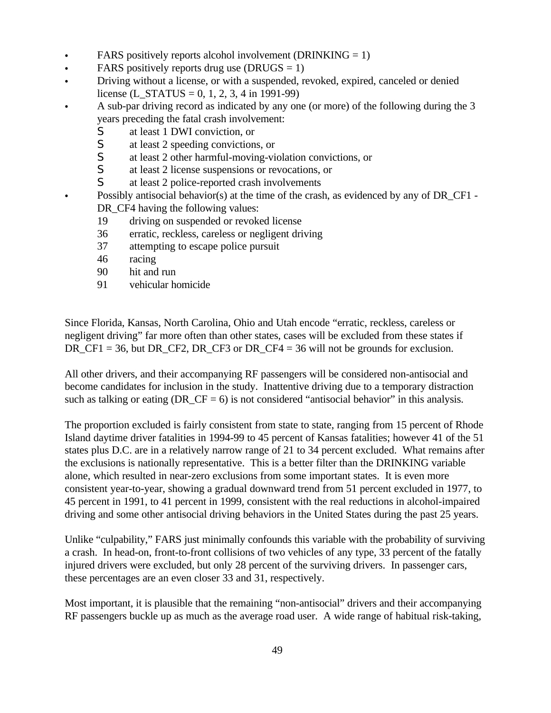- $\cdot$  FARS positively reports alcohol involvement (DRINKING = 1)
- $\cdot$  FARS positively reports drug use (DRUGS = 1)
- Driving without a license, or with a suspended, revoked, expired, canceled or denied license (L\_STATUS = 0, 1, 2, 3, 4 in 1991-99)
- A sub-par driving record as indicated by any one (or more) of the following during the 3 years preceding the fatal crash involvement:
	- S at least 1 DWI conviction, or
	- S at least 2 speeding convictions, or
	- S at least 2 other harmful-moving-violation convictions, or<br>S at least 2 license suspensions or revocations, or
	- at least 2 license suspensions or revocations, or
	- S at least 2 police-reported crash involvements
- Possibly antisocial behavior(s) at the time of the crash, as evidenced by any of DR\_CF1 -DR\_CF4 having the following values:
	- 19 driving on suspended or revoked license
	- 36 erratic, reckless, careless or negligent driving
	- 37 attempting to escape police pursuit
	- 46 racing
	- 90 hit and run
	- 91 vehicular homicide

Since Florida, Kansas, North Carolina, Ohio and Utah encode "erratic, reckless, careless or negligent driving" far more often than other states, cases will be excluded from these states if DR\_CF1 = 36, but DR\_CF2, DR\_CF3 or DR\_CF4 = 36 will not be grounds for exclusion.

All other drivers, and their accompanying RF passengers will be considered non-antisocial and become candidates for inclusion in the study. Inattentive driving due to a temporary distraction such as talking or eating (DR  $CF = 6$ ) is not considered "antisocial behavior" in this analysis.

The proportion excluded is fairly consistent from state to state, ranging from 15 percent of Rhode Island daytime driver fatalities in 1994-99 to 45 percent of Kansas fatalities; however 41 of the 51 states plus D.C. are in a relatively narrow range of 21 to 34 percent excluded. What remains after the exclusions is nationally representative. This is a better filter than the DRINKING variable alone, which resulted in near-zero exclusions from some important states. It is even more consistent year-to-year, showing a gradual downward trend from 51 percent excluded in 1977, to 45 percent in 1991, to 41 percent in 1999, consistent with the real reductions in alcohol-impaired driving and some other antisocial driving behaviors in the United States during the past 25 years.

Unlike "culpability," FARS just minimally confounds this variable with the probability of surviving a crash. In head-on, front-to-front collisions of two vehicles of any type, 33 percent of the fatally injured drivers were excluded, but only 28 percent of the surviving drivers. In passenger cars, these percentages are an even closer 33 and 31, respectively.

Most important, it is plausible that the remaining "non-antisocial" drivers and their accompanying RF passengers buckle up as much as the average road user. A wide range of habitual risk-taking,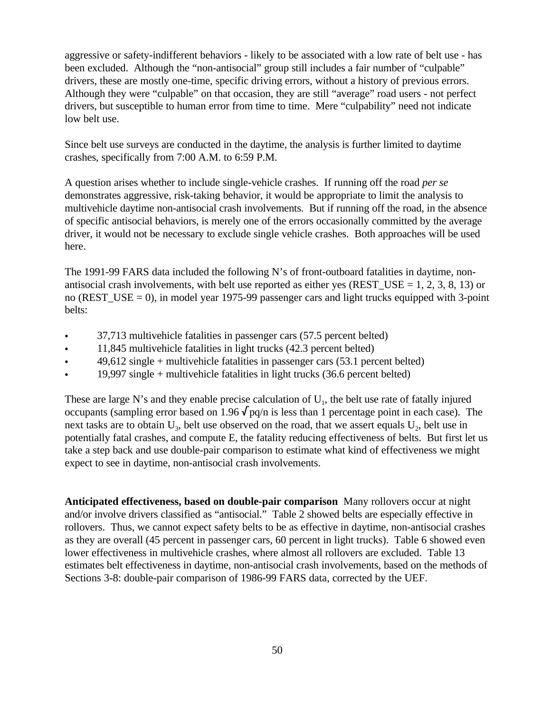aggressive or safety-indifferent behaviors - likely to be associated with a low rate of belt use - has been excluded. Although the "non-antisocial" group still includes a fair number of "culpable" drivers, these are mostly one-time, specific driving errors, without a history of previous errors. Although they were "culpable" on that occasion, they are still "average" road users - not perfect drivers, but susceptible to human error from time to time. Mere "culpability" need not indicate low belt use.

Since belt use surveys are conducted in the daytime, the analysis is further limited to daytime crashes, specifically from 7:00 A.M. to 6:59 P.M.

A question arises whether to include single-vehicle crashes. If running off the road *per se* demonstrates aggressive, risk-taking behavior, it would be appropriate to limit the analysis to multivehicle daytime non-antisocial crash involvements. But if running off the road, in the absence of specific antisocial behaviors, is merely one of the errors occasionally committed by the average driver, it would not be necessary to exclude single vehicle crashes. Both approaches will be used here.

The 1991-99 FARS data included the following N's of front-outboard fatalities in daytime, nonantisocial crash involvements, with belt use reported as either yes (REST USE = 1, 2, 3, 8, 13) or no (REST USE  $= 0$ ), in model year 1975-99 passenger cars and light trucks equipped with 3-point belts:

- C 37,713 multivehicle fatalities in passenger cars (57.5 percent belted)
- $\cdot$  11,845 multivehicle fatalities in light trucks (42.3 percent belted)
- $49,612$  single + multivehicle fatalities in passenger cars (53.1 percent belted)
- $19,997$  single + multivehicle fatalities in light trucks (36.6 percent belted)

These are large N's and they enable precise calculation of  $U_1$ , the belt use rate of fatally injured occupants (sampling error based on 1.96  $\sqrt{pq/n}$  is less than 1 percentage point in each case). The next tasks are to obtain  $U_3$ , belt use observed on the road, that we assert equals  $U_2$ , belt use in potentially fatal crashes, and compute E, the fatality reducing effectiveness of belts. But first let us take a step back and use double-pair comparison to estimate what kind of effectiveness we might expect to see in daytime, non-antisocial crash involvements.

**Anticipated effectiveness, based on double-pair comparison** Many rollovers occur at night and/or involve drivers classified as "antisocial." Table 2 showed belts are especially effective in rollovers. Thus, we cannot expect safety belts to be as effective in daytime, non-antisocial crashes as they are overall (45 percent in passenger cars, 60 percent in light trucks). Table 6 showed even lower effectiveness in multivehicle crashes, where almost all rollovers are excluded. Table 13 estimates belt effectiveness in daytime, non-antisocial crash involvements, based on the methods of Sections 3-8: double-pair comparison of 1986-99 FARS data, corrected by the UEF.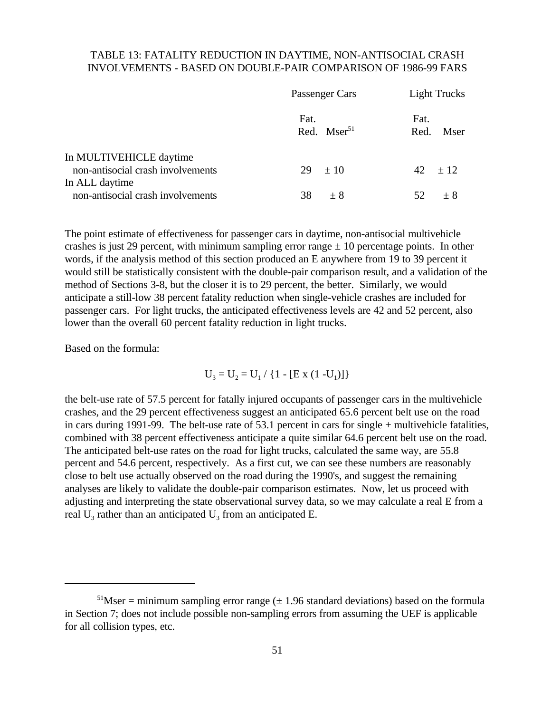# TABLE 13: FATALITY REDUCTION IN DAYTIME, NON-ANTISOCIAL CRASH INVOLVEMENTS - BASED ON DOUBLE-PAIR COMPARISON OF 1986-99 FARS

|                                                              | Passenger Cars           | <b>Light Trucks</b>  |
|--------------------------------------------------------------|--------------------------|----------------------|
|                                                              | Fat.<br>Red. $Mser^{51}$ | Fat.<br>Red.<br>Mser |
| In MULTIVEHICLE daytime<br>non-antisocial crash involvements | 29<br>$\pm 10$           | $42 \pm 12$          |
| In ALL daytime<br>non-antisocial crash involvements          | 38<br>$+8$               | 52<br>$+8$           |

The point estimate of effectiveness for passenger cars in daytime, non-antisocial multivehicle crashes is just 29 percent, with minimum sampling error range  $\pm$  10 percentage points. In other words, if the analysis method of this section produced an E anywhere from 19 to 39 percent it would still be statistically consistent with the double-pair comparison result, and a validation of the method of Sections 3-8, but the closer it is to 29 percent, the better. Similarly, we would anticipate a still-low 38 percent fatality reduction when single-vehicle crashes are included for passenger cars. For light trucks, the anticipated effectiveness levels are 42 and 52 percent, also lower than the overall 60 percent fatality reduction in light trucks.

Based on the formula:

 $U_3 = U_2 = U_1 / \{1 - [E \times (1 - U_1)]\}$ 

the belt-use rate of 57.5 percent for fatally injured occupants of passenger cars in the multivehicle crashes, and the 29 percent effectiveness suggest an anticipated 65.6 percent belt use on the road in cars during 1991-99. The belt-use rate of 53.1 percent in cars for single + multivehicle fatalities, combined with 38 percent effectiveness anticipate a quite similar 64.6 percent belt use on the road. The anticipated belt-use rates on the road for light trucks, calculated the same way, are 55.8 percent and 54.6 percent, respectively. As a first cut, we can see these numbers are reasonably close to belt use actually observed on the road during the 1990's, and suggest the remaining analyses are likely to validate the double-pair comparison estimates. Now, let us proceed with adjusting and interpreting the state observational survey data, so we may calculate a real E from a real  $U_3$  rather than an anticipated  $U_3$  from an anticipated E.

<sup>&</sup>lt;sup>51</sup>Mser = minimum sampling error range  $(\pm 1.96$  standard deviations) based on the formula in Section 7; does not include possible non-sampling errors from assuming the UEF is applicable for all collision types, etc.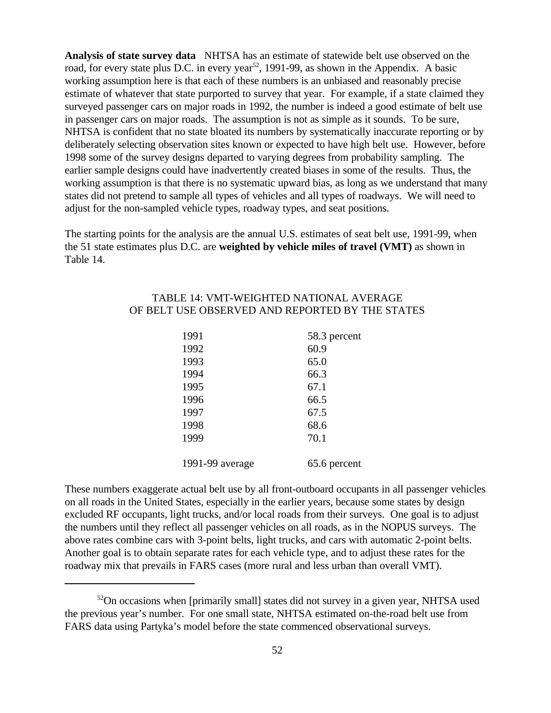**Analysis of state survey data** NHTSA has an estimate of statewide belt use observed on the road, for every state plus D.C. in every year<sup>52</sup>, 1991-99, as shown in the Appendix. A basic working assumption here is that each of these numbers is an unbiased and reasonably precise estimate of whatever that state purported to survey that year. For example, if a state claimed they surveyed passenger cars on major roads in 1992, the number is indeed a good estimate of belt use in passenger cars on major roads. The assumption is not as simple as it sounds. To be sure, NHTSA is confident that no state bloated its numbers by systematically inaccurate reporting or by deliberately selecting observation sites known or expected to have high belt use. However, before 1998 some of the survey designs departed to varying degrees from probability sampling. The earlier sample designs could have inadvertently created biases in some of the results. Thus, the working assumption is that there is no systematic upward bias, as long as we understand that many states did not pretend to sample all types of vehicles and all types of roadways. We will need to adjust for the non-sampled vehicle types, roadway types, and seat positions.

The starting points for the analysis are the annual U.S. estimates of seat belt use, 1991-99, when the 51 state estimates plus D.C. are **weighted by vehicle miles of travel (VMT)** as shown in Table 14.

# TABLE 14: VMT-WEIGHTED NATIONAL AVERAGE OF BELT USE OBSERVED AND REPORTED BY THE STATES

| 1991            | 58.3 percent |
|-----------------|--------------|
| 1992            | 60.9         |
| 1993            | 65.0         |
| 1994            | 66.3         |
| 1995            | 67.1         |
| 1996            | 66.5         |
| 1997            | 67.5         |
| 1998            | 68.6         |
| 1999            | 70.1         |
|                 |              |
| 1991-99 average | 65.6 percent |

These numbers exaggerate actual belt use by all front-outboard occupants in all passenger vehicles on all roads in the United States, especially in the earlier years, because some states by design excluded RF occupants, light trucks, and/or local roads from their surveys. One goal is to adjust the numbers until they reflect all passenger vehicles on all roads, as in the NOPUS surveys. The above rates combine cars with 3-point belts, light trucks, and cars with automatic 2-point belts. Another goal is to obtain separate rates for each vehicle type, and to adjust these rates for the roadway mix that prevails in FARS cases (more rural and less urban than overall VMT).

 $52$ On occasions when [primarily small] states did not survey in a given year, NHTSA used the previous year's number. For one small state, NHTSA estimated on-the-road belt use from FARS data using Partyka's model before the state commenced observational surveys.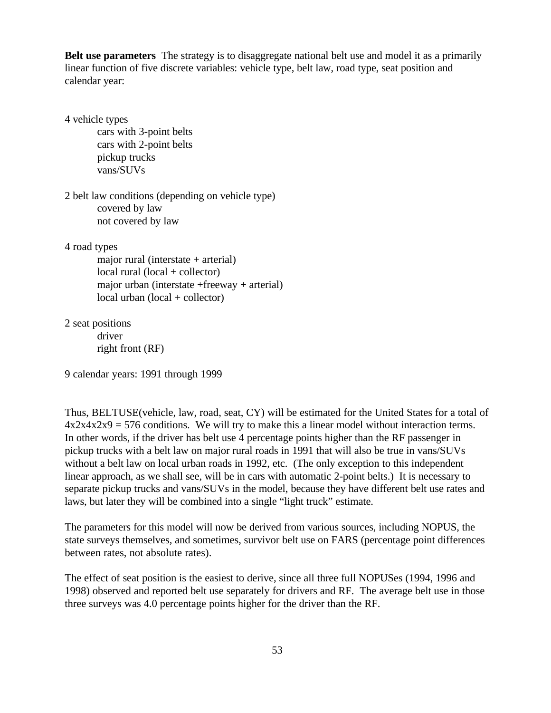**Belt use parameters** The strategy is to disaggregate national belt use and model it as a primarily linear function of five discrete variables: vehicle type, belt law, road type, seat position and calendar year:

4 vehicle types cars with 3-point belts cars with 2-point belts pickup trucks vans/SUVs 2 belt law conditions (depending on vehicle type) covered by law not covered by law 4 road types major rural (interstate  $+$  arterial)  $local rural (local + collector)$ major urban (interstate +freeway + arterial)  $local urban (local + collector)$ 2 seat positions

driver right front (RF)

9 calendar years: 1991 through 1999

Thus, BELTUSE(vehicle, law, road, seat, CY) will be estimated for the United States for a total of  $4x2x4x2x9 = 576$  conditions. We will try to make this a linear model without interaction terms. In other words, if the driver has belt use 4 percentage points higher than the RF passenger in pickup trucks with a belt law on major rural roads in 1991 that will also be true in vans/SUVs without a belt law on local urban roads in 1992, etc. (The only exception to this independent linear approach, as we shall see, will be in cars with automatic 2-point belts.) It is necessary to separate pickup trucks and vans/SUVs in the model, because they have different belt use rates and laws, but later they will be combined into a single "light truck" estimate.

The parameters for this model will now be derived from various sources, including NOPUS, the state surveys themselves, and sometimes, survivor belt use on FARS (percentage point differences between rates, not absolute rates).

The effect of seat position is the easiest to derive, since all three full NOPUSes (1994, 1996 and 1998) observed and reported belt use separately for drivers and RF. The average belt use in those three surveys was 4.0 percentage points higher for the driver than the RF.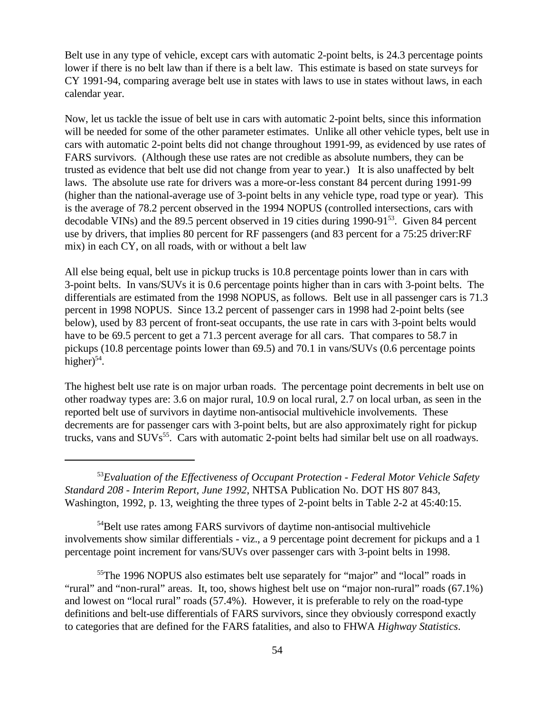Belt use in any type of vehicle, except cars with automatic 2-point belts, is 24.3 percentage points lower if there is no belt law than if there is a belt law. This estimate is based on state surveys for CY 1991-94, comparing average belt use in states with laws to use in states without laws, in each calendar year.

Now, let us tackle the issue of belt use in cars with automatic 2-point belts, since this information will be needed for some of the other parameter estimates. Unlike all other vehicle types, belt use in cars with automatic 2-point belts did not change throughout 1991-99, as evidenced by use rates of FARS survivors. (Although these use rates are not credible as absolute numbers, they can be trusted as evidence that belt use did not change from year to year.) It is also unaffected by belt laws. The absolute use rate for drivers was a more-or-less constant 84 percent during 1991-99 (higher than the national-average use of 3-point belts in any vehicle type, road type or year). This is the average of 78.2 percent observed in the 1994 NOPUS (controlled intersections, cars with decodable VINs) and the 89.5 percent observed in 19 cities during 1990-91<sup>53</sup>. Given 84 percent use by drivers, that implies 80 percent for RF passengers (and 83 percent for a 75:25 driver:RF mix) in each CY, on all roads, with or without a belt law

All else being equal, belt use in pickup trucks is 10.8 percentage points lower than in cars with 3-point belts. In vans/SUVs it is 0.6 percentage points higher than in cars with 3-point belts. The differentials are estimated from the 1998 NOPUS, as follows. Belt use in all passenger cars is 71.3 percent in 1998 NOPUS. Since 13.2 percent of passenger cars in 1998 had 2-point belts (see below), used by 83 percent of front-seat occupants, the use rate in cars with 3-point belts would have to be 69.5 percent to get a 71.3 percent average for all cars. That compares to 58.7 in pickups (10.8 percentage points lower than 69.5) and 70.1 in vans/SUVs (0.6 percentage points higher) $54$ .

The highest belt use rate is on major urban roads. The percentage point decrements in belt use on other roadway types are: 3.6 on major rural, 10.9 on local rural, 2.7 on local urban, as seen in the reported belt use of survivors in daytime non-antisocial multivehicle involvements. These decrements are for passenger cars with 3-point belts, but are also approximately right for pickup trucks, vans and  $\text{SUVs}^{55}$ . Cars with automatic 2-point belts had similar belt use on all roadways.

<sup>54</sup>Belt use rates among FARS survivors of daytime non-antisocial multivehicle involvements show similar differentials - viz., a 9 percentage point decrement for pickups and a 1 percentage point increment for vans/SUVs over passenger cars with 3-point belts in 1998.

<sup>55</sup>The 1996 NOPUS also estimates belt use separately for "major" and "local" roads in "rural" and "non-rural" areas. It, too, shows highest belt use on "major non-rural" roads (67.1%) and lowest on "local rural" roads (57.4%). However, it is preferable to rely on the road-type definitions and belt-use differentials of FARS survivors, since they obviously correspond exactly to categories that are defined for the FARS fatalities, and also to FHWA *Highway Statistics*.

<sup>53</sup>*Evaluation of the Effectiveness of Occupant Protection - Federal Motor Vehicle Safety Standard 208 - Interim Report, June 1992*, NHTSA Publication No. DOT HS 807 843, Washington, 1992, p. 13, weighting the three types of 2-point belts in Table 2-2 at 45:40:15.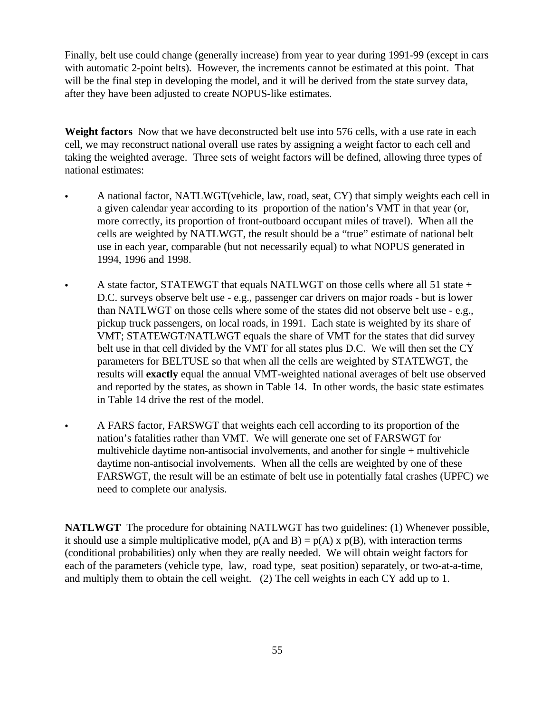Finally, belt use could change (generally increase) from year to year during 1991-99 (except in cars with automatic 2-point belts). However, the increments cannot be estimated at this point. That will be the final step in developing the model, and it will be derived from the state survey data, after they have been adjusted to create NOPUS-like estimates.

**Weight factors** Now that we have deconstructed belt use into 576 cells, with a use rate in each cell, we may reconstruct national overall use rates by assigning a weight factor to each cell and taking the weighted average. Three sets of weight factors will be defined, allowing three types of national estimates:

- A national factor, NATLWGT(vehicle, law, road, seat, CY) that simply weights each cell in a given calendar year according to its proportion of the nation's VMT in that year (or, more correctly, its proportion of front-outboard occupant miles of travel). When all the cells are weighted by NATLWGT, the result should be a "true" estimate of national belt use in each year, comparable (but not necessarily equal) to what NOPUS generated in 1994, 1996 and 1998.
- A state factor, STATEWGT that equals NATLWGT on those cells where all 51 state + D.C. surveys observe belt use - e.g., passenger car drivers on major roads - but is lower than NATLWGT on those cells where some of the states did not observe belt use - e.g., pickup truck passengers, on local roads, in 1991. Each state is weighted by its share of VMT; STATEWGT/NATLWGT equals the share of VMT for the states that did survey belt use in that cell divided by the VMT for all states plus D.C. We will then set the CY parameters for BELTUSE so that when all the cells are weighted by STATEWGT, the results will **exactly** equal the annual VMT-weighted national averages of belt use observed and reported by the states, as shown in Table 14. In other words, the basic state estimates in Table 14 drive the rest of the model.
- A FARS factor, FARSWGT that weights each cell according to its proportion of the nation's fatalities rather than VMT. We will generate one set of FARSWGT for multivehicle daytime non-antisocial involvements, and another for single + multivehicle daytime non-antisocial involvements. When all the cells are weighted by one of these FARSWGT, the result will be an estimate of belt use in potentially fatal crashes (UPFC) we need to complete our analysis.

**NATLWGT** The procedure for obtaining NATLWGT has two guidelines: (1) Whenever possible, it should use a simple multiplicative model,  $p(A \text{ and } B) = p(A) \times p(B)$ , with interaction terms (conditional probabilities) only when they are really needed. We will obtain weight factors for each of the parameters (vehicle type, law, road type, seat position) separately, or two-at-a-time, and multiply them to obtain the cell weight. (2) The cell weights in each CY add up to 1.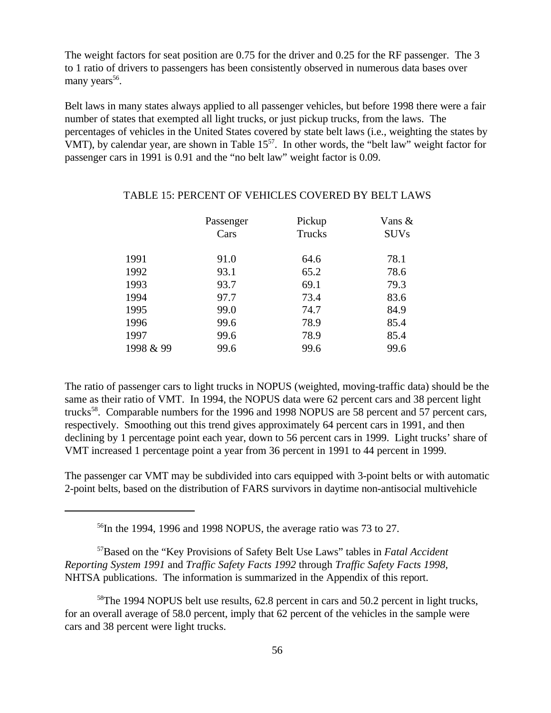The weight factors for seat position are 0.75 for the driver and 0.25 for the RF passenger. The 3 to 1 ratio of drivers to passengers has been consistently observed in numerous data bases over many years<sup>56</sup>.

Belt laws in many states always applied to all passenger vehicles, but before 1998 there were a fair number of states that exempted all light trucks, or just pickup trucks, from the laws. The percentages of vehicles in the United States covered by state belt laws (i.e., weighting the states by VMT), by calendar year, are shown in Table 15<sup>57</sup>. In other words, the "belt law" weight factor for passenger cars in 1991 is 0.91 and the "no belt law" weight factor is 0.09.

|           | Passenger | Pickup | Vans $\&$   |
|-----------|-----------|--------|-------------|
|           | Cars      | Trucks | <b>SUVs</b> |
| 1991      | 91.0      | 64.6   | 78.1        |
| 1992      | 93.1      | 65.2   | 78.6        |
| 1993      | 93.7      | 69.1   | 79.3        |
| 1994      | 97.7      | 73.4   | 83.6        |
| 1995      | 99.0      | 74.7   | 84.9        |
| 1996      | 99.6      | 78.9   | 85.4        |
| 1997      | 99.6      | 78.9   | 85.4        |
| 1998 & 99 | 99.6      | 99.6   | 99.6        |
|           |           |        |             |

## TABLE 15: PERCENT OF VEHICLES COVERED BY BELT LAWS

The ratio of passenger cars to light trucks in NOPUS (weighted, moving-traffic data) should be the same as their ratio of VMT. In 1994, the NOPUS data were 62 percent cars and 38 percent light trucks<sup>58</sup>. Comparable numbers for the 1996 and 1998 NOPUS are 58 percent and 57 percent cars, respectively. Smoothing out this trend gives approximately 64 percent cars in 1991, and then declining by 1 percentage point each year, down to 56 percent cars in 1999. Light trucks' share of VMT increased 1 percentage point a year from 36 percent in 1991 to 44 percent in 1999.

The passenger car VMT may be subdivided into cars equipped with 3-point belts or with automatic 2-point belts, based on the distribution of FARS survivors in daytime non-antisocial multivehicle

<sup>57</sup>Based on the "Key Provisions of Safety Belt Use Laws" tables in *Fatal Accident Reporting System 1991* and *Traffic Safety Facts 1992* through *Traffic Safety Facts 1998*, NHTSA publications. The information is summarized in the Appendix of this report.

 $56$ In the 1994, 1996 and 1998 NOPUS, the average ratio was 73 to 27.

<sup>&</sup>lt;sup>58</sup>The 1994 NOPUS belt use results, 62.8 percent in cars and 50.2 percent in light trucks, for an overall average of 58.0 percent, imply that 62 percent of the vehicles in the sample were cars and 38 percent were light trucks.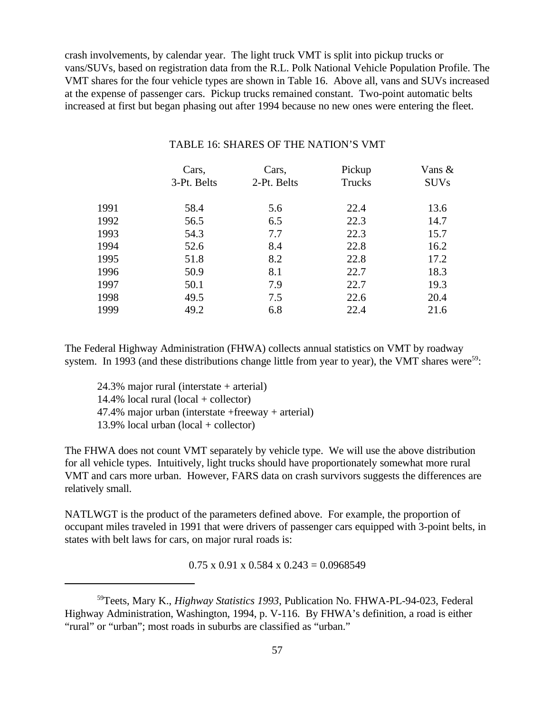crash involvements, by calendar year. The light truck VMT is split into pickup trucks or vans/SUVs, based on registration data from the R.L. Polk National Vehicle Population Profile. The VMT shares for the four vehicle types are shown in Table 16. Above all, vans and SUVs increased at the expense of passenger cars. Pickup trucks remained constant. Two-point automatic belts increased at first but began phasing out after 1994 because no new ones were entering the fleet.

|      | Cars,       | Cars,       | Pickup | Vans &      |
|------|-------------|-------------|--------|-------------|
|      | 3-Pt. Belts | 2-Pt. Belts | Trucks | <b>SUVs</b> |
| 1991 | 58.4        | 5.6         | 22.4   | 13.6        |
| 1992 | 56.5        | 6.5         | 22.3   | 14.7        |
| 1993 | 54.3        | 7.7         | 22.3   | 15.7        |
| 1994 | 52.6        | 8.4         | 22.8   | 16.2        |
| 1995 | 51.8        | 8.2         | 22.8   | 17.2        |
| 1996 | 50.9        | 8.1         | 22.7   | 18.3        |
| 1997 | 50.1        | 7.9         | 22.7   | 19.3        |
| 1998 | 49.5        | 7.5         | 22.6   | 20.4        |
| 1999 | 49.2        | 6.8         | 22.4   | 21.6        |

# TABLE 16: SHARES OF THE NATION'S VMT

The Federal Highway Administration (FHWA) collects annual statistics on VMT by roadway system. In 1993 (and these distributions change little from year to year), the VMT shares were<sup>59</sup>:

24.3% major rural (interstate + arterial) 14.4% local rural  $(local + collector)$ 47.4% major urban (interstate +freeway + arterial) 13.9% local urban (local + collector)

The FHWA does not count VMT separately by vehicle type. We will use the above distribution for all vehicle types. Intuitively, light trucks should have proportionately somewhat more rural VMT and cars more urban. However, FARS data on crash survivors suggests the differences are relatively small.

NATLWGT is the product of the parameters defined above. For example, the proportion of occupant miles traveled in 1991 that were drivers of passenger cars equipped with 3-point belts, in states with belt laws for cars, on major rural roads is:

 $0.75$  x  $0.91$  x  $0.584$  x  $0.243 = 0.0968549$ 

<sup>59</sup>Teets, Mary K., *Highway Statistics 1993*, Publication No. FHWA-PL-94-023, Federal Highway Administration, Washington, 1994, p. V-116. By FHWA's definition, a road is either "rural" or "urban"; most roads in suburbs are classified as "urban."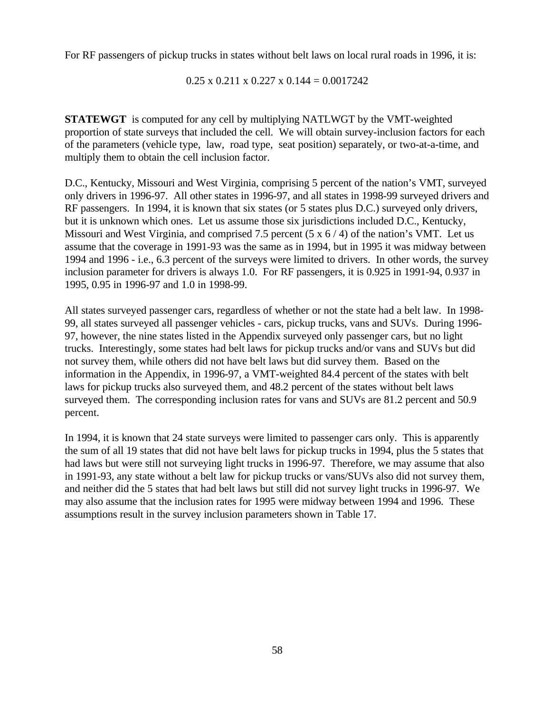For RF passengers of pickup trucks in states without belt laws on local rural roads in 1996, it is:

$$
0.25 \times 0.211 \times 0.227 \times 0.144 = 0.0017242
$$

**STATEWGT** is computed for any cell by multiplying NATLWGT by the VMT-weighted proportion of state surveys that included the cell. We will obtain survey-inclusion factors for each of the parameters (vehicle type, law, road type, seat position) separately, or two-at-a-time, and multiply them to obtain the cell inclusion factor.

D.C., Kentucky, Missouri and West Virginia, comprising 5 percent of the nation's VMT, surveyed only drivers in 1996-97. All other states in 1996-97, and all states in 1998-99 surveyed drivers and RF passengers. In 1994, it is known that six states (or 5 states plus D.C.) surveyed only drivers, but it is unknown which ones. Let us assume those six jurisdictions included D.C., Kentucky, Missouri and West Virginia, and comprised 7.5 percent  $(5 \times 6 / 4)$  of the nation's VMT. Let us assume that the coverage in 1991-93 was the same as in 1994, but in 1995 it was midway between 1994 and 1996 - i.e., 6.3 percent of the surveys were limited to drivers. In other words, the survey inclusion parameter for drivers is always 1.0. For RF passengers, it is 0.925 in 1991-94, 0.937 in 1995, 0.95 in 1996-97 and 1.0 in 1998-99.

All states surveyed passenger cars, regardless of whether or not the state had a belt law. In 1998- 99, all states surveyed all passenger vehicles - cars, pickup trucks, vans and SUVs. During 1996- 97, however, the nine states listed in the Appendix surveyed only passenger cars, but no light trucks. Interestingly, some states had belt laws for pickup trucks and/or vans and SUVs but did not survey them, while others did not have belt laws but did survey them. Based on the information in the Appendix, in 1996-97, a VMT-weighted 84.4 percent of the states with belt laws for pickup trucks also surveyed them, and 48.2 percent of the states without belt laws surveyed them. The corresponding inclusion rates for vans and SUVs are 81.2 percent and 50.9 percent.

In 1994, it is known that 24 state surveys were limited to passenger cars only. This is apparently the sum of all 19 states that did not have belt laws for pickup trucks in 1994, plus the 5 states that had laws but were still not surveying light trucks in 1996-97. Therefore, we may assume that also in 1991-93, any state without a belt law for pickup trucks or vans/SUVs also did not survey them, and neither did the 5 states that had belt laws but still did not survey light trucks in 1996-97. We may also assume that the inclusion rates for 1995 were midway between 1994 and 1996. These assumptions result in the survey inclusion parameters shown in Table 17.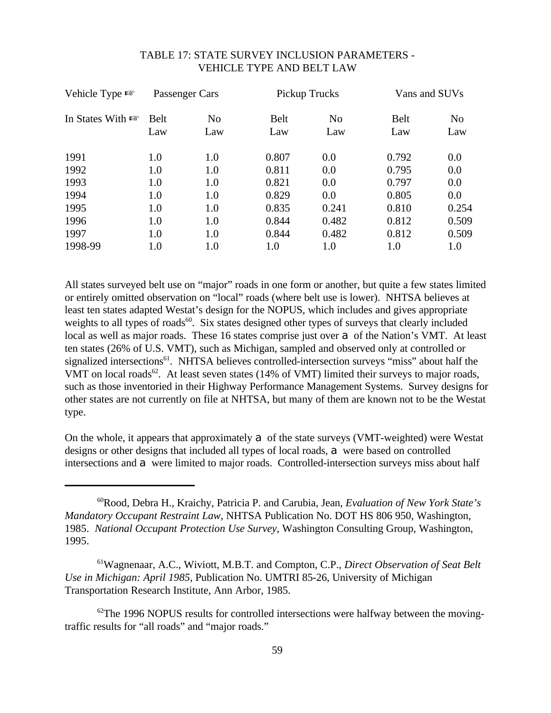| Vehicle Type $\mathbb{R}$   |             | Passenger Cars |       | Pickup Trucks |             | Vans and SUVs  |
|-----------------------------|-------------|----------------|-------|---------------|-------------|----------------|
| In States With $\mathbb{R}$ | <b>Belt</b> | N <sub>0</sub> | Belt  | No            | <b>Belt</b> | N <sub>0</sub> |
|                             | Law         | Law            | Law   | Law           | Law         | Law            |
| 1991                        | 1.0         | 1.0            | 0.807 | 0.0           | 0.792       | 0.0            |
| 1992                        | 1.0         | 1.0            | 0.811 | 0.0           | 0.795       | 0.0            |
| 1993                        | 1.0         | 1.0            | 0.821 | 0.0           | 0.797       | 0.0            |
| 1994                        | 1.0         | 1.0            | 0.829 | 0.0           | 0.805       | 0.0            |
| 1995                        | 1.0         | 1.0            | 0.835 | 0.241         | 0.810       | 0.254          |
| 1996                        | 1.0         | 1.0            | 0.844 | 0.482         | 0.812       | 0.509          |
| 1997                        | 1.0         | 1.0            | 0.844 | 0.482         | 0.812       | 0.509          |
| 1998-99                     | 1.0         | 1.0            | 1.0   | 1.0           | 1.0         | 1.0            |

# TABLE 17: STATE SURVEY INCLUSION PARAMETERS - VEHICLE TYPE AND BELT LAW

All states surveyed belt use on "major" roads in one form or another, but quite a few states limited or entirely omitted observation on "local" roads (where belt use is lower). NHTSA believes at least ten states adapted Westat's design for the NOPUS, which includes and gives appropriate weights to all types of roads<sup>60</sup>. Six states designed other types of surveys that clearly included local as well as major roads. These 16 states comprise just over  $a$  of the Nation's VMT. At least ten states (26% of U.S. VMT), such as Michigan, sampled and observed only at controlled or signalized intersections<sup>61</sup>. NHTSA believes controlled-intersection surveys "miss" about half the VMT on local roads<sup>62</sup>. At least seven states (14% of VMT) limited their surveys to major roads, such as those inventoried in their Highway Performance Management Systems. Survey designs for other states are not currently on file at NHTSA, but many of them are known not to be the Westat type.

On the whole, it appears that approximately  $\alpha$  of the state surveys (VMT-weighted) were Westat designs or other designs that included all types of local roads, a were based on controlled intersections and  $a$  were limited to major roads. Controlled-intersection surveys miss about half

 $62$ The 1996 NOPUS results for controlled intersections were halfway between the movingtraffic results for "all roads" and "major roads."

<sup>60</sup>Rood, Debra H., Kraichy, Patricia P. and Carubia, Jean, *Evaluation of New York State's Mandatory Occupant Restraint Law*, NHTSA Publication No. DOT HS 806 950, Washington, 1985. *National Occupant Protection Use Survey*, Washington Consulting Group, Washington, 1995.

<sup>61</sup>Wagnenaar, A.C., Wiviott, M.B.T. and Compton, C.P., *Direct Observation of Seat Belt Use in Michigan: April 1985*, Publication No. UMTRI 85-26, University of Michigan Transportation Research Institute, Ann Arbor, 1985.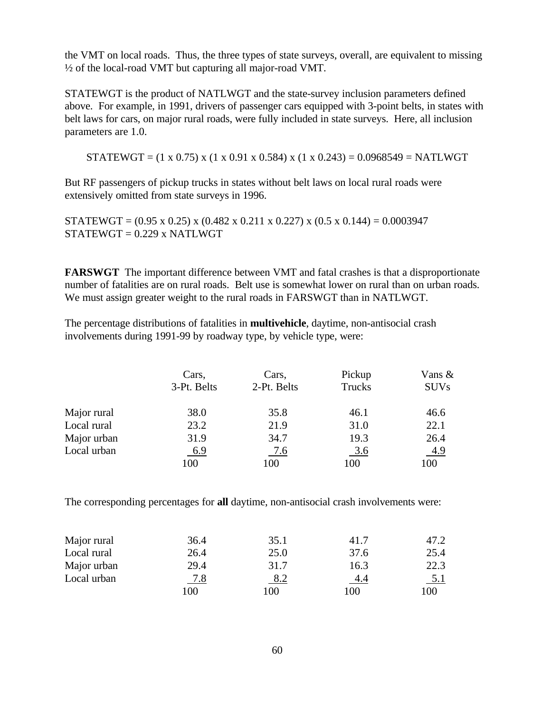the VMT on local roads. Thus, the three types of state surveys, overall, are equivalent to missing ½ of the local-road VMT but capturing all major-road VMT.

STATEWGT is the product of NATLWGT and the state-survey inclusion parameters defined above. For example, in 1991, drivers of passenger cars equipped with 3-point belts, in states with belt laws for cars, on major rural roads, were fully included in state surveys. Here, all inclusion parameters are 1.0.

STATEWGT =  $(1 \times 0.75) \times (1 \times 0.91 \times 0.584) \times (1 \times 0.243) = 0.0968549 = \text{NATLWGT}$ 

But RF passengers of pickup trucks in states without belt laws on local rural roads were extensively omitted from state surveys in 1996.

STATEWGT =  $(0.95 \times 0.25) \times (0.482 \times 0.211 \times 0.227) \times (0.5 \times 0.144) = 0.0003947$  $STATEWGT = 0.229$  x NATLWGT

**FARSWGT** The important difference between VMT and fatal crashes is that a disproportionate number of fatalities are on rural roads. Belt use is somewhat lower on rural than on urban roads. We must assign greater weight to the rural roads in FARSWGT than in NATLWGT.

The percentage distributions of fatalities in **multivehicle**, daytime, non-antisocial crash involvements during 1991-99 by roadway type, by vehicle type, were:

|             | Cars,       | Cars,       | Pickup     | Vans &      |
|-------------|-------------|-------------|------------|-------------|
|             | 3-Pt. Belts | 2-Pt. Belts | Trucks     | <b>SUVs</b> |
| Major rural | 38.0        | 35.8        | 46.1       | 46.6        |
| Local rural | 23.2        | 21.9        | 31.0       | 22.1        |
| Major urban | 31.9        | 34.7        | 19.3       | 26.4        |
| Local urban | 6.9         | 7.6         | <u>3.6</u> | <u>4.9</u>  |
|             | 100         | 100         | 100        | 100         |

The corresponding percentages for **all** daytime, non-antisocial crash involvements were:

| Major rural | 36.4       | 35.1 | 41.7 | 47.2       |
|-------------|------------|------|------|------------|
| Local rural | 26.4       | 25.0 | 37.6 | 25.4       |
| Major urban | 29.4       | 31.7 | 16.3 | 22.3       |
| Local urban | <u>7.8</u> | 8.2  | 4.4  | <u>5.1</u> |
|             | 100        | 100  | 100  | 100        |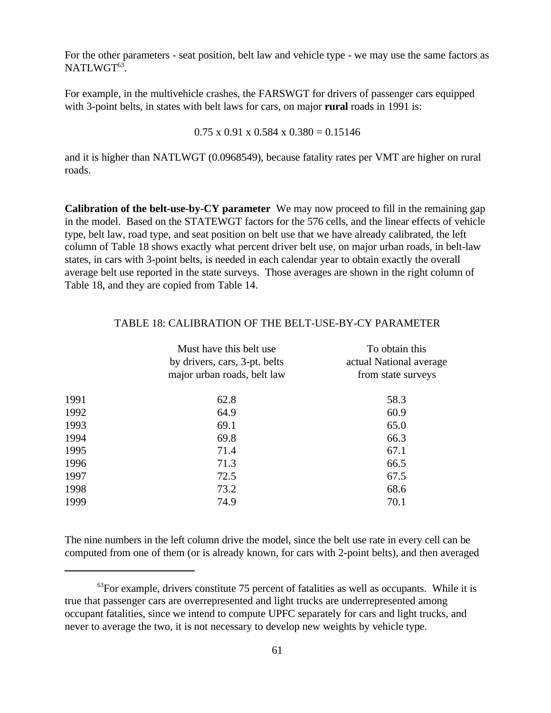For the other parameters - seat position, belt law and vehicle type - we may use the same factors as  $NATLWGT<sup>63</sup>$ .

For example, in the multivehicle crashes, the FARSWGT for drivers of passenger cars equipped with 3-point belts, in states with belt laws for cars, on major **rural** roads in 1991 is:

 $0.75 \times 0.91 \times 0.584 \times 0.380 = 0.15146$ 

and it is higher than NATLWGT (0.0968549), because fatality rates per VMT are higher on rural roads.

**Calibration of the belt-use-by-CY parameter** We may now proceed to fill in the remaining gap in the model. Based on the STATEWGT factors for the 576 cells, and the linear effects of vehicle type, belt law, road type, and seat position on belt use that we have already calibrated, the left column of Table 18 shows exactly what percent driver belt use, on major urban roads, in belt-law states, in cars with 3-point belts, is needed in each calendar year to obtain exactly the overall average belt use reported in the state surveys. Those averages are shown in the right column of Table 18, and they are copied from Table 14.

|      | Must have this belt use.<br>by drivers, cars, 3-pt. belts<br>major urban roads, belt law | To obtain this<br>actual National average<br>from state surveys |
|------|------------------------------------------------------------------------------------------|-----------------------------------------------------------------|
| 1991 | 62.8                                                                                     | 58.3                                                            |
| 1992 | 64.9                                                                                     | 60.9                                                            |
| 1993 | 69.1                                                                                     | 65.0                                                            |
| 1994 | 69.8                                                                                     | 66.3                                                            |
| 1995 | 71.4                                                                                     | 67.1                                                            |
| 1996 | 71.3                                                                                     | 66.5                                                            |
| 1997 | 72.5                                                                                     | 67.5                                                            |
| 1998 | 73.2                                                                                     | 68.6                                                            |
| 1999 | 74.9                                                                                     | 70.1                                                            |

### TABLE 18: CALIBRATION OF THE BELT-USE-BY-CY PARAMETER

The nine numbers in the left column drive the model, since the belt use rate in every cell can be computed from one of them (or is already known, for cars with 2-point belts), and then averaged

 $^{63}$ For example, drivers constitute 75 percent of fatalities as well as occupants. While it is true that passenger cars are overrepresented and light trucks are underrepresented among occupant fatalities, since we intend to compute UPFC separately for cars and light trucks, and never to average the two, it is not necessary to develop new weights by vehicle type.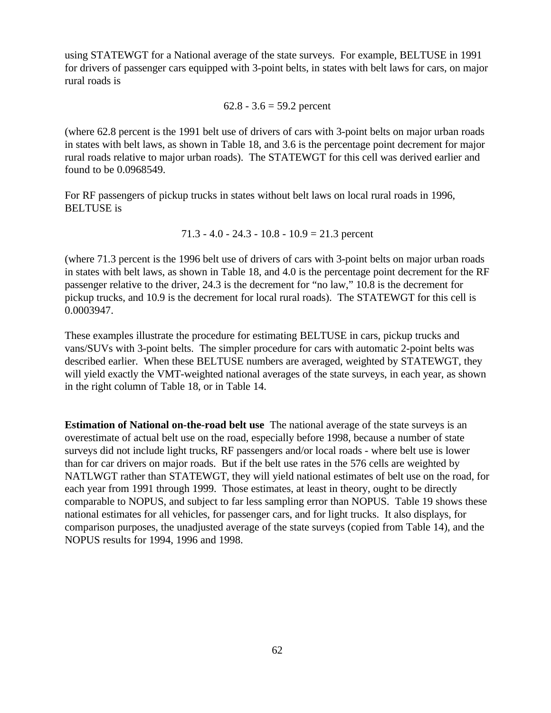using STATEWGT for a National average of the state surveys. For example, BELTUSE in 1991 for drivers of passenger cars equipped with 3-point belts, in states with belt laws for cars, on major rural roads is

$$
62.8 - 3.6 = 59.2
$$
 percent

(where 62.8 percent is the 1991 belt use of drivers of cars with 3-point belts on major urban roads in states with belt laws, as shown in Table 18, and 3.6 is the percentage point decrement for major rural roads relative to major urban roads). The STATEWGT for this cell was derived earlier and found to be 0.0968549.

For RF passengers of pickup trucks in states without belt laws on local rural roads in 1996, BELTUSE is

$$
71.3 - 4.0 - 24.3 - 10.8 - 10.9 = 21.3
$$
 percent

(where 71.3 percent is the 1996 belt use of drivers of cars with 3-point belts on major urban roads in states with belt laws, as shown in Table 18, and 4.0 is the percentage point decrement for the RF passenger relative to the driver, 24.3 is the decrement for "no law," 10.8 is the decrement for pickup trucks, and 10.9 is the decrement for local rural roads). The STATEWGT for this cell is 0.0003947.

These examples illustrate the procedure for estimating BELTUSE in cars, pickup trucks and vans/SUVs with 3-point belts. The simpler procedure for cars with automatic 2-point belts was described earlier. When these BELTUSE numbers are averaged, weighted by STATEWGT, they will yield exactly the VMT-weighted national averages of the state surveys, in each year, as shown in the right column of Table 18, or in Table 14.

**Estimation of National on-the-road belt use** The national average of the state surveys is an overestimate of actual belt use on the road, especially before 1998, because a number of state surveys did not include light trucks, RF passengers and/or local roads - where belt use is lower than for car drivers on major roads. But if the belt use rates in the 576 cells are weighted by NATLWGT rather than STATEWGT, they will yield national estimates of belt use on the road, for each year from 1991 through 1999. Those estimates, at least in theory, ought to be directly comparable to NOPUS, and subject to far less sampling error than NOPUS. Table 19 shows these national estimates for all vehicles, for passenger cars, and for light trucks. It also displays, for comparison purposes, the unadjusted average of the state surveys (copied from Table 14), and the NOPUS results for 1994, 1996 and 1998.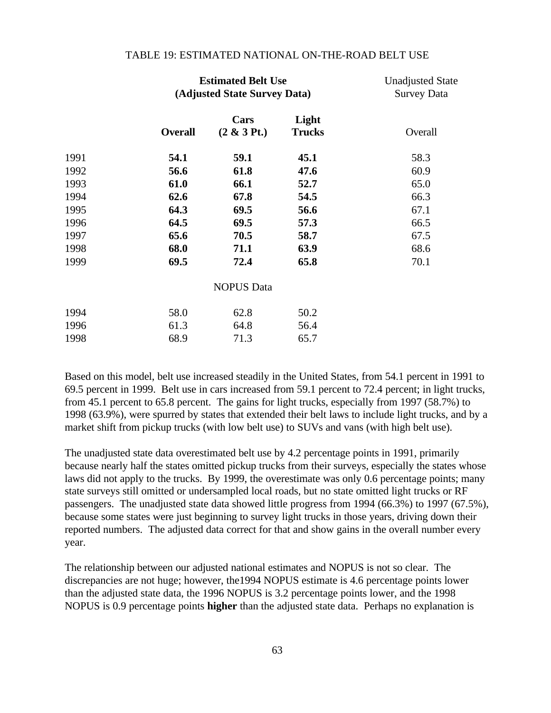|      | <b>Estimated Belt Use</b> | <b>Unadjusted State</b><br><b>Survey Data</b> |               |         |
|------|---------------------------|-----------------------------------------------|---------------|---------|
|      |                           | (Adjusted State Survey Data)                  |               |         |
|      |                           | Cars                                          | Light         |         |
|      | <b>Overall</b>            | $(2 \& 3 \text{ Pt.})$                        | <b>Trucks</b> | Overall |
| 1991 | 54.1                      | 59.1                                          | 45.1          | 58.3    |
| 1992 | 56.6                      | 61.8                                          | 47.6          | 60.9    |
| 1993 | 61.0                      | 66.1                                          | 52.7          | 65.0    |
| 1994 | 62.6                      | 67.8                                          | 54.5          | 66.3    |
| 1995 | 64.3                      | 69.5                                          | 56.6          | 67.1    |
| 1996 | 64.5                      | 69.5                                          | 57.3          | 66.5    |
| 1997 | 65.6                      | 70.5                                          | 58.7          | 67.5    |
| 1998 | 68.0                      | 71.1                                          | 63.9          | 68.6    |
| 1999 | 69.5                      | 72.4                                          | 65.8          | 70.1    |
|      |                           | <b>NOPUS Data</b>                             |               |         |
| 1994 | 58.0                      | 62.8                                          | 50.2          |         |
| 1996 | 61.3                      | 64.8                                          | 56.4          |         |
| 1998 | 68.9                      | 71.3                                          | 65.7          |         |

#### TABLE 19: ESTIMATED NATIONAL ON-THE-ROAD BELT USE

Based on this model, belt use increased steadily in the United States, from 54.1 percent in 1991 to 69.5 percent in 1999. Belt use in cars increased from 59.1 percent to 72.4 percent; in light trucks, from 45.1 percent to 65.8 percent. The gains for light trucks, especially from 1997 (58.7%) to 1998 (63.9%), were spurred by states that extended their belt laws to include light trucks, and by a market shift from pickup trucks (with low belt use) to SUVs and vans (with high belt use).

The unadjusted state data overestimated belt use by 4.2 percentage points in 1991, primarily because nearly half the states omitted pickup trucks from their surveys, especially the states whose laws did not apply to the trucks. By 1999, the overestimate was only 0.6 percentage points; many state surveys still omitted or undersampled local roads, but no state omitted light trucks or RF passengers. The unadjusted state data showed little progress from 1994 (66.3%) to 1997 (67.5%), because some states were just beginning to survey light trucks in those years, driving down their reported numbers. The adjusted data correct for that and show gains in the overall number every year.

The relationship between our adjusted national estimates and NOPUS is not so clear. The discrepancies are not huge; however, the1994 NOPUS estimate is 4.6 percentage points lower than the adjusted state data, the 1996 NOPUS is 3.2 percentage points lower, and the 1998 NOPUS is 0.9 percentage points **higher** than the adjusted state data. Perhaps no explanation is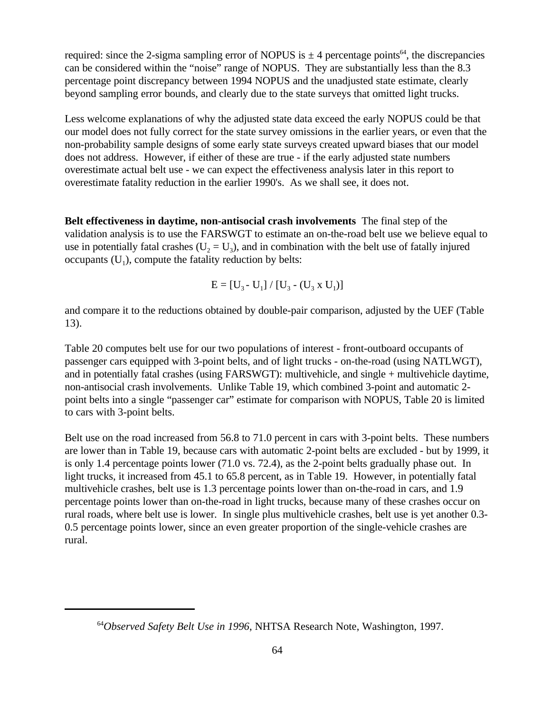required: since the 2-sigma sampling error of NOPUS is  $\pm$  4 percentage points<sup>64</sup>, the discrepancies can be considered within the "noise" range of NOPUS. They are substantially less than the 8.3 percentage point discrepancy between 1994 NOPUS and the unadjusted state estimate, clearly beyond sampling error bounds, and clearly due to the state surveys that omitted light trucks.

Less welcome explanations of why the adjusted state data exceed the early NOPUS could be that our model does not fully correct for the state survey omissions in the earlier years, or even that the non-probability sample designs of some early state surveys created upward biases that our model does not address. However, if either of these are true - if the early adjusted state numbers overestimate actual belt use - we can expect the effectiveness analysis later in this report to overestimate fatality reduction in the earlier 1990's. As we shall see, it does not.

**Belt effectiveness in daytime, non-antisocial crash involvements** The final step of the validation analysis is to use the FARSWGT to estimate an on-the-road belt use we believe equal to use in potentially fatal crashes  $(U_2 = U_3)$ , and in combination with the belt use of fatally injured occupants  $(U_1)$ , compute the fatality reduction by belts:

$$
E = [U_3 - U_1] / [U_3 - (U_3 \times U_1)]
$$

and compare it to the reductions obtained by double-pair comparison, adjusted by the UEF (Table 13).

Table 20 computes belt use for our two populations of interest - front-outboard occupants of passenger cars equipped with 3-point belts, and of light trucks - on-the-road (using NATLWGT), and in potentially fatal crashes (using FARSWGT): multivehicle, and single + multivehicle daytime, non-antisocial crash involvements. Unlike Table 19, which combined 3-point and automatic 2 point belts into a single "passenger car" estimate for comparison with NOPUS, Table 20 is limited to cars with 3-point belts.

Belt use on the road increased from 56.8 to 71.0 percent in cars with 3-point belts. These numbers are lower than in Table 19, because cars with automatic 2-point belts are excluded - but by 1999, it is only 1.4 percentage points lower (71.0 vs. 72.4), as the 2-point belts gradually phase out. In light trucks, it increased from 45.1 to 65.8 percent, as in Table 19. However, in potentially fatal multivehicle crashes, belt use is 1.3 percentage points lower than on-the-road in cars, and 1.9 percentage points lower than on-the-road in light trucks, because many of these crashes occur on rural roads, where belt use is lower. In single plus multivehicle crashes, belt use is yet another 0.3- 0.5 percentage points lower, since an even greater proportion of the single-vehicle crashes are rural.

<sup>64</sup>*Observed Safety Belt Use in 1996*, NHTSA Research Note, Washington, 1997.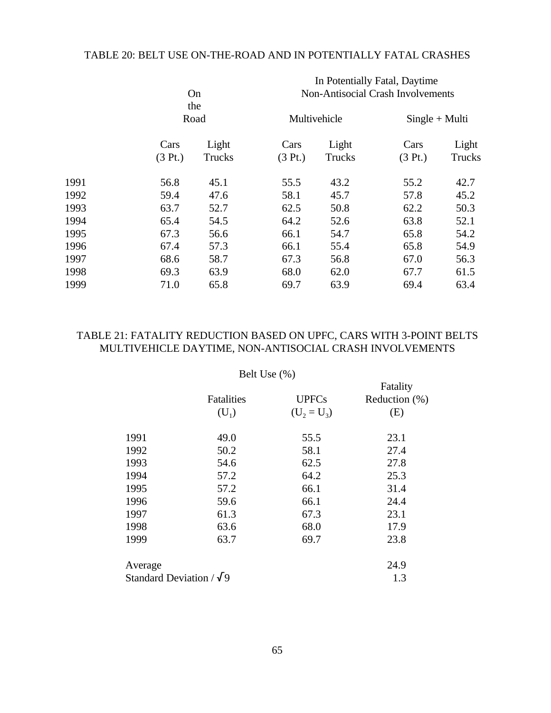## TABLE 20: BELT USE ON-THE-ROAD AND IN POTENTIALLY FATAL CRASHES

|      | On              |                 | In Potentially Fatal, Daytime<br><b>Non-Antisocial Crash Involvements</b> |                 |                           |                 |
|------|-----------------|-----------------|---------------------------------------------------------------------------|-----------------|---------------------------|-----------------|
|      |                 | the<br>Road     |                                                                           | Multivehicle    | $Single + Multi$          |                 |
|      | Cars<br>(3 Pt.) | Light<br>Trucks | Cars<br>$(3 \text{ Pt.})$                                                 | Light<br>Trucks | Cars<br>$(3 \text{ Pt.})$ | Light<br>Trucks |
| 1991 | 56.8            | 45.1            | 55.5                                                                      | 43.2            | 55.2                      | 42.7            |
| 1992 | 59.4            | 47.6            | 58.1                                                                      | 45.7            | 57.8                      | 45.2            |
| 1993 | 63.7            | 52.7            | 62.5                                                                      | 50.8            | 62.2                      | 50.3            |
| 1994 | 65.4            | 54.5            | 64.2                                                                      | 52.6            | 63.8                      | 52.1            |
| 1995 | 67.3            | 56.6            | 66.1                                                                      | 54.7            | 65.8                      | 54.2            |
| 1996 | 67.4            | 57.3            | 66.1                                                                      | 55.4            | 65.8                      | 54.9            |
| 1997 | 68.6            | 58.7            | 67.3                                                                      | 56.8            | 67.0                      | 56.3            |
| 1998 | 69.3            | 63.9            | 68.0                                                                      | 62.0            | 67.7                      | 61.5            |
| 1999 | 71.0            | 65.8            | 69.7                                                                      | 63.9            | 69.4                      | 63.4            |

# TABLE 21: FATALITY REDUCTION BASED ON UPFC, CARS WITH 3-POINT BELTS MULTIVEHICLE DAYTIME, NON-ANTISOCIAL CRASH INVOLVEMENTS

# Belt Use (%)

|                                 | <b>Fatalities</b><br>$(U_1)$ | <b>UPFCs</b><br>$(U_2 = U_3)$ | Fatality<br>Reduction (%)<br>(E) |
|---------------------------------|------------------------------|-------------------------------|----------------------------------|
| 1991                            | 49.0                         | 55.5                          | 23.1                             |
| 1992                            | 50.2                         | 58.1                          | 27.4                             |
| 1993                            | 54.6                         | 62.5                          | 27.8                             |
| 1994                            | 57.2                         | 64.2                          | 25.3                             |
| 1995                            | 57.2                         | 66.1                          | 31.4                             |
| 1996                            | 59.6                         | 66.1                          | 24.4                             |
| 1997                            | 61.3                         | 67.3                          | 23.1                             |
| 1998                            | 63.6                         | 68.0                          | 17.9                             |
| 1999                            | 63.7                         | 69.7                          | 23.8                             |
| Average                         |                              |                               | 24.9                             |
| Standard Deviation / $\sqrt{9}$ |                              |                               | 1.3                              |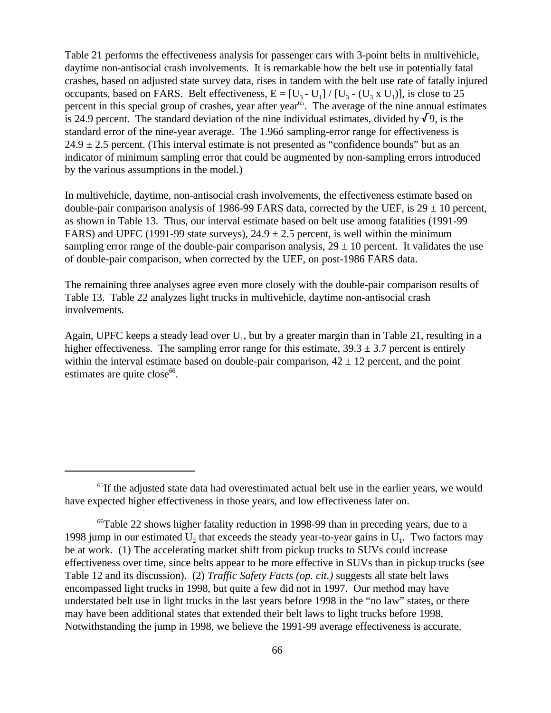Table 21 performs the effectiveness analysis for passenger cars with 3-point belts in multivehicle, daytime non-antisocial crash involvements. It is remarkable how the belt use in potentially fatal crashes, based on adjusted state survey data, rises in tandem with the belt use rate of fatally injured occupants, based on FARS. Belt effectiveness,  $E = [U_3 - U_1] / [U_3 - (U_3 \times U_1)]$ , is close to 25 percent in this special group of crashes, year after year<sup>65</sup>. The average of the nine annual estimates is 24.9 percent. The standard deviation of the nine individual estimates, divided by  $\sqrt{9}$ , is the standard error of the nine-year average. The 1.96ó sampling-error range for effectiveness is  $24.9 \pm 2.5$  percent. (This interval estimate is not presented as "confidence bounds" but as an indicator of minimum sampling error that could be augmented by non-sampling errors introduced by the various assumptions in the model.)

In multivehicle, daytime, non-antisocial crash involvements, the effectiveness estimate based on double-pair comparison analysis of 1986-99 FARS data, corrected by the UEF, is  $29 \pm 10$  percent, as shown in Table 13. Thus, our interval estimate based on belt use among fatalities (1991-99 FARS) and UPFC (1991-99 state surveys),  $24.9 \pm 2.5$  percent, is well within the minimum sampling error range of the double-pair comparison analysis,  $29 \pm 10$  percent. It validates the use of double-pair comparison, when corrected by the UEF, on post-1986 FARS data.

The remaining three analyses agree even more closely with the double-pair comparison results of Table 13. Table 22 analyzes light trucks in multivehicle, daytime non-antisocial crash involvements.

Again, UPFC keeps a steady lead over  $U_1$ , but by a greater margin than in Table 21, resulting in a higher effectiveness. The sampling error range for this estimate,  $39.3 \pm 3.7$  percent is entirely within the interval estimate based on double-pair comparison,  $42 \pm 12$  percent, and the point estimates are quite close<sup>66</sup>.

 $<sup>65</sup>$ If the adjusted state data had overestimated actual belt use in the earlier years, we would</sup> have expected higher effectiveness in those years, and low effectiveness later on.

<sup>&</sup>lt;sup>66</sup>Table 22 shows higher fatality reduction in 1998-99 than in preceding years, due to a 1998 jump in our estimated  $U_2$  that exceeds the steady year-to-year gains in  $U_1$ . Two factors may be at work. (1) The accelerating market shift from pickup trucks to SUVs could increase effectiveness over time, since belts appear to be more effective in SUVs than in pickup trucks (see Table 12 and its discussion). (2) *Traffic Safety Facts (op. cit.)* suggests all state belt laws encompassed light trucks in 1998, but quite a few did not in 1997. Our method may have understated belt use in light trucks in the last years before 1998 in the "no law" states, or there may have been additional states that extended their belt laws to light trucks before 1998. Notwithstanding the jump in 1998, we believe the 1991-99 average effectiveness is accurate.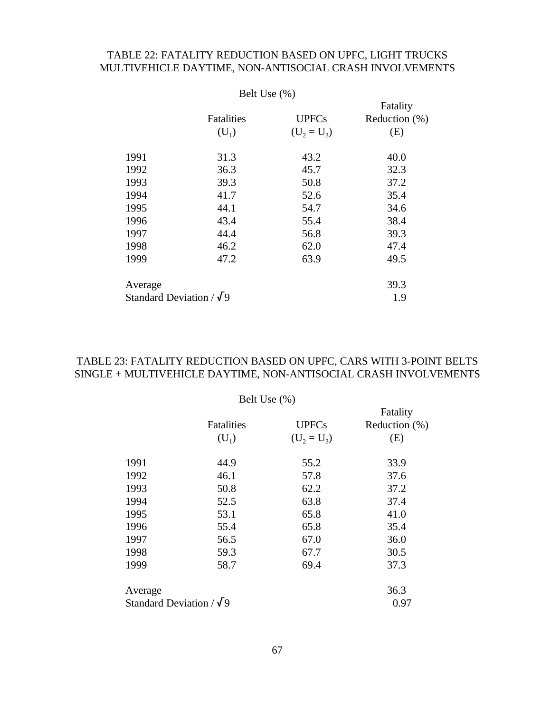# TABLE 22: FATALITY REDUCTION BASED ON UPFC, LIGHT TRUCKS MULTIVEHICLE DAYTIME, NON-ANTISOCIAL CRASH INVOLVEMENTS

|                                 | Belt Use $(\%)$   |               |               |
|---------------------------------|-------------------|---------------|---------------|
|                                 |                   | Fatality      |               |
|                                 | <b>Fatalities</b> | <b>UPFCs</b>  | Reduction (%) |
|                                 | $(U_1)$           | $(U_2 = U_3)$ | (E)           |
| 1991                            | 31.3              | 43.2          | 40.0          |
| 1992                            | 36.3              | 45.7          | 32.3          |
| 1993                            | 39.3              | 50.8          | 37.2          |
| 1994                            | 41.7              | 52.6          | 35.4          |
| 1995                            | 44.1              | 54.7          | 34.6          |
| 1996                            | 43.4              | 55.4          | 38.4          |
| 1997                            | 44.4              | 56.8          | 39.3          |
| 1998                            | 46.2              | 62.0          | 47.4          |
| 1999                            | 47.2              | 63.9          | 49.5          |
| Average                         |                   |               | 39.3          |
| Standard Deviation / $\sqrt{9}$ | 1.9               |               |               |

# TABLE 23: FATALITY REDUCTION BASED ON UPFC, CARS WITH 3-POINT BELTS SINGLE + MULTIVEHICLE DAYTIME, NON-ANTISOCIAL CRASH INVOLVEMENTS

| Belt Use $(\%)$ |  |  |
|-----------------|--|--|
|-----------------|--|--|

|                                 |                   |               | Fatality         |
|---------------------------------|-------------------|---------------|------------------|
|                                 | <b>Fatalities</b> | <b>UPFCs</b>  | Reduction $(\%)$ |
|                                 | $(U_1)$           | $(U_2 = U_3)$ | (E)              |
| 1991                            | 44.9              | 55.2          | 33.9             |
| 1992                            | 46.1              | 57.8          | 37.6             |
| 1993                            | 50.8              | 62.2          | 37.2             |
| 1994                            | 52.5              | 63.8          | 37.4             |
| 1995                            | 53.1              | 65.8          | 41.0             |
| 1996                            | 55.4              | 65.8          | 35.4             |
| 1997                            | 56.5              | 67.0          | 36.0             |
| 1998                            | 59.3              | 67.7          | 30.5             |
| 1999                            | 58.7              | 69.4          | 37.3             |
| Average                         |                   |               | 36.3             |
| Standard Deviation / $\sqrt{9}$ |                   |               | 0.97             |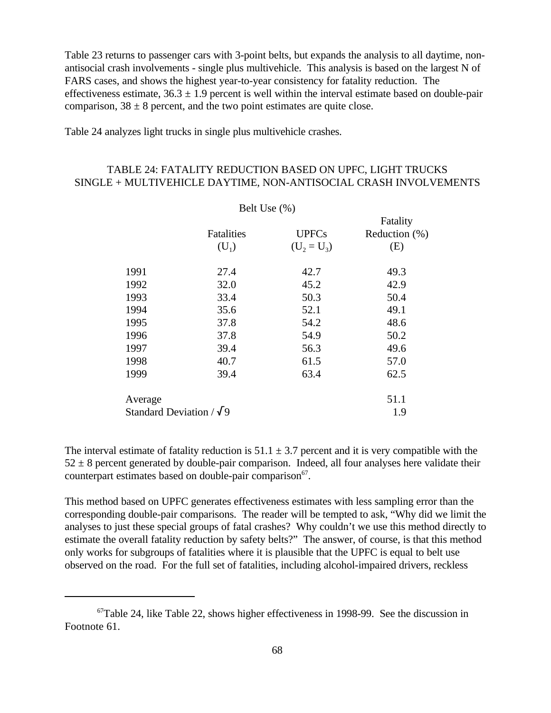Table 23 returns to passenger cars with 3-point belts, but expands the analysis to all daytime, nonantisocial crash involvements - single plus multivehicle. This analysis is based on the largest N of FARS cases, and shows the highest year-to-year consistency for fatality reduction. The effectiveness estimate,  $36.3 \pm 1.9$  percent is well within the interval estimate based on double-pair comparison,  $38 \pm 8$  percent, and the two point estimates are quite close.

Table 24 analyzes light trucks in single plus multivehicle crashes.

# TABLE 24: FATALITY REDUCTION BASED ON UPFC, LIGHT TRUCKS SINGLE + MULTIVEHICLE DAYTIME, NON-ANTISOCIAL CRASH INVOLVEMENTS

|                                 | Belt Use $(\%)$   |               |               |
|---------------------------------|-------------------|---------------|---------------|
|                                 |                   |               | Fatality      |
|                                 | <b>Fatalities</b> | <b>UPFCs</b>  | Reduction (%) |
|                                 | $(U_1)$           | $(U_2 = U_3)$ | (E)           |
| 1991                            | 27.4              | 42.7          | 49.3          |
| 1992                            | 32.0              | 45.2          | 42.9          |
| 1993                            | 33.4              | 50.3          | 50.4          |
| 1994                            | 35.6              | 52.1          | 49.1          |
| 1995                            | 37.8              | 54.2          | 48.6          |
| 1996                            | 37.8              | 54.9          | 50.2          |
| 1997                            | 39.4              | 56.3          | 49.6          |
| 1998                            | 40.7              | 61.5          | 57.0          |
| 1999                            | 39.4              | 63.4          | 62.5          |
| Average                         |                   |               | 51.1          |
| Standard Deviation / $\sqrt{9}$ |                   |               | 1.9           |

The interval estimate of fatality reduction is  $51.1 \pm 3.7$  percent and it is very compatible with the  $52 \pm 8$  percent generated by double-pair comparison. Indeed, all four analyses here validate their counterpart estimates based on double-pair comparison<sup>67</sup>.

This method based on UPFC generates effectiveness estimates with less sampling error than the corresponding double-pair comparisons. The reader will be tempted to ask, "Why did we limit the analyses to just these special groups of fatal crashes? Why couldn't we use this method directly to estimate the overall fatality reduction by safety belts?" The answer, of course, is that this method only works for subgroups of fatalities where it is plausible that the UPFC is equal to belt use observed on the road. For the full set of fatalities, including alcohol-impaired drivers, reckless

 $67$ Table 24, like Table 22, shows higher effectiveness in 1998-99. See the discussion in Footnote 61.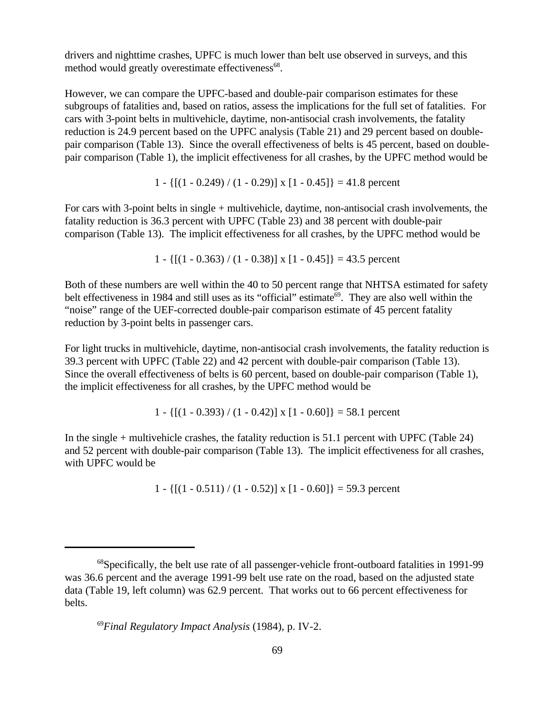drivers and nighttime crashes, UPFC is much lower than belt use observed in surveys, and this method would greatly overestimate effectiveness<sup>68</sup>.

However, we can compare the UPFC-based and double-pair comparison estimates for these subgroups of fatalities and, based on ratios, assess the implications for the full set of fatalities. For cars with 3-point belts in multivehicle, daytime, non-antisocial crash involvements, the fatality reduction is 24.9 percent based on the UPFC analysis (Table 21) and 29 percent based on doublepair comparison (Table 13). Since the overall effectiveness of belts is 45 percent, based on doublepair comparison (Table 1), the implicit effectiveness for all crashes, by the UPFC method would be

$$
1 - \{[(1 - 0.249) / (1 - 0.29)] \times [1 - 0.45]\} = 41.8
$$
 percent

For cars with 3-point belts in single + multivehicle, daytime, non-antisocial crash involvements, the fatality reduction is 36.3 percent with UPFC (Table 23) and 38 percent with double-pair comparison (Table 13). The implicit effectiveness for all crashes, by the UPFC method would be

1 -  $\{[(1 - 0.363) / (1 - 0.38)] \times [1 - 0.45]\} = 43.5$  percent

Both of these numbers are well within the 40 to 50 percent range that NHTSA estimated for safety belt effectiveness in 1984 and still uses as its "official" estimate<sup>69</sup>. They are also well within the "noise" range of the UEF-corrected double-pair comparison estimate of 45 percent fatality reduction by 3-point belts in passenger cars.

For light trucks in multivehicle, daytime, non-antisocial crash involvements, the fatality reduction is 39.3 percent with UPFC (Table 22) and 42 percent with double-pair comparison (Table 13). Since the overall effectiveness of belts is 60 percent, based on double-pair comparison (Table 1), the implicit effectiveness for all crashes, by the UPFC method would be

$$
1 - \{[(1 - 0.393) / (1 - 0.42)] \times [1 - 0.60]\} = 58.1
$$
 percent

In the single  $+$  multivehicle crashes, the fatality reduction is 51.1 percent with UPFC (Table 24) and 52 percent with double-pair comparison (Table 13). The implicit effectiveness for all crashes, with UPFC would be

$$
1 - \{[(1 - 0.511) / (1 - 0.52)] \times [1 - 0.60]\} = 59.3
$$
 percent

<sup>69</sup>*Final Regulatory Impact Analysis* (1984), p. IV-2.

<sup>&</sup>lt;sup>68</sup>Specifically, the belt use rate of all passenger-vehicle front-outboard fatalities in 1991-99 was 36.6 percent and the average 1991-99 belt use rate on the road, based on the adjusted state data (Table 19, left column) was 62.9 percent. That works out to 66 percent effectiveness for belts.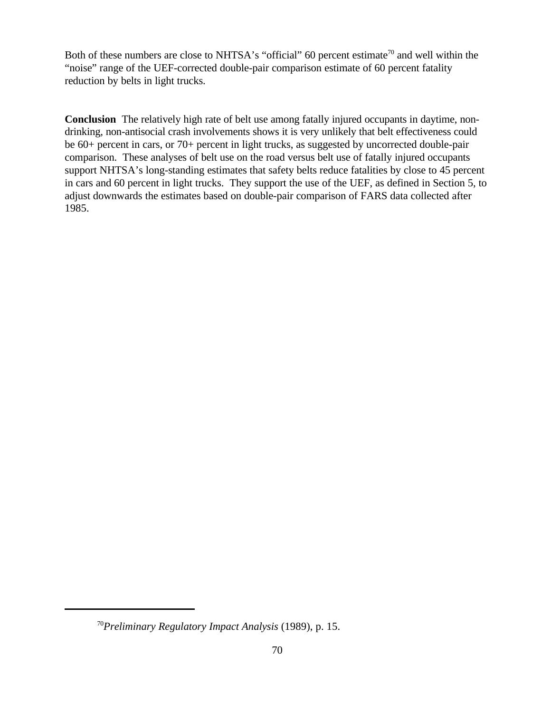Both of these numbers are close to NHTSA's "official" 60 percent estimate<sup>70</sup> and well within the "noise" range of the UEF-corrected double-pair comparison estimate of 60 percent fatality reduction by belts in light trucks.

**Conclusion** The relatively high rate of belt use among fatally injured occupants in daytime, nondrinking, non-antisocial crash involvements shows it is very unlikely that belt effectiveness could be 60+ percent in cars, or 70+ percent in light trucks, as suggested by uncorrected double-pair comparison. These analyses of belt use on the road versus belt use of fatally injured occupants support NHTSA's long-standing estimates that safety belts reduce fatalities by close to 45 percent in cars and 60 percent in light trucks. They support the use of the UEF, as defined in Section 5, to adjust downwards the estimates based on double-pair comparison of FARS data collected after 1985.

<sup>70</sup>*Preliminary Regulatory Impact Analysis* (1989), p. 15.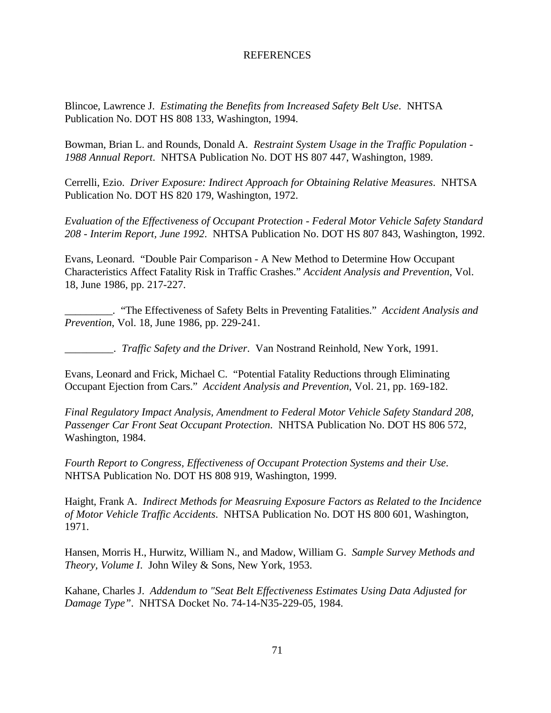## REFERENCES

Blincoe, Lawrence J. *Estimating the Benefits from Increased Safety Belt Use*. NHTSA Publication No. DOT HS 808 133, Washington, 1994.

Bowman, Brian L. and Rounds, Donald A. *Restraint System Usage in the Traffic Population - 1988 Annual Report*. NHTSA Publication No. DOT HS 807 447, Washington, 1989.

Cerrelli, Ezio. *Driver Exposure: Indirect Approach for Obtaining Relative Measures*. NHTSA Publication No. DOT HS 820 179, Washington, 1972.

*Evaluation of the Effectiveness of Occupant Protection - Federal Motor Vehicle Safety Standard 208 - Interim Report, June 1992*. NHTSA Publication No. DOT HS 807 843, Washington, 1992.

Evans, Leonard. "Double Pair Comparison - A New Method to Determine How Occupant Characteristics Affect Fatality Risk in Traffic Crashes." *Accident Analysis and Prevention*, Vol. 18, June 1986, pp. 217-227.

\_\_\_\_\_\_\_\_\_. "The Effectiveness of Safety Belts in Preventing Fatalities." *Accident Analysis and Prevention*, Vol. 18, June 1986, pp. 229-241.

\_\_\_\_\_\_\_\_\_. *Traffic Safety and the Driver*. Van Nostrand Reinhold, New York, 1991.

Evans, Leonard and Frick, Michael C. "Potential Fatality Reductions through Eliminating Occupant Ejection from Cars." *Accident Analysis and Prevention*, Vol. 21, pp. 169-182.

*Final Regulatory Impact Analysis, Amendment to Federal Motor Vehicle Safety Standard 208, Passenger Car Front Seat Occupant Protection*. NHTSA Publication No. DOT HS 806 572, Washington, 1984.

*Fourth Report to Congress, Effectiveness of Occupant Protection Systems and their Use*. NHTSA Publication No. DOT HS 808 919, Washington, 1999.

Haight, Frank A. *Indirect Methods for Measruing Exposure Factors as Related to the Incidence of Motor Vehicle Traffic Accidents*. NHTSA Publication No. DOT HS 800 601, Washington, 1971.

Hansen, Morris H., Hurwitz, William N., and Madow, William G. *Sample Survey Methods and Theory, Volume I*. John Wiley & Sons, New York, 1953.

Kahane, Charles J. *Addendum to "Seat Belt Effectiveness Estimates Using Data Adjusted for Damage Type"*. NHTSA Docket No. 74-14-N35-229-05, 1984.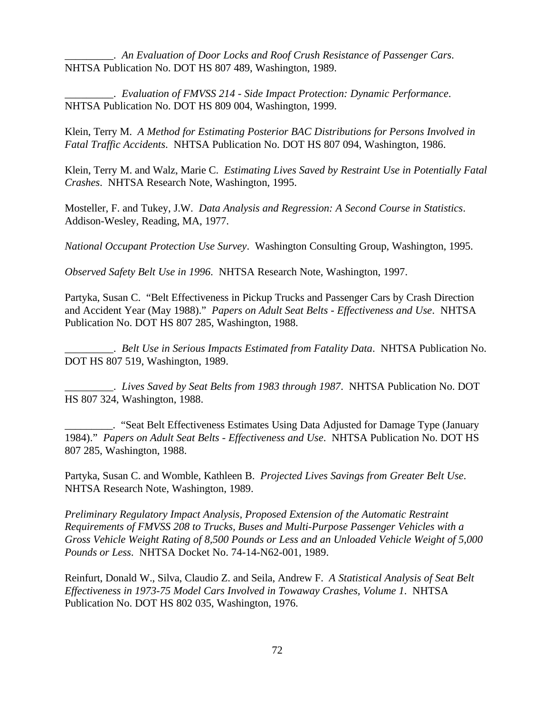\_\_\_\_\_\_\_\_\_. *An Evaluation of Door Locks and Roof Crush Resistance of Passenger Cars*. NHTSA Publication No. DOT HS 807 489, Washington, 1989.

\_\_\_\_\_\_\_\_\_. *Evaluation of FMVSS 214 - Side Impact Protection: Dynamic Performance*. NHTSA Publication No. DOT HS 809 004, Washington, 1999.

Klein, Terry M. *A Method for Estimating Posterior BAC Distributions for Persons Involved in Fatal Traffic Accidents*. NHTSA Publication No. DOT HS 807 094, Washington, 1986.

Klein, Terry M. and Walz, Marie C. *Estimating Lives Saved by Restraint Use in Potentially Fatal Crashes*. NHTSA Research Note, Washington, 1995.

Mosteller, F. and Tukey, J.W. *Data Analysis and Regression: A Second Course in Statistics*. Addison-Wesley, Reading, MA, 1977.

*National Occupant Protection Use Survey*. Washington Consulting Group, Washington, 1995.

*Observed Safety Belt Use in 1996*. NHTSA Research Note, Washington, 1997.

Partyka, Susan C. "Belt Effectiveness in Pickup Trucks and Passenger Cars by Crash Direction and Accident Year (May 1988)." *Papers on Adult Seat Belts - Effectiveness and Use*. NHTSA Publication No. DOT HS 807 285, Washington, 1988.

\_\_\_\_\_\_\_\_\_. *Belt Use in Serious Impacts Estimated from Fatality Data*. NHTSA Publication No. DOT HS 807 519, Washington, 1989.

\_\_\_\_\_\_\_\_\_. *Lives Saved by Seat Belts from 1983 through 1987*. NHTSA Publication No. DOT HS 807 324, Washington, 1988.

\_\_\_\_\_\_\_\_\_. "Seat Belt Effectiveness Estimates Using Data Adjusted for Damage Type (January 1984)." *Papers on Adult Seat Belts - Effectiveness and Use*. NHTSA Publication No. DOT HS 807 285, Washington, 1988.

Partyka, Susan C. and Womble, Kathleen B. *Projected Lives Savings from Greater Belt Use*. NHTSA Research Note, Washington, 1989.

*Preliminary Regulatory Impact Analysis, Proposed Extension of the Automatic Restraint Requirements of FMVSS 208 to Trucks, Buses and Multi-Purpose Passenger Vehicles with a Gross Vehicle Weight Rating of 8,500 Pounds or Less and an Unloaded Vehicle Weight of 5,000 Pounds or Less*. NHTSA Docket No. 74-14-N62-001, 1989.

Reinfurt, Donald W., Silva, Claudio Z. and Seila, Andrew F. *A Statistical Analysis of Seat Belt Effectiveness in 1973-75 Model Cars Involved in Towaway Crashes, Volume 1*. NHTSA Publication No. DOT HS 802 035, Washington, 1976.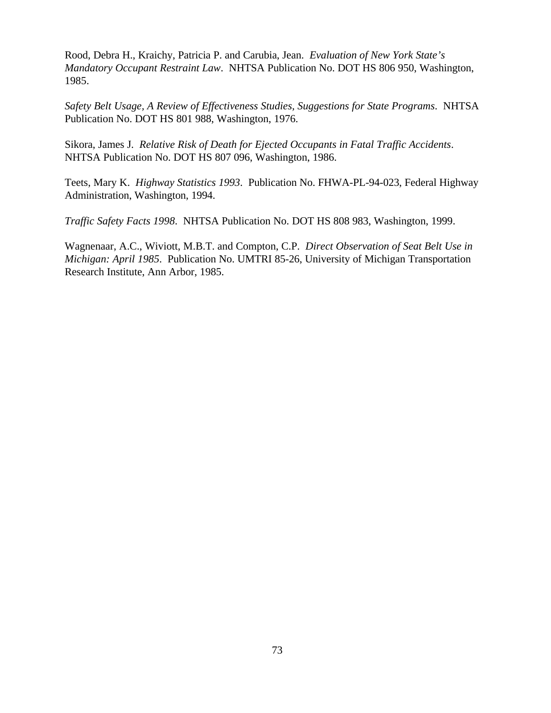Rood, Debra H., Kraichy, Patricia P. and Carubia, Jean. *Evaluation of New York State's Mandatory Occupant Restraint Law*. NHTSA Publication No. DOT HS 806 950, Washington, 1985.

*Safety Belt Usage, A Review of Effectiveness Studies, Suggestions for State Programs*. NHTSA Publication No. DOT HS 801 988, Washington, 1976.

Sikora, James J. *Relative Risk of Death for Ejected Occupants in Fatal Traffic Accidents*. NHTSA Publication No. DOT HS 807 096, Washington, 1986.

Teets, Mary K. *Highway Statistics 1993*. Publication No. FHWA-PL-94-023, Federal Highway Administration, Washington, 1994.

*Traffic Safety Facts 1998*. NHTSA Publication No. DOT HS 808 983, Washington, 1999.

Wagnenaar, A.C., Wiviott, M.B.T. and Compton, C.P. *Direct Observation of Seat Belt Use in Michigan: April 1985*. Publication No. UMTRI 85-26, University of Michigan Transportation Research Institute, Ann Arbor, 1985.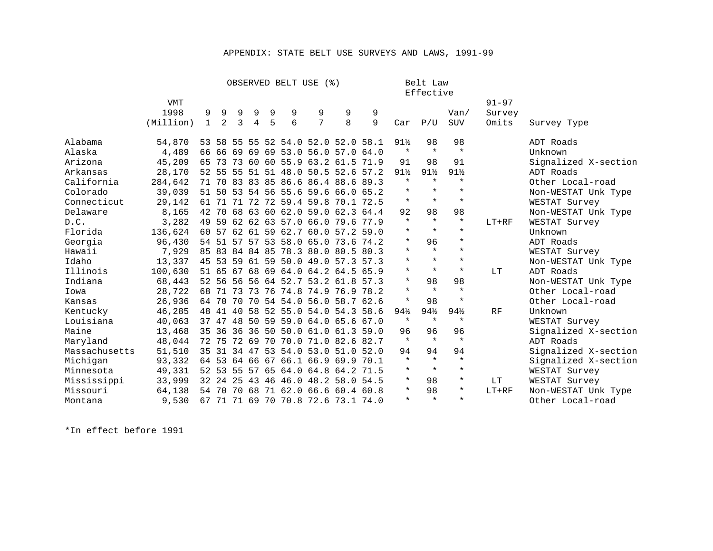## APPENDIX: STATE BELT USE SURVEYS AND LAWS, 1991-99

|               | OBSERVED BELT USE<br>( 웅 ) |              |             |          |       |    |         |                           |               |      |                 | Belt Law<br>Effective |                 |           |                      |
|---------------|----------------------------|--------------|-------------|----------|-------|----|---------|---------------------------|---------------|------|-----------------|-----------------------|-----------------|-----------|----------------------|
|               | <b>VMT</b>                 |              |             |          |       |    |         |                           |               |      |                 |                       |                 | $91 - 97$ |                      |
|               | 1998                       | 9            | 9           | 9        | 9     | 9  | 9       | 9                         | 9             | 9    |                 |                       | Van/            | Survey    |                      |
|               | (Million)                  | $\mathbf{1}$ | 2           | 3        | 4     | 5  | 6       | 7                         | 8             | 9    | Car             | P/U                   | <b>SUV</b>      | Omits     | Survey Type          |
| Alabama       | 54,870                     |              | 53 58       | 55       | 55    |    |         | 52 54.0 52.0 52.0 58.1    |               |      | $91\%$          | 98                    | 98              |           | ADT Roads            |
| Alaska        | 4,489                      |              | 66 66 69    |          | 69    | 69 |         | 53.0 56.0 57.0 64.0       |               |      | $\star$         | $\star$               | $\star$         |           | Unknown              |
| Arizona       | 45,209                     |              | 65 73       | 73       |       |    |         | 60 60 55.9 63.2 61.5 71.9 |               |      | 91              | 98                    | 91              |           | Signalized X-section |
| Arkansas      | 28,170                     |              | 52 55       | 55       |       |    |         | 51 51 48.0 50.5 52.6 57.2 |               |      | 91½             | 91½                   | 91½             |           | ADT Roads            |
| California    | 284,642                    |              | 71 70       | 83       | 83 85 |    | 86.6    | 86.4 88.6                 |               | 89.3 | $\star$         | $\star$               | $\star$         |           | Other Local-road     |
| Colorado      | 39,039                     |              | 51 50       | 53       |       |    |         | 54 56 55.6 59.6 66.0 65.2 |               |      | $\star$         | $\star$               | $\star$         |           | Non-WESTAT Unk Type  |
| Connecticut   | 29,142                     |              | 61 71       | 71       | 72    | 72 |         | 59.4 59.8 70.1 72.5       |               |      | $\star$         | $\star$               | $\star$         |           | WESTAT Survey        |
| Delaware      | 8,165                      |              | 42 70       | 68       | 63    |    |         | 60 62.0 59.0 62.3 64.4    |               |      | 92              | 98                    | 98              |           | Non-WESTAT Unk Type  |
| D.C.          | 3,282                      |              | 49 59       | 62       |       |    |         | 62 63 57.0 66.0 79.6      |               | 77.9 | $\star$         | $\star$               | $\star$         | $LT+RF$   | WESTAT Survey        |
| Florida       | 136,624                    |              | 60 57       | 62 61 59 |       |    |         | 62.7 60.0 57.2 59.0       |               |      | $\star$         | $\star$               | $\star$         |           | Unknown              |
| Georgia       | 96,430                     |              | 54 51       | 57       | 57    |    |         | 53 58.0 65.0 73.6 74.2    |               |      | $\star$         | 96                    | $\star$         |           | ADT Roads            |
| Hawaii        | 7,929                      |              | 85 83       | 84       |       |    |         | 84 85 78.3 80.0 80.5 80.3 |               |      | $\star$         | $\star$               | $\star$         |           | WESTAT Survey        |
| Idaho         | 13,337                     |              | 45 53       | 59       | 61 59 |    |         | 50.0 49.0 57.3 57.3       |               |      | $\star$         | $\star$               | $\star$         |           | Non-WESTAT Unk Type  |
| Illinois      | 100,630                    |              | 51 65       | 67       | 68    | 69 |         | 64.0 64.2 64.5 65.9       |               |      | $\star$         | $\star$               | $\star$         | LT        | ADT Roads            |
| Indiana       | 68,443                     |              | 52 56       | 56       | -56   |    | 64 52.7 |                           | $53.2$ $61.8$ | 57.3 | $\star$         | 98                    | 98              |           | Non-WESTAT Unk Type  |
| Iowa          | 28,722                     |              | 68 71       | 73       | 73    |    | 76 74.8 | 74.9 76.9                 |               | 78.2 | $\ast$          | $\star$               | $\star$         |           | Other Local-road     |
| Kansas        | 26,936                     |              | 64 70       | 70       |       |    |         | 70 54 54.0 56.0 58.7 62.6 |               |      | $\star$         | 98                    | $\star$         |           | Other Local-road     |
| Kentucky      | 46,285                     |              | 48 41       | 40       | 58    |    |         | 52 55.0 54.0 54.3 58.6    |               |      | $94\frac{1}{2}$ | $94\frac{1}{2}$       | $94\frac{1}{2}$ | RF        | Unknown              |
| Louisiana     | 40,063                     |              | 37 47       | 48       | 50    | 59 |         | 59.0 64.0 65.6 67.0       |               |      | $\star$         | $\star$               | $\star$         |           | WESTAT Survey        |
| Maine         | 13,468                     |              | 35 36       | 36       | 36    |    |         | 50 50.0 61.0 61.3 59.0    |               |      | 96              | 96                    | 96              |           | Signalized X-section |
| Maryland      | 48,044                     |              | 72 75       | 72 69    |       | 70 |         | 70.0 71.0 82.6 82.7       |               |      | $\star$         | $\star$               | $\star$         |           | ADT Roads            |
| Massachusetts | 51,510                     |              | 35 31       | 34       | 47    | 53 |         | 54.0 53.0 51.0 52.0       |               |      | 94              | 94                    | 94              |           | Signalized X-section |
| Michigan      | 93,332                     |              | 64 53 64    |          | 66    | 67 |         | 66.1 66.9 69.9            |               | 70.1 | $\star$         | $\star$               | $\star$         |           | Signalized X-section |
| Minnesota     | 49,331                     |              | 52 53       | 55       | 57    | 65 |         | 64.0 64.8 64.2 71.5       |               |      | $\star$         | $\star$               | $\star$         |           | WESTAT Survey        |
| Mississippi   | 33,999                     |              | 32 24       | 25       | 43    | 46 |         | 46.0 48.2 58.0 54.5       |               |      | $\star$         | 98                    | $^\star$        | LT        | WESTAT Survey        |
| Missouri      | 64,138                     |              | 54 70       | 70       | 68    |    |         | 71 62.0 66.6 60.4 60.8    |               |      | $\star$         | 98                    | $^\star$        | $LT+RF$   | Non-WESTAT Unk Type  |
| Montana       | 9,530                      |              | 67 71 71 69 |          |       |    |         | 70 70.8 72.6 73.1 74.0    |               |      | $\star$         | $\star$               | $\star$         |           | Other Local-road     |

\*In effect before 1991